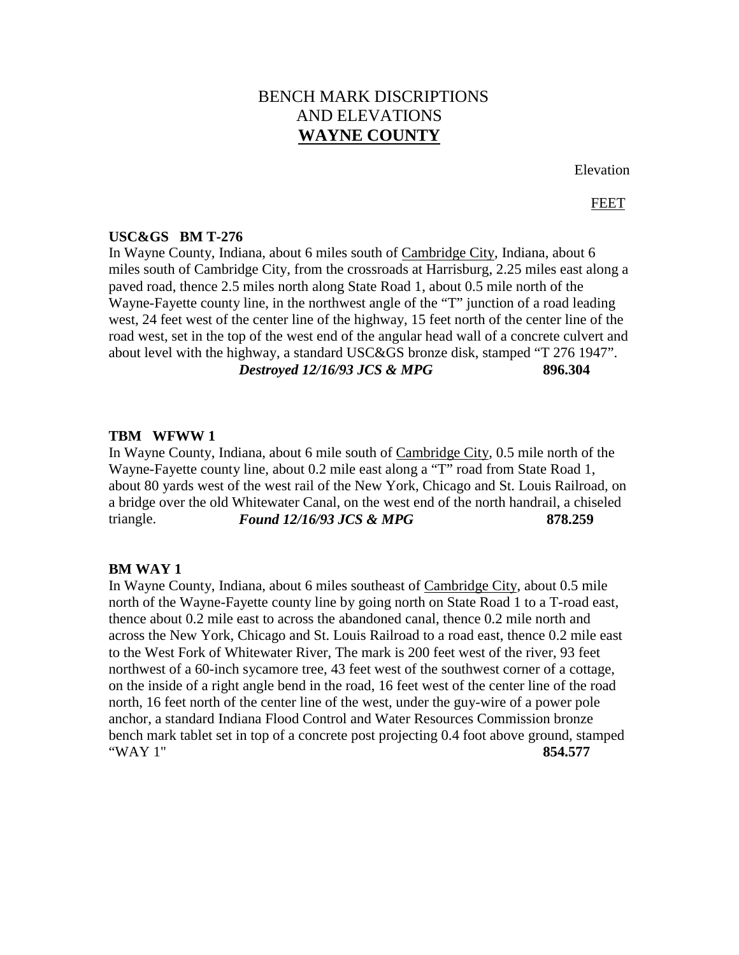# BENCH MARK DISCRIPTIONS AND ELEVATIONS **WAYNE COUNTY**

Elevation

## FEET

## **USC&GS BM T-276**

In Wayne County, Indiana, about 6 miles south of Cambridge City, Indiana, about 6 miles south of Cambridge City, from the crossroads at Harrisburg, 2.25 miles east along a paved road, thence 2.5 miles north along State Road 1, about 0.5 mile north of the Wayne-Fayette county line, in the northwest angle of the "T" junction of a road leading west, 24 feet west of the center line of the highway, 15 feet north of the center line of the road west, set in the top of the west end of the angular head wall of a concrete culvert and about level with the highway, a standard USC&GS bronze disk, stamped "T 276 1947". *Destroyed 12/16/93 JCS & MPG* **896.304**

#### **TBM WFWW 1**

In Wayne County, Indiana, about 6 mile south of Cambridge City, 0.5 mile north of the Wayne-Fayette county line, about 0.2 mile east along a "T" road from State Road 1, about 80 yards west of the west rail of the New York, Chicago and St. Louis Railroad, on a bridge over the old Whitewater Canal, on the west end of the north handrail, a chiseled triangle. *Found 12/16/93 JCS & MPG* **878.259**

#### **BM WAY 1**

In Wayne County, Indiana, about 6 miles southeast of Cambridge City, about 0.5 mile north of the Wayne-Fayette county line by going north on State Road 1 to a T-road east, thence about 0.2 mile east to across the abandoned canal, thence 0.2 mile north and across the New York, Chicago and St. Louis Railroad to a road east, thence 0.2 mile east to the West Fork of Whitewater River, The mark is 200 feet west of the river, 93 feet northwest of a 60-inch sycamore tree, 43 feet west of the southwest corner of a cottage, on the inside of a right angle bend in the road, 16 feet west of the center line of the road north, 16 feet north of the center line of the west, under the guy-wire of a power pole anchor, a standard Indiana Flood Control and Water Resources Commission bronze bench mark tablet set in top of a concrete post projecting 0.4 foot above ground, stamped "WAY 1" **854.577**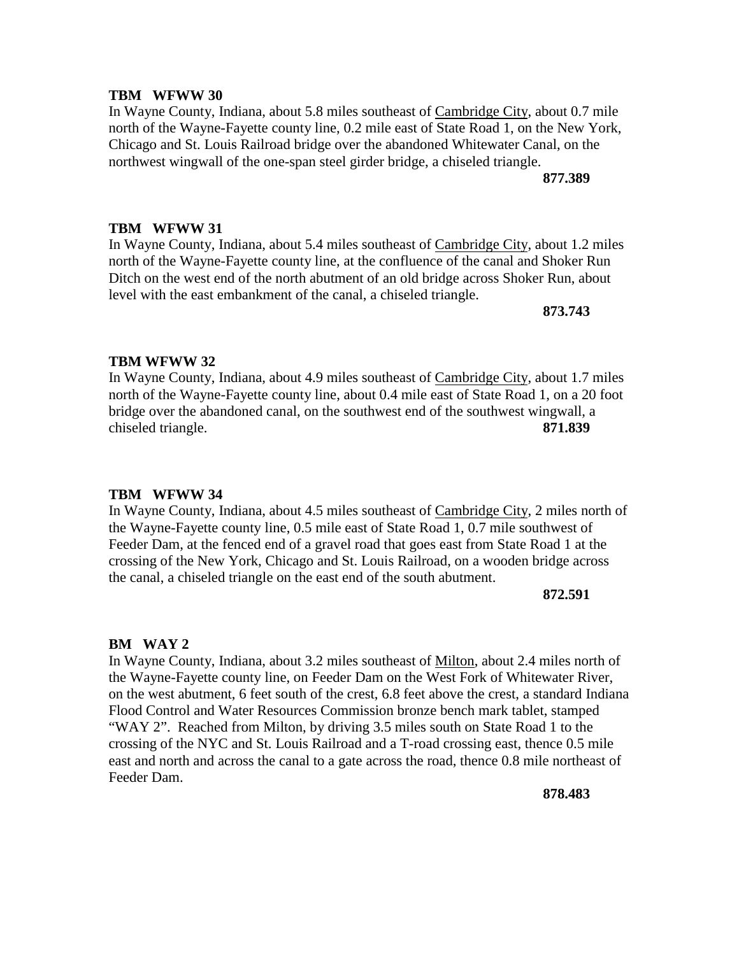In Wayne County, Indiana, about 5.8 miles southeast of Cambridge City, about 0.7 mile north of the Wayne-Fayette county line, 0.2 mile east of State Road 1, on the New York, Chicago and St. Louis Railroad bridge over the abandoned Whitewater Canal, on the northwest wingwall of the one-span steel girder bridge, a chiseled triangle.

**877.389**

## **TBM WFWW 31**

In Wayne County, Indiana, about 5.4 miles southeast of Cambridge City, about 1.2 miles north of the Wayne-Fayette county line, at the confluence of the canal and Shoker Run Ditch on the west end of the north abutment of an old bridge across Shoker Run, about level with the east embankment of the canal, a chiseled triangle.

**873.743**

## **TBM WFWW 32**

In Wayne County, Indiana, about 4.9 miles southeast of Cambridge City, about 1.7 miles north of the Wayne-Fayette county line, about 0.4 mile east of State Road 1, on a 20 foot bridge over the abandoned canal, on the southwest end of the southwest wingwall, a chiseled triangle. **871.839**

#### **TBM WFWW 34**

In Wayne County, Indiana, about 4.5 miles southeast of Cambridge City, 2 miles north of the Wayne-Fayette county line, 0.5 mile east of State Road 1, 0.7 mile southwest of Feeder Dam, at the fenced end of a gravel road that goes east from State Road 1 at the crossing of the New York, Chicago and St. Louis Railroad, on a wooden bridge across the canal, a chiseled triangle on the east end of the south abutment.

**872.591**

#### **BM WAY 2**

In Wayne County, Indiana, about 3.2 miles southeast of Milton, about 2.4 miles north of the Wayne-Fayette county line, on Feeder Dam on the West Fork of Whitewater River, on the west abutment, 6 feet south of the crest, 6.8 feet above the crest, a standard Indiana Flood Control and Water Resources Commission bronze bench mark tablet, stamped "WAY 2". Reached from Milton, by driving 3.5 miles south on State Road 1 to the crossing of the NYC and St. Louis Railroad and a T-road crossing east, thence 0.5 mile east and north and across the canal to a gate across the road, thence 0.8 mile northeast of Feeder Dam.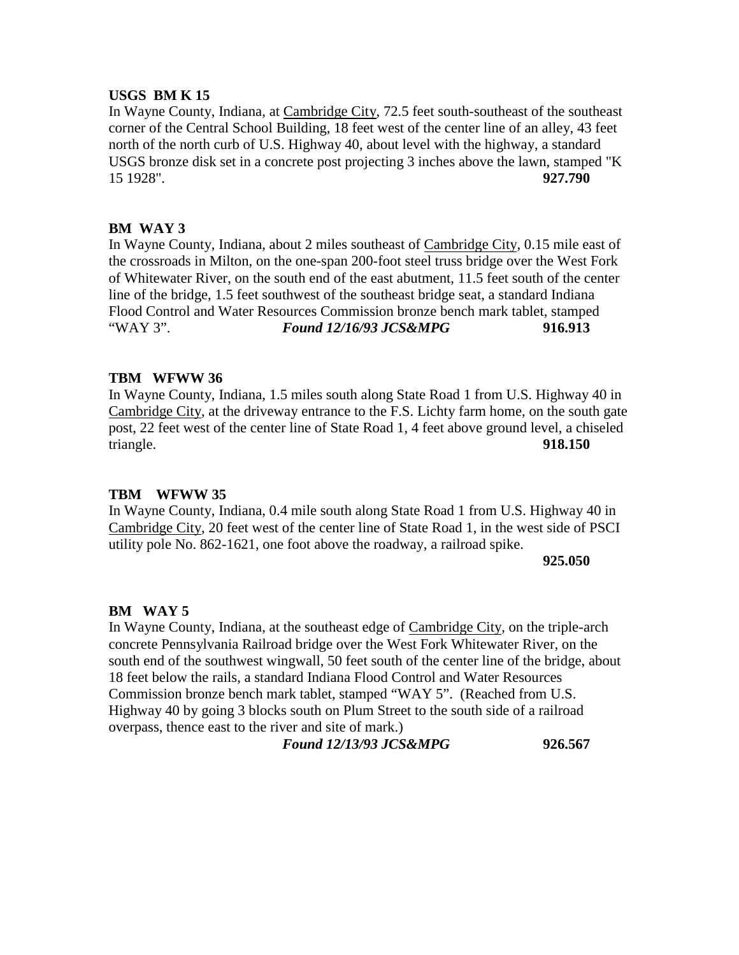## **USGS BM K 15**

In Wayne County, Indiana, at Cambridge City, 72.5 feet south-southeast of the southeast corner of the Central School Building, 18 feet west of the center line of an alley, 43 feet north of the north curb of U.S. Highway 40, about level with the highway, a standard USGS bronze disk set in a concrete post projecting 3 inches above the lawn, stamped "K 15 1928". **927.790**

## **BM WAY 3**

In Wayne County, Indiana, about 2 miles southeast of Cambridge City, 0.15 mile east of the crossroads in Milton, on the one-span 200-foot steel truss bridge over the West Fork of Whitewater River, on the south end of the east abutment, 11.5 feet south of the center line of the bridge, 1.5 feet southwest of the southeast bridge seat, a standard Indiana Flood Control and Water Resources Commission bronze bench mark tablet, stamped "WAY 3". *Found 12/16/93 JCS&MPG* **916.913**

## **TBM WFWW 36**

In Wayne County, Indiana, 1.5 miles south along State Road 1 from U.S. Highway 40 in Cambridge City, at the driveway entrance to the F.S. Lichty farm home, on the south gate post, 22 feet west of the center line of State Road 1, 4 feet above ground level, a chiseled triangle. **918.150**

#### **TBM WFWW 35**

In Wayne County, Indiana, 0.4 mile south along State Road 1 from U.S. Highway 40 in Cambridge City, 20 feet west of the center line of State Road 1, in the west side of PSCI utility pole No. 862-1621, one foot above the roadway, a railroad spike.

#### **925.050**

#### **BM WAY 5**

In Wayne County, Indiana, at the southeast edge of Cambridge City, on the triple-arch concrete Pennsylvania Railroad bridge over the West Fork Whitewater River, on the south end of the southwest wingwall, 50 feet south of the center line of the bridge, about 18 feet below the rails, a standard Indiana Flood Control and Water Resources Commission bronze bench mark tablet, stamped "WAY 5". (Reached from U.S. Highway 40 by going 3 blocks south on Plum Street to the south side of a railroad overpass, thence east to the river and site of mark.)

*Found 12/13/93 JCS&MPG* **926.567**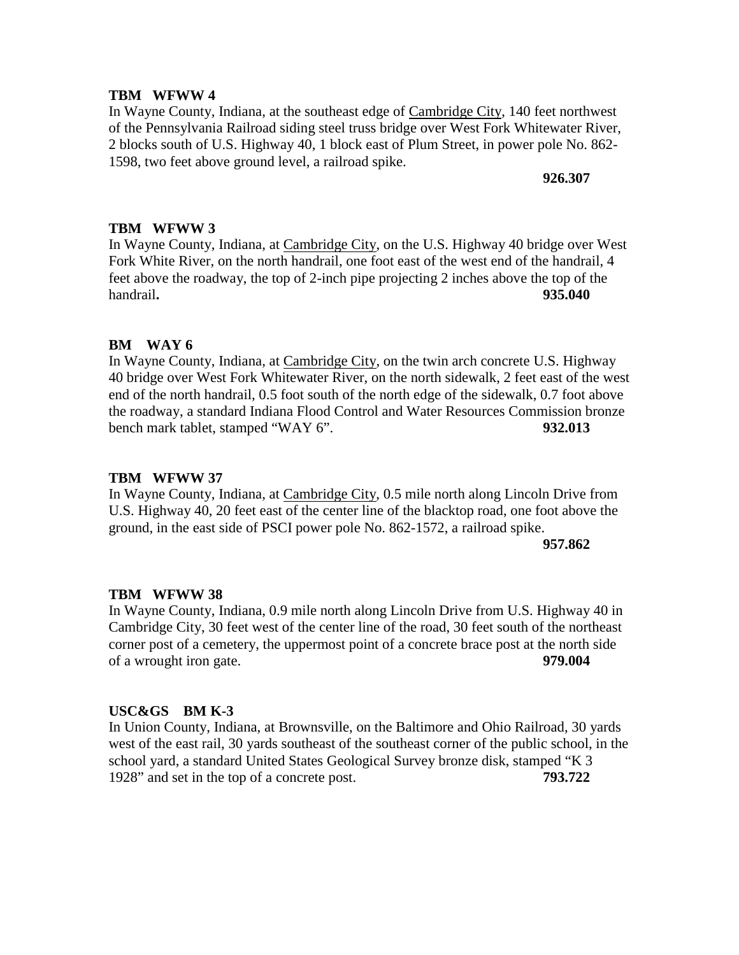In Wayne County, Indiana, at the southeast edge of Cambridge City, 140 feet northwest of the Pennsylvania Railroad siding steel truss bridge over West Fork Whitewater River, 2 blocks south of U.S. Highway 40, 1 block east of Plum Street, in power pole No. 862- 1598, two feet above ground level, a railroad spike.

**926.307**

## **TBM WFWW 3**

In Wayne County, Indiana, at Cambridge City, on the U.S. Highway 40 bridge over West Fork White River, on the north handrail, one foot east of the west end of the handrail, 4 feet above the roadway, the top of 2-inch pipe projecting 2 inches above the top of the handrail**. 935.040**

## **BM WAY 6**

In Wayne County, Indiana, at Cambridge City, on the twin arch concrete U.S. Highway 40 bridge over West Fork Whitewater River, on the north sidewalk, 2 feet east of the west end of the north handrail, 0.5 foot south of the north edge of the sidewalk, 0.7 foot above the roadway, a standard Indiana Flood Control and Water Resources Commission bronze bench mark tablet, stamped "WAY 6". **932.013**

## **TBM WFWW 37**

In Wayne County, Indiana, at Cambridge City, 0.5 mile north along Lincoln Drive from U.S. Highway 40, 20 feet east of the center line of the blacktop road, one foot above the ground, in the east side of PSCI power pole No. 862-1572, a railroad spike.

**957.862**

## **TBM WFWW 38**

In Wayne County, Indiana, 0.9 mile north along Lincoln Drive from U.S. Highway 40 in Cambridge City, 30 feet west of the center line of the road, 30 feet south of the northeast corner post of a cemetery, the uppermost point of a concrete brace post at the north side of a wrought iron gate. **979.004**

## **USC&GS BM K-3**

In Union County, Indiana, at Brownsville, on the Baltimore and Ohio Railroad, 30 yards west of the east rail, 30 yards southeast of the southeast corner of the public school, in the school yard, a standard United States Geological Survey bronze disk, stamped "K 3 1928" and set in the top of a concrete post. **793.722**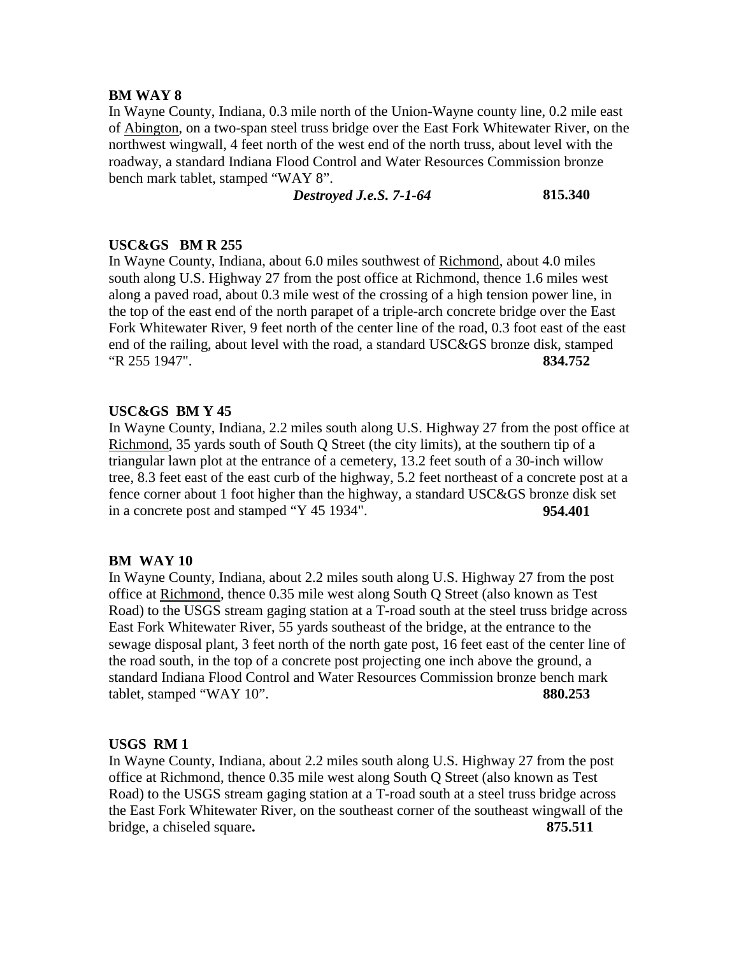## **BM WAY 8**

In Wayne County, Indiana, 0.3 mile north of the Union-Wayne county line, 0.2 mile east of Abington, on a two-span steel truss bridge over the East Fork Whitewater River, on the northwest wingwall, 4 feet north of the west end of the north truss, about level with the roadway, a standard Indiana Flood Control and Water Resources Commission bronze bench mark tablet, stamped "WAY 8".

## *Destroyed J.e.S. 7-1-64* **815.340**

## **USC&GS BM R 255**

In Wayne County, Indiana, about 6.0 miles southwest of Richmond, about 4.0 miles south along U.S. Highway 27 from the post office at Richmond, thence 1.6 miles west along a paved road, about 0.3 mile west of the crossing of a high tension power line, in the top of the east end of the north parapet of a triple-arch concrete bridge over the East Fork Whitewater River, 9 feet north of the center line of the road, 0.3 foot east of the east end of the railing, about level with the road, a standard USC&GS bronze disk, stamped "R 255 1947". **834.752**

## **USC&GS BM Y 45**

In Wayne County, Indiana, 2.2 miles south along U.S. Highway 27 from the post office at Richmond, 35 yards south of South Q Street (the city limits), at the southern tip of a triangular lawn plot at the entrance of a cemetery, 13.2 feet south of a 30-inch willow tree, 8.3 feet east of the east curb of the highway, 5.2 feet northeast of a concrete post at a fence corner about 1 foot higher than the highway, a standard USC&GS bronze disk set in a concrete post and stamped "Y 45 1934". **954.401**

## **BM WAY 10**

In Wayne County, Indiana, about 2.2 miles south along U.S. Highway 27 from the post office at Richmond, thence 0.35 mile west along South Q Street (also known as Test Road) to the USGS stream gaging station at a T-road south at the steel truss bridge across East Fork Whitewater River, 55 yards southeast of the bridge, at the entrance to the sewage disposal plant, 3 feet north of the north gate post, 16 feet east of the center line of the road south, in the top of a concrete post projecting one inch above the ground, a standard Indiana Flood Control and Water Resources Commission bronze bench mark tablet, stamped "WAY 10". **880.253**

## **USGS RM 1**

In Wayne County, Indiana, about 2.2 miles south along U.S. Highway 27 from the post office at Richmond, thence 0.35 mile west along South Q Street (also known as Test Road) to the USGS stream gaging station at a T-road south at a steel truss bridge across the East Fork Whitewater River, on the southeast corner of the southeast wingwall of the bridge, a chiseled square**. 875.511**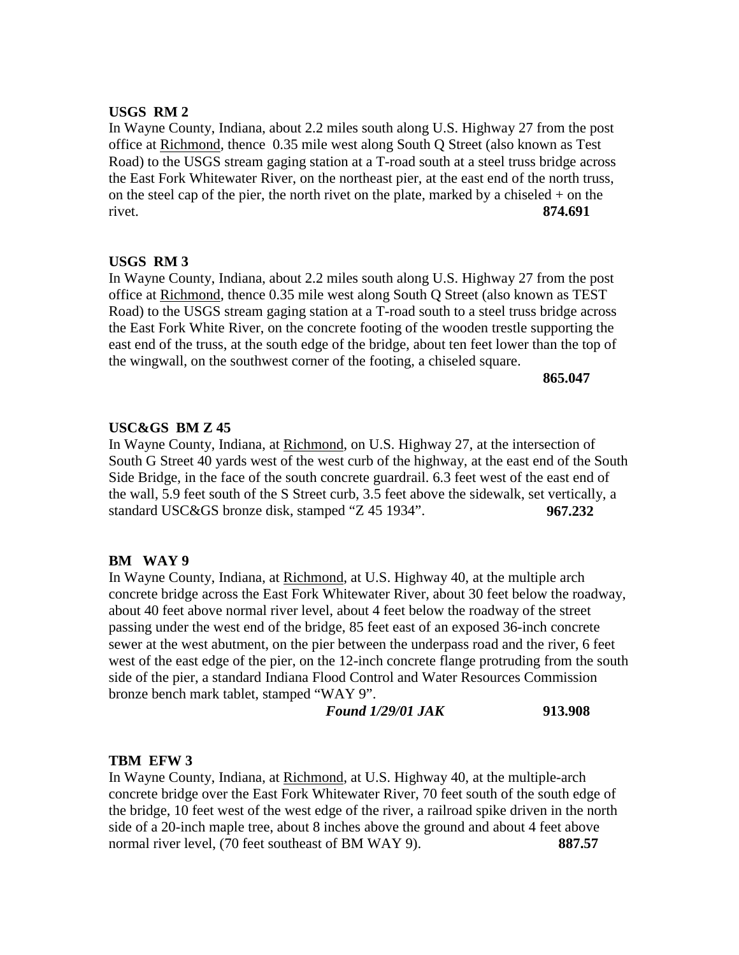## **USGS RM 2**

In Wayne County, Indiana, about 2.2 miles south along U.S. Highway 27 from the post office at Richmond, thence 0.35 mile west along South Q Street (also known as Test Road) to the USGS stream gaging station at a T-road south at a steel truss bridge across the East Fork Whitewater River, on the northeast pier, at the east end of the north truss, on the steel cap of the pier, the north rivet on the plate, marked by a chiseled  $+$  on the rivet. **874.691**

## **USGS RM 3**

In Wayne County, Indiana, about 2.2 miles south along U.S. Highway 27 from the post office at Richmond, thence 0.35 mile west along South Q Street (also known as TEST Road) to the USGS stream gaging station at a T-road south to a steel truss bridge across the East Fork White River, on the concrete footing of the wooden trestle supporting the east end of the truss, at the south edge of the bridge, about ten feet lower than the top of the wingwall, on the southwest corner of the footing, a chiseled square.

**865.047**

## **USC&GS BM Z 45**

In Wayne County, Indiana, at Richmond, on U.S. Highway 27, at the intersection of South G Street 40 yards west of the west curb of the highway, at the east end of the South Side Bridge, in the face of the south concrete guardrail. 6.3 feet west of the east end of the wall, 5.9 feet south of the S Street curb, 3.5 feet above the sidewalk, set vertically, a standard USC&GS bronze disk, stamped "Z 45 1934". **967.232**

#### **BM WAY 9**

In Wayne County, Indiana, at Richmond, at U.S. Highway 40, at the multiple arch concrete bridge across the East Fork Whitewater River, about 30 feet below the roadway, about 40 feet above normal river level, about 4 feet below the roadway of the street passing under the west end of the bridge, 85 feet east of an exposed 36-inch concrete sewer at the west abutment, on the pier between the underpass road and the river, 6 feet west of the east edge of the pier, on the 12-inch concrete flange protruding from the south side of the pier, a standard Indiana Flood Control and Water Resources Commission bronze bench mark tablet, stamped "WAY 9".

*Found 1/29/01 JAK* **913.908**

## **TBM EFW 3**

In Wayne County, Indiana, at Richmond, at U.S. Highway 40, at the multiple-arch concrete bridge over the East Fork Whitewater River, 70 feet south of the south edge of the bridge, 10 feet west of the west edge of the river, a railroad spike driven in the north side of a 20-inch maple tree, about 8 inches above the ground and about 4 feet above normal river level, (70 feet southeast of BM WAY 9). **887.57**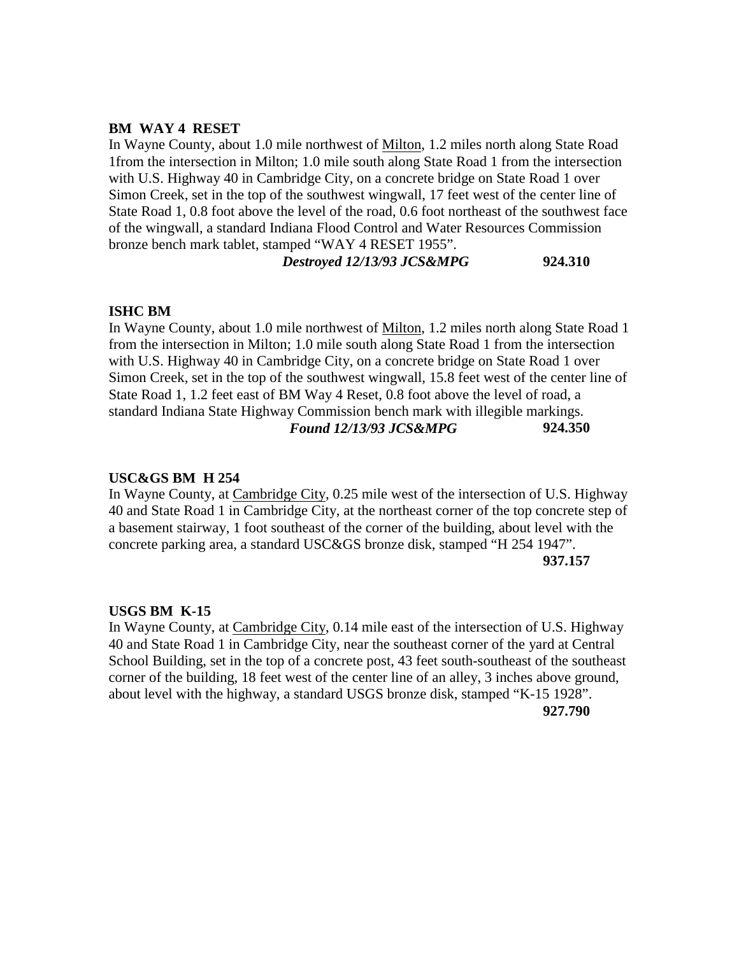#### **BM WAY 4 RESET**

In Wayne County, about 1.0 mile northwest of Milton, 1.2 miles north along State Road 1from the intersection in Milton; 1.0 mile south along State Road 1 from the intersection with U.S. Highway 40 in Cambridge City, on a concrete bridge on State Road 1 over Simon Creek, set in the top of the southwest wingwall, 17 feet west of the center line of State Road 1, 0.8 foot above the level of the road, 0.6 foot northeast of the southwest face of the wingwall, a standard Indiana Flood Control and Water Resources Commission bronze bench mark tablet, stamped "WAY 4 RESET 1955".

*Destroyed 12/13/93 JCS&MPG* **924.310**

## **ISHC BM**

In Wayne County, about 1.0 mile northwest of Milton, 1.2 miles north along State Road 1 from the intersection in Milton; 1.0 mile south along State Road 1 from the intersection with U.S. Highway 40 in Cambridge City, on a concrete bridge on State Road 1 over Simon Creek, set in the top of the southwest wingwall, 15.8 feet west of the center line of State Road 1, 1.2 feet east of BM Way 4 Reset, 0.8 foot above the level of road, a standard Indiana State Highway Commission bench mark with illegible markings. *Found 12/13/93 JCS&MPG* **924.350**

#### **USC&GS BM H 254**

In Wayne County, at Cambridge City, 0.25 mile west of the intersection of U.S. Highway 40 and State Road 1 in Cambridge City, at the northeast corner of the top concrete step of a basement stairway, 1 foot southeast of the corner of the building, about level with the concrete parking area, a standard USC&GS bronze disk, stamped "H 254 1947". **937.157**

#### **USGS BM K-15**

In Wayne County, at Cambridge City, 0.14 mile east of the intersection of U.S. Highway 40 and State Road 1 in Cambridge City, near the southeast corner of the yard at Central School Building, set in the top of a concrete post, 43 feet south-southeast of the southeast corner of the building, 18 feet west of the center line of an alley, 3 inches above ground, about level with the highway, a standard USGS bronze disk, stamped "K-15 1928". **927.790**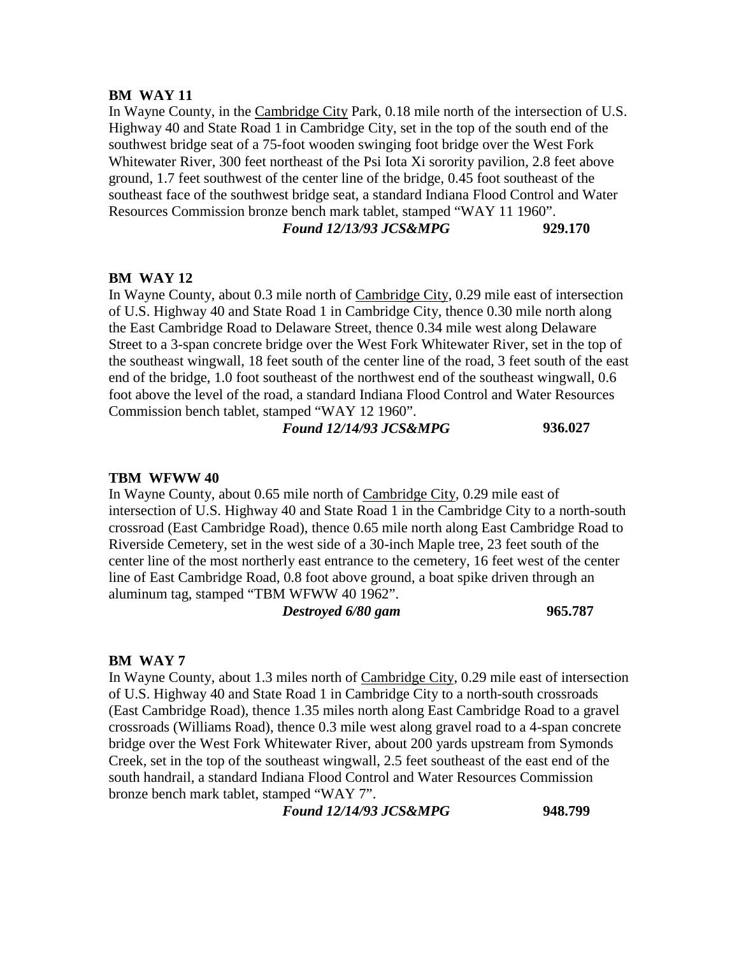#### **BM WAY 11**

In Wayne County, in the Cambridge City Park, 0.18 mile north of the intersection of U.S. Highway 40 and State Road 1 in Cambridge City, set in the top of the south end of the southwest bridge seat of a 75-foot wooden swinging foot bridge over the West Fork Whitewater River, 300 feet northeast of the Psi Iota Xi sorority pavilion, 2.8 feet above ground, 1.7 feet southwest of the center line of the bridge, 0.45 foot southeast of the southeast face of the southwest bridge seat, a standard Indiana Flood Control and Water Resources Commission bronze bench mark tablet, stamped "WAY 11 1960".

## *Found 12/13/93 JCS&MPG* **929.170**

#### **BM WAY 12**

In Wayne County, about 0.3 mile north of Cambridge City, 0.29 mile east of intersection of U.S. Highway 40 and State Road 1 in Cambridge City, thence 0.30 mile north along the East Cambridge Road to Delaware Street, thence 0.34 mile west along Delaware Street to a 3-span concrete bridge over the West Fork Whitewater River, set in the top of the southeast wingwall, 18 feet south of the center line of the road, 3 feet south of the east end of the bridge, 1.0 foot southeast of the northwest end of the southeast wingwall, 0.6 foot above the level of the road, a standard Indiana Flood Control and Water Resources Commission bench tablet, stamped "WAY 12 1960".

*Found 12/14/93 JCS&MPG* **936.027**

#### **TBM WFWW 40**

In Wayne County, about 0.65 mile north of Cambridge City, 0.29 mile east of intersection of U.S. Highway 40 and State Road 1 in the Cambridge City to a north-south crossroad (East Cambridge Road), thence 0.65 mile north along East Cambridge Road to Riverside Cemetery, set in the west side of a 30-inch Maple tree, 23 feet south of the center line of the most northerly east entrance to the cemetery, 16 feet west of the center line of East Cambridge Road, 0.8 foot above ground, a boat spike driven through an aluminum tag, stamped "TBM WFWW 40 1962".

*Destroyed 6/80 gam* **965.787**

#### **BM WAY 7**

In Wayne County, about 1.3 miles north of Cambridge City, 0.29 mile east of intersection of U.S. Highway 40 and State Road 1 in Cambridge City to a north-south crossroads (East Cambridge Road), thence 1.35 miles north along East Cambridge Road to a gravel crossroads (Williams Road), thence 0.3 mile west along gravel road to a 4-span concrete bridge over the West Fork Whitewater River, about 200 yards upstream from Symonds Creek, set in the top of the southeast wingwall, 2.5 feet southeast of the east end of the south handrail, a standard Indiana Flood Control and Water Resources Commission bronze bench mark tablet, stamped "WAY 7".

*Found 12/14/93 JCS&MPG* **948.799**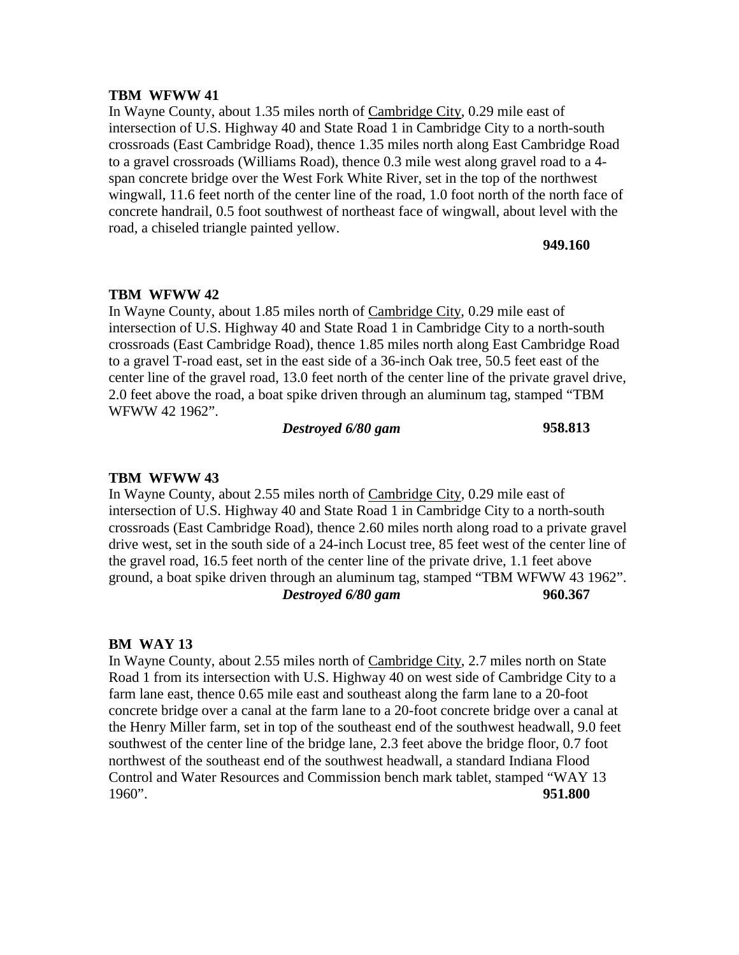In Wayne County, about 1.35 miles north of Cambridge City, 0.29 mile east of intersection of U.S. Highway 40 and State Road 1 in Cambridge City to a north-south crossroads (East Cambridge Road), thence 1.35 miles north along East Cambridge Road to a gravel crossroads (Williams Road), thence 0.3 mile west along gravel road to a 4 span concrete bridge over the West Fork White River, set in the top of the northwest wingwall, 11.6 feet north of the center line of the road, 1.0 foot north of the north face of concrete handrail, 0.5 foot southwest of northeast face of wingwall, about level with the road, a chiseled triangle painted yellow.

#### **949.160**

## **TBM WFWW 42**

In Wayne County, about 1.85 miles north of Cambridge City, 0.29 mile east of intersection of U.S. Highway 40 and State Road 1 in Cambridge City to a north-south crossroads (East Cambridge Road), thence 1.85 miles north along East Cambridge Road to a gravel T-road east, set in the east side of a 36-inch Oak tree, 50.5 feet east of the center line of the gravel road, 13.0 feet north of the center line of the private gravel drive, 2.0 feet above the road, a boat spike driven through an aluminum tag, stamped "TBM WFWW 42 1962".

*Destroyed 6/80 gam* **958.813**

#### **TBM WFWW 43**

In Wayne County, about 2.55 miles north of Cambridge City, 0.29 mile east of intersection of U.S. Highway 40 and State Road 1 in Cambridge City to a north-south crossroads (East Cambridge Road), thence 2.60 miles north along road to a private gravel drive west, set in the south side of a 24-inch Locust tree, 85 feet west of the center line of the gravel road, 16.5 feet north of the center line of the private drive, 1.1 feet above ground, a boat spike driven through an aluminum tag, stamped "TBM WFWW 43 1962". *Destroyed 6/80 gam* **960.367**

#### **BM WAY 13**

In Wayne County, about 2.55 miles north of Cambridge City, 2.7 miles north on State Road 1 from its intersection with U.S. Highway 40 on west side of Cambridge City to a farm lane east, thence 0.65 mile east and southeast along the farm lane to a 20-foot concrete bridge over a canal at the farm lane to a 20-foot concrete bridge over a canal at the Henry Miller farm, set in top of the southeast end of the southwest headwall, 9.0 feet southwest of the center line of the bridge lane, 2.3 feet above the bridge floor, 0.7 foot northwest of the southeast end of the southwest headwall, a standard Indiana Flood Control and Water Resources and Commission bench mark tablet, stamped "WAY 13 1960". **951.800**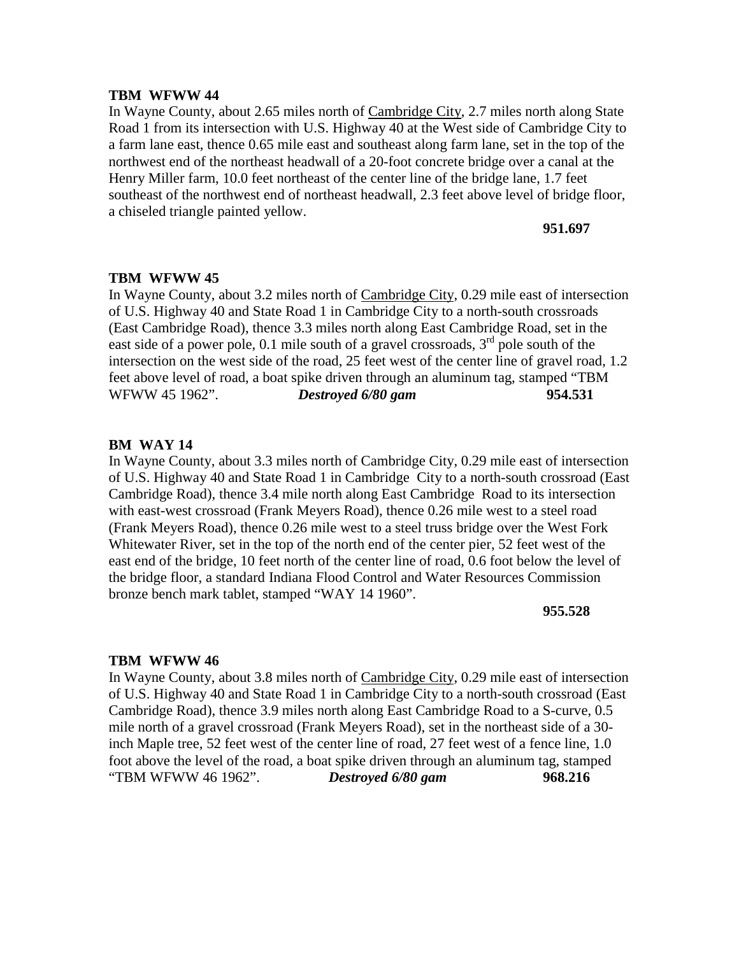In Wayne County, about 2.65 miles north of Cambridge City, 2.7 miles north along State Road 1 from its intersection with U.S. Highway 40 at the West side of Cambridge City to a farm lane east, thence 0.65 mile east and southeast along farm lane, set in the top of the northwest end of the northeast headwall of a 20-foot concrete bridge over a canal at the Henry Miller farm, 10.0 feet northeast of the center line of the bridge lane, 1.7 feet southeast of the northwest end of northeast headwall, 2.3 feet above level of bridge floor, a chiseled triangle painted yellow.

#### **951.697**

#### **TBM WFWW 45**

In Wayne County, about 3.2 miles north of Cambridge City, 0.29 mile east of intersection of U.S. Highway 40 and State Road 1 in Cambridge City to a north-south crossroads (East Cambridge Road), thence 3.3 miles north along East Cambridge Road, set in the east side of a power pole, 0.1 mile south of a gravel crossroads,  $3<sup>rd</sup>$  pole south of the intersection on the west side of the road, 25 feet west of the center line of gravel road, 1.2 feet above level of road, a boat spike driven through an aluminum tag, stamped "TBM WFWW 45 1962". *Destroyed 6/80 gam* **954.531**

## **BM WAY 14**

In Wayne County, about 3.3 miles north of Cambridge City, 0.29 mile east of intersection of U.S. Highway 40 and State Road 1 in Cambridge City to a north-south crossroad (East Cambridge Road), thence 3.4 mile north along East Cambridge Road to its intersection with east-west crossroad (Frank Meyers Road), thence 0.26 mile west to a steel road (Frank Meyers Road), thence 0.26 mile west to a steel truss bridge over the West Fork Whitewater River, set in the top of the north end of the center pier, 52 feet west of the east end of the bridge, 10 feet north of the center line of road, 0.6 foot below the level of the bridge floor, a standard Indiana Flood Control and Water Resources Commission bronze bench mark tablet, stamped "WAY 14 1960".

**955.528**

#### **TBM WFWW 46**

In Wayne County, about 3.8 miles north of Cambridge City, 0.29 mile east of intersection of U.S. Highway 40 and State Road 1 in Cambridge City to a north-south crossroad (East Cambridge Road), thence 3.9 miles north along East Cambridge Road to a S-curve, 0.5 mile north of a gravel crossroad (Frank Meyers Road), set in the northeast side of a 30 inch Maple tree, 52 feet west of the center line of road, 27 feet west of a fence line, 1.0 foot above the level of the road, a boat spike driven through an aluminum tag, stamped "TBM WFWW 46 1962". *Destroyed 6/80 gam* **968.216**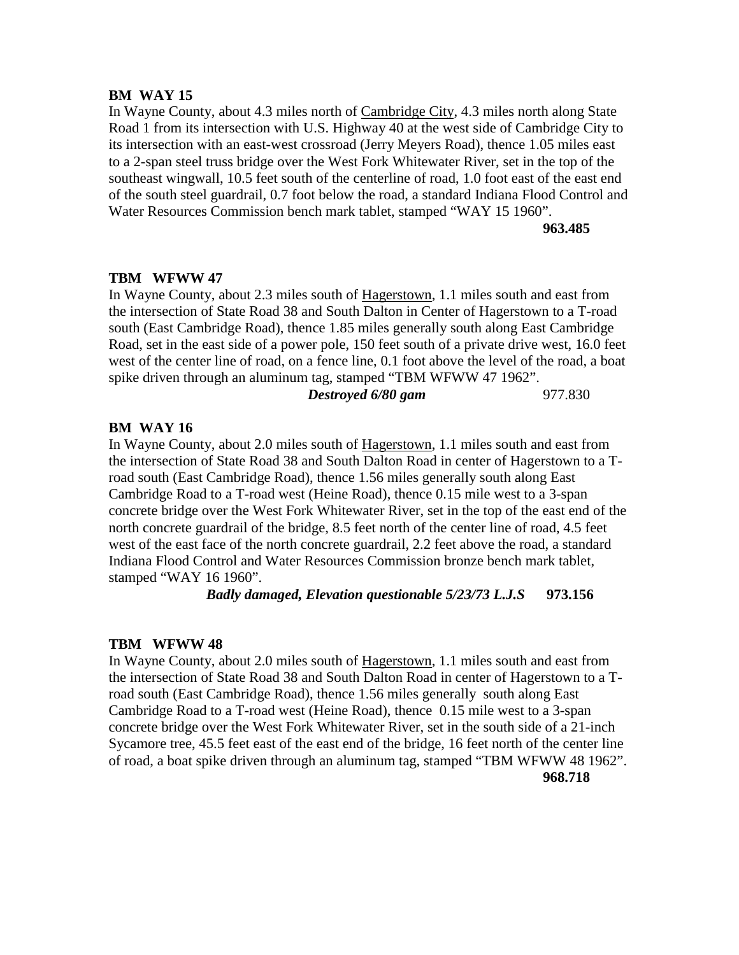## **BM WAY 15**

In Wayne County, about 4.3 miles north of Cambridge City, 4.3 miles north along State Road 1 from its intersection with U.S. Highway 40 at the west side of Cambridge City to its intersection with an east-west crossroad (Jerry Meyers Road), thence 1.05 miles east to a 2-span steel truss bridge over the West Fork Whitewater River, set in the top of the southeast wingwall, 10.5 feet south of the centerline of road, 1.0 foot east of the east end of the south steel guardrail, 0.7 foot below the road, a standard Indiana Flood Control and Water Resources Commission bench mark tablet, stamped "WAY 15 1960".

**963.485**

## **TBM WFWW 47**

In Wayne County, about 2.3 miles south of Hagerstown, 1.1 miles south and east from the intersection of State Road 38 and South Dalton in Center of Hagerstown to a T-road south (East Cambridge Road), thence 1.85 miles generally south along East Cambridge Road, set in the east side of a power pole, 150 feet south of a private drive west, 16.0 feet west of the center line of road, on a fence line, 0.1 foot above the level of the road, a boat spike driven through an aluminum tag, stamped "TBM WFWW 47 1962". *Destroyed 6/80 gam* 977.830

## **BM WAY 16**

In Wayne County, about 2.0 miles south of Hagerstown, 1.1 miles south and east from the intersection of State Road 38 and South Dalton Road in center of Hagerstown to a Troad south (East Cambridge Road), thence 1.56 miles generally south along East Cambridge Road to a T-road west (Heine Road), thence 0.15 mile west to a 3-span concrete bridge over the West Fork Whitewater River, set in the top of the east end of the north concrete guardrail of the bridge, 8.5 feet north of the center line of road, 4.5 feet west of the east face of the north concrete guardrail, 2.2 feet above the road, a standard Indiana Flood Control and Water Resources Commission bronze bench mark tablet, stamped "WAY 16 1960".

## *Badly damaged, Elevation questionable 5/23/73 L.J.S* **973.156**

## **TBM WFWW 48**

In Wayne County, about 2.0 miles south of Hagerstown, 1.1 miles south and east from the intersection of State Road 38 and South Dalton Road in center of Hagerstown to a Troad south (East Cambridge Road), thence 1.56 miles generally south along East Cambridge Road to a T-road west (Heine Road), thence 0.15 mile west to a 3-span concrete bridge over the West Fork Whitewater River, set in the south side of a 21-inch Sycamore tree, 45.5 feet east of the east end of the bridge, 16 feet north of the center line of road, a boat spike driven through an aluminum tag, stamped "TBM WFWW 48 1962". **968.718**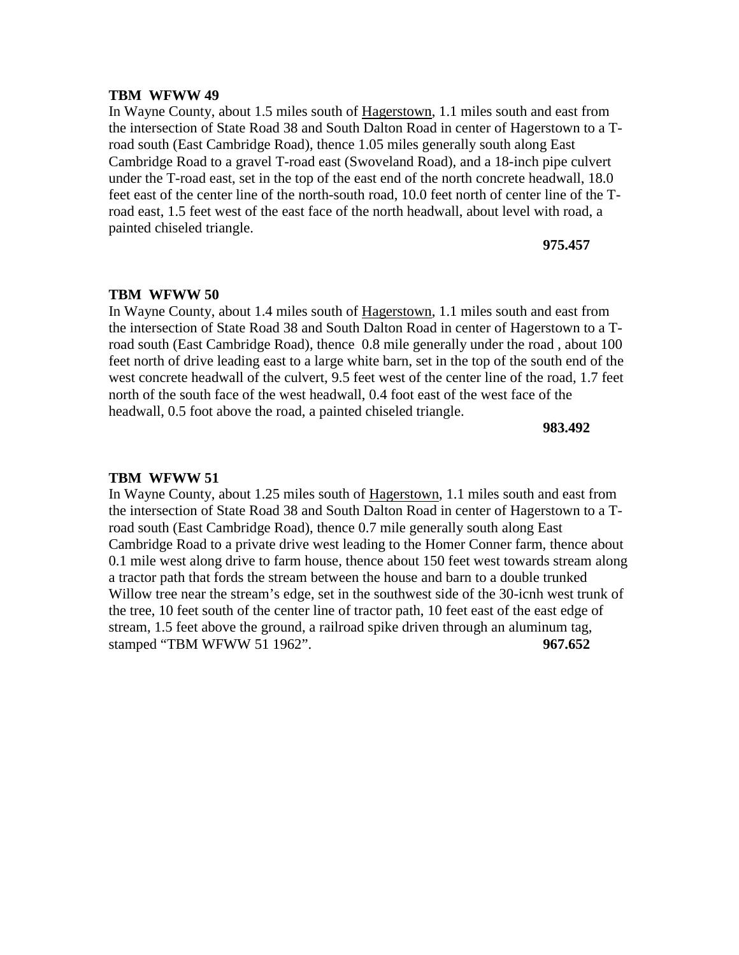In Wayne County, about 1.5 miles south of Hagerstown, 1.1 miles south and east from the intersection of State Road 38 and South Dalton Road in center of Hagerstown to a Troad south (East Cambridge Road), thence 1.05 miles generally south along East Cambridge Road to a gravel T-road east (Swoveland Road), and a 18-inch pipe culvert under the T-road east, set in the top of the east end of the north concrete headwall, 18.0 feet east of the center line of the north-south road, 10.0 feet north of center line of the Troad east, 1.5 feet west of the east face of the north headwall, about level with road, a painted chiseled triangle.

#### **975.457**

### **TBM WFWW 50**

In Wayne County, about 1.4 miles south of Hagerstown, 1.1 miles south and east from the intersection of State Road 38 and South Dalton Road in center of Hagerstown to a Troad south (East Cambridge Road), thence 0.8 mile generally under the road , about 100 feet north of drive leading east to a large white barn, set in the top of the south end of the west concrete headwall of the culvert, 9.5 feet west of the center line of the road, 1.7 feet north of the south face of the west headwall, 0.4 foot east of the west face of the headwall, 0.5 foot above the road, a painted chiseled triangle.

**983.492**

#### **TBM WFWW 51**

In Wayne County, about 1.25 miles south of Hagerstown, 1.1 miles south and east from the intersection of State Road 38 and South Dalton Road in center of Hagerstown to a Troad south (East Cambridge Road), thence 0.7 mile generally south along East Cambridge Road to a private drive west leading to the Homer Conner farm, thence about 0.1 mile west along drive to farm house, thence about 150 feet west towards stream along a tractor path that fords the stream between the house and barn to a double trunked Willow tree near the stream's edge, set in the southwest side of the 30-icnh west trunk of the tree, 10 feet south of the center line of tractor path, 10 feet east of the east edge of stream, 1.5 feet above the ground, a railroad spike driven through an aluminum tag, stamped "TBM WFWW 51 1962". **967.652**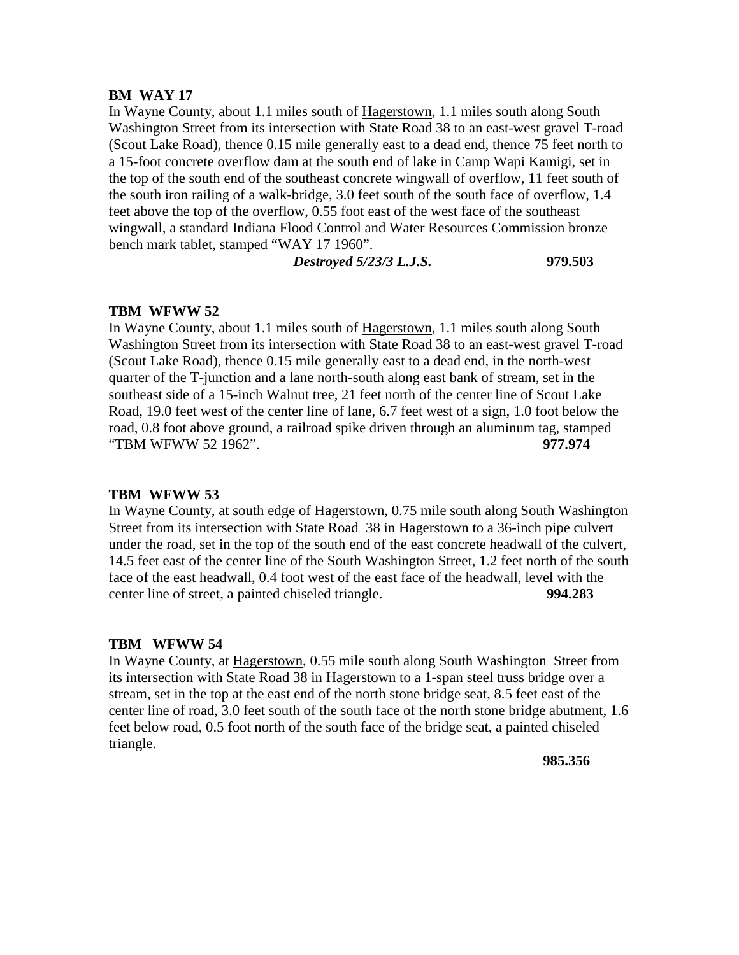#### **BM WAY 17**

In Wayne County, about 1.1 miles south of Hagerstown, 1.1 miles south along South Washington Street from its intersection with State Road 38 to an east-west gravel T-road (Scout Lake Road), thence 0.15 mile generally east to a dead end, thence 75 feet north to a 15-foot concrete overflow dam at the south end of lake in Camp Wapi Kamigi, set in the top of the south end of the southeast concrete wingwall of overflow, 11 feet south of the south iron railing of a walk-bridge, 3.0 feet south of the south face of overflow, 1.4 feet above the top of the overflow, 0.55 foot east of the west face of the southeast wingwall, a standard Indiana Flood Control and Water Resources Commission bronze bench mark tablet, stamped "WAY 17 1960".

*Destroyed 5/23/3 L.J.S.* **979.503**

## **TBM WFWW 52**

In Wayne County, about 1.1 miles south of Hagerstown, 1.1 miles south along South Washington Street from its intersection with State Road 38 to an east-west gravel T-road (Scout Lake Road), thence 0.15 mile generally east to a dead end, in the north-west quarter of the T-junction and a lane north-south along east bank of stream, set in the southeast side of a 15-inch Walnut tree, 21 feet north of the center line of Scout Lake Road, 19.0 feet west of the center line of lane, 6.7 feet west of a sign, 1.0 foot below the road, 0.8 foot above ground, a railroad spike driven through an aluminum tag, stamped "TBM WFWW 52 1962". **977.974**

#### **TBM WFWW 53**

In Wayne County, at south edge of Hagerstown, 0.75 mile south along South Washington Street from its intersection with State Road 38 in Hagerstown to a 36-inch pipe culvert under the road, set in the top of the south end of the east concrete headwall of the culvert, 14.5 feet east of the center line of the South Washington Street, 1.2 feet north of the south face of the east headwall, 0.4 foot west of the east face of the headwall, level with the center line of street, a painted chiseled triangle. **994.283**

#### **TBM WFWW 54**

In Wayne County, at Hagerstown, 0.55 mile south along South Washington Street from its intersection with State Road 38 in Hagerstown to a 1-span steel truss bridge over a stream, set in the top at the east end of the north stone bridge seat, 8.5 feet east of the center line of road, 3.0 feet south of the south face of the north stone bridge abutment, 1.6 feet below road, 0.5 foot north of the south face of the bridge seat, a painted chiseled triangle.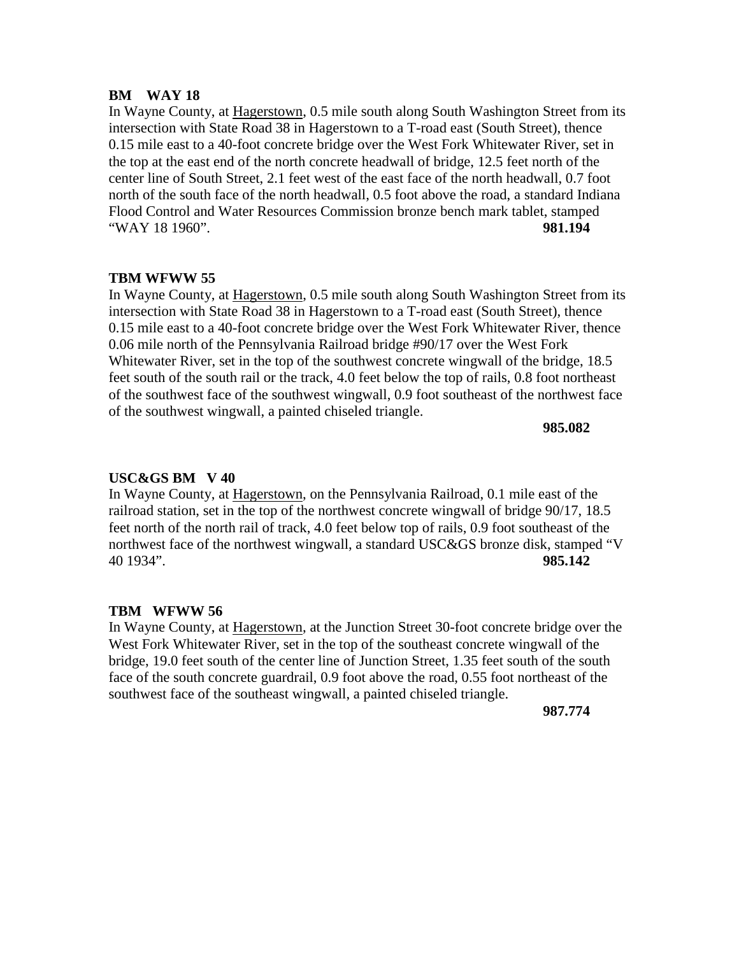## **BM WAY 18**

In Wayne County, at Hagerstown, 0.5 mile south along South Washington Street from its intersection with State Road 38 in Hagerstown to a T-road east (South Street), thence 0.15 mile east to a 40-foot concrete bridge over the West Fork Whitewater River, set in the top at the east end of the north concrete headwall of bridge, 12.5 feet north of the center line of South Street, 2.1 feet west of the east face of the north headwall, 0.7 foot north of the south face of the north headwall, 0.5 foot above the road, a standard Indiana Flood Control and Water Resources Commission bronze bench mark tablet, stamped "WAY 18 1960". **981.194**

## **TBM WFWW 55**

In Wayne County, at Hagerstown, 0.5 mile south along South Washington Street from its intersection with State Road 38 in Hagerstown to a T-road east (South Street), thence 0.15 mile east to a 40-foot concrete bridge over the West Fork Whitewater River, thence 0.06 mile north of the Pennsylvania Railroad bridge #90/17 over the West Fork Whitewater River, set in the top of the southwest concrete wingwall of the bridge, 18.5 feet south of the south rail or the track, 4.0 feet below the top of rails, 0.8 foot northeast of the southwest face of the southwest wingwall, 0.9 foot southeast of the northwest face of the southwest wingwall, a painted chiseled triangle.

**985.082**

## **USC&GS BM V 40**

In Wayne County, at Hagerstown, on the Pennsylvania Railroad, 0.1 mile east of the railroad station, set in the top of the northwest concrete wingwall of bridge 90/17, 18.5 feet north of the north rail of track, 4.0 feet below top of rails, 0.9 foot southeast of the northwest face of the northwest wingwall, a standard USC&GS bronze disk, stamped "V 40 1934". **985.142**

## **TBM WFWW 56**

In Wayne County, at Hagerstown, at the Junction Street 30-foot concrete bridge over the West Fork Whitewater River, set in the top of the southeast concrete wingwall of the bridge, 19.0 feet south of the center line of Junction Street, 1.35 feet south of the south face of the south concrete guardrail, 0.9 foot above the road, 0.55 foot northeast of the southwest face of the southeast wingwall, a painted chiseled triangle.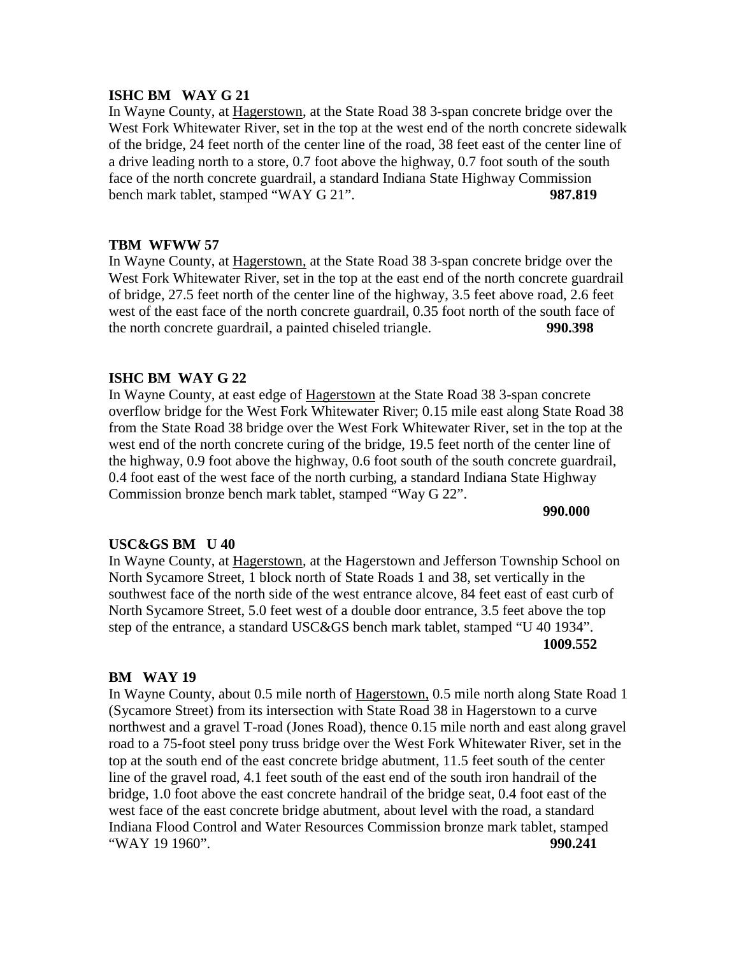### **ISHC BM WAY G 21**

In Wayne County, at Hagerstown, at the State Road 38 3-span concrete bridge over the West Fork Whitewater River, set in the top at the west end of the north concrete sidewalk of the bridge, 24 feet north of the center line of the road, 38 feet east of the center line of a drive leading north to a store, 0.7 foot above the highway, 0.7 foot south of the south face of the north concrete guardrail, a standard Indiana State Highway Commission bench mark tablet, stamped "WAY G 21". **987.819**

## **TBM WFWW 57**

In Wayne County, at Hagerstown, at the State Road 38 3-span concrete bridge over the West Fork Whitewater River, set in the top at the east end of the north concrete guardrail of bridge, 27.5 feet north of the center line of the highway, 3.5 feet above road, 2.6 feet west of the east face of the north concrete guardrail, 0.35 foot north of the south face of the north concrete guardrail, a painted chiseled triangle. **990.398**

## **ISHC BM WAY G 22**

In Wayne County, at east edge of Hagerstown at the State Road 38 3-span concrete overflow bridge for the West Fork Whitewater River; 0.15 mile east along State Road 38 from the State Road 38 bridge over the West Fork Whitewater River, set in the top at the west end of the north concrete curing of the bridge, 19.5 feet north of the center line of the highway, 0.9 foot above the highway, 0.6 foot south of the south concrete guardrail, 0.4 foot east of the west face of the north curbing, a standard Indiana State Highway Commission bronze bench mark tablet, stamped "Way G 22".

#### **990.000**

#### **USC&GS BM U 40**

In Wayne County, at Hagerstown, at the Hagerstown and Jefferson Township School on North Sycamore Street, 1 block north of State Roads 1 and 38, set vertically in the southwest face of the north side of the west entrance alcove, 84 feet east of east curb of North Sycamore Street, 5.0 feet west of a double door entrance, 3.5 feet above the top step of the entrance, a standard USC&GS bench mark tablet, stamped "U 40 1934". **1009.552**

#### **BM WAY 19**

In Wayne County, about 0.5 mile north of Hagerstown, 0.5 mile north along State Road 1 (Sycamore Street) from its intersection with State Road 38 in Hagerstown to a curve northwest and a gravel T-road (Jones Road), thence 0.15 mile north and east along gravel road to a 75-foot steel pony truss bridge over the West Fork Whitewater River, set in the top at the south end of the east concrete bridge abutment, 11.5 feet south of the center line of the gravel road, 4.1 feet south of the east end of the south iron handrail of the bridge, 1.0 foot above the east concrete handrail of the bridge seat, 0.4 foot east of the west face of the east concrete bridge abutment, about level with the road, a standard Indiana Flood Control and Water Resources Commission bronze mark tablet, stamped "WAY 19 1960". **990.241**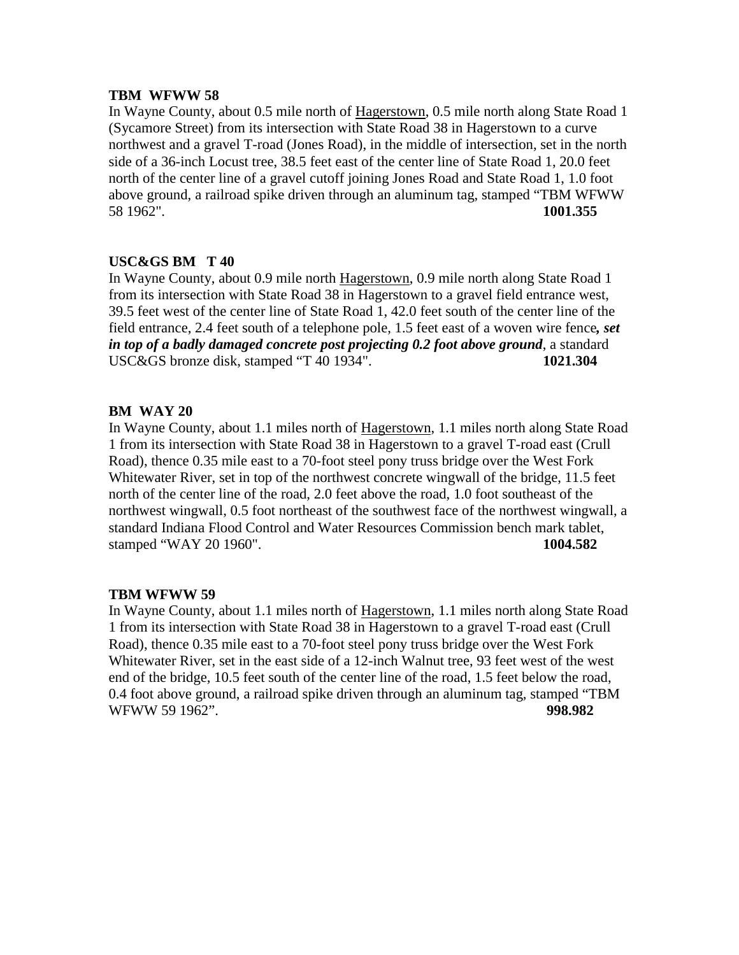In Wayne County, about 0.5 mile north of Hagerstown, 0.5 mile north along State Road 1 (Sycamore Street) from its intersection with State Road 38 in Hagerstown to a curve northwest and a gravel T-road (Jones Road), in the middle of intersection, set in the north side of a 36-inch Locust tree, 38.5 feet east of the center line of State Road 1, 20.0 feet north of the center line of a gravel cutoff joining Jones Road and State Road 1, 1.0 foot above ground, a railroad spike driven through an aluminum tag, stamped "TBM WFWW 58 1962". **1001.355**

## **USC&GS BM T 40**

In Wayne County, about 0.9 mile north Hagerstown, 0.9 mile north along State Road 1 from its intersection with State Road 38 in Hagerstown to a gravel field entrance west, 39.5 feet west of the center line of State Road 1, 42.0 feet south of the center line of the field entrance, 2.4 feet south of a telephone pole, 1.5 feet east of a woven wire fence*, set in top of a badly damaged concrete post projecting 0.2 foot above ground*, a standard USC&GS bronze disk, stamped "T 40 1934". **1021.304**

## **BM WAY 20**

In Wayne County, about 1.1 miles north of Hagerstown, 1.1 miles north along State Road 1 from its intersection with State Road 38 in Hagerstown to a gravel T-road east (Crull Road), thence 0.35 mile east to a 70-foot steel pony truss bridge over the West Fork Whitewater River, set in top of the northwest concrete wingwall of the bridge, 11.5 feet north of the center line of the road, 2.0 feet above the road, 1.0 foot southeast of the northwest wingwall, 0.5 foot northeast of the southwest face of the northwest wingwall, a standard Indiana Flood Control and Water Resources Commission bench mark tablet, stamped "WAY 20 1960". **1004.582**

## **TBM WFWW 59**

In Wayne County, about 1.1 miles north of Hagerstown, 1.1 miles north along State Road 1 from its intersection with State Road 38 in Hagerstown to a gravel T-road east (Crull Road), thence 0.35 mile east to a 70-foot steel pony truss bridge over the West Fork Whitewater River, set in the east side of a 12-inch Walnut tree, 93 feet west of the west end of the bridge, 10.5 feet south of the center line of the road, 1.5 feet below the road, 0.4 foot above ground, a railroad spike driven through an aluminum tag, stamped "TBM WFWW 59 1962". **998.982**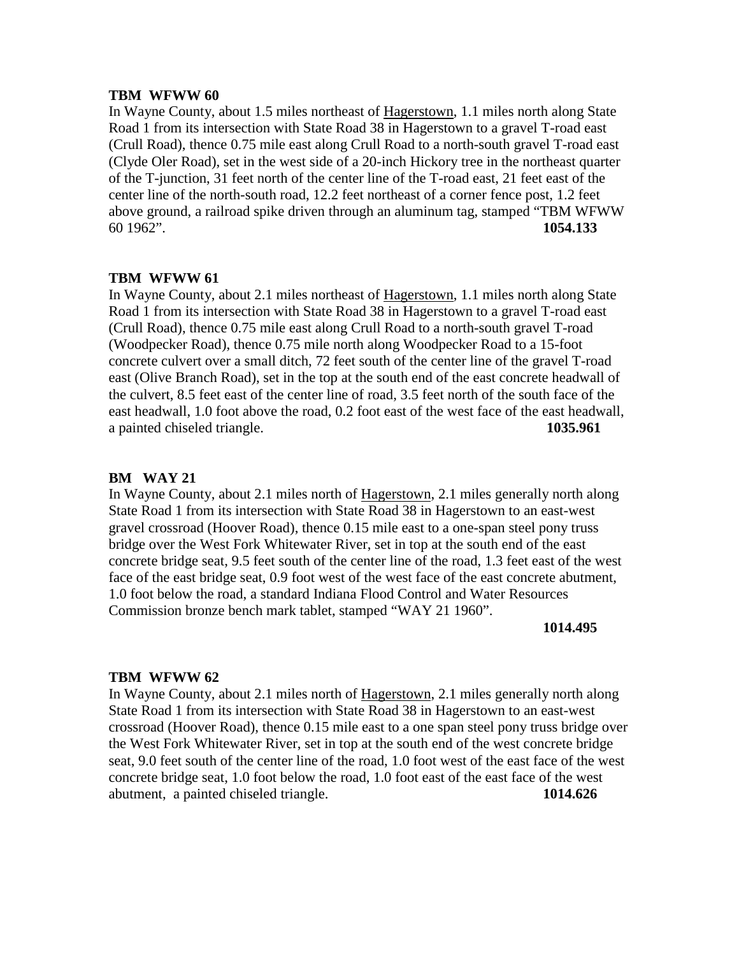In Wayne County, about 1.5 miles northeast of Hagerstown, 1.1 miles north along State Road 1 from its intersection with State Road 38 in Hagerstown to a gravel T-road east (Crull Road), thence 0.75 mile east along Crull Road to a north-south gravel T-road east (Clyde Oler Road), set in the west side of a 20-inch Hickory tree in the northeast quarter of the T-junction, 31 feet north of the center line of the T-road east, 21 feet east of the center line of the north-south road, 12.2 feet northeast of a corner fence post, 1.2 feet above ground, a railroad spike driven through an aluminum tag, stamped "TBM WFWW 60 1962". **1054.133**

#### **TBM WFWW 61**

In Wayne County, about 2.1 miles northeast of Hagerstown, 1.1 miles north along State Road 1 from its intersection with State Road 38 in Hagerstown to a gravel T-road east (Crull Road), thence 0.75 mile east along Crull Road to a north-south gravel T-road (Woodpecker Road), thence 0.75 mile north along Woodpecker Road to a 15-foot concrete culvert over a small ditch, 72 feet south of the center line of the gravel T-road east (Olive Branch Road), set in the top at the south end of the east concrete headwall of the culvert, 8.5 feet east of the center line of road, 3.5 feet north of the south face of the east headwall, 1.0 foot above the road, 0.2 foot east of the west face of the east headwall, a painted chiseled triangle. **1035.961**

## **BM WAY 21**

In Wayne County, about 2.1 miles north of Hagerstown, 2.1 miles generally north along State Road 1 from its intersection with State Road 38 in Hagerstown to an east-west gravel crossroad (Hoover Road), thence 0.15 mile east to a one-span steel pony truss bridge over the West Fork Whitewater River, set in top at the south end of the east concrete bridge seat, 9.5 feet south of the center line of the road, 1.3 feet east of the west face of the east bridge seat, 0.9 foot west of the west face of the east concrete abutment, 1.0 foot below the road, a standard Indiana Flood Control and Water Resources Commission bronze bench mark tablet, stamped "WAY 21 1960".

#### **1014.495**

#### **TBM WFWW 62**

In Wayne County, about 2.1 miles north of Hagerstown, 2.1 miles generally north along State Road 1 from its intersection with State Road 38 in Hagerstown to an east-west crossroad (Hoover Road), thence 0.15 mile east to a one span steel pony truss bridge over the West Fork Whitewater River, set in top at the south end of the west concrete bridge seat, 9.0 feet south of the center line of the road, 1.0 foot west of the east face of the west concrete bridge seat, 1.0 foot below the road, 1.0 foot east of the east face of the west abutment, a painted chiseled triangle. **1014.626**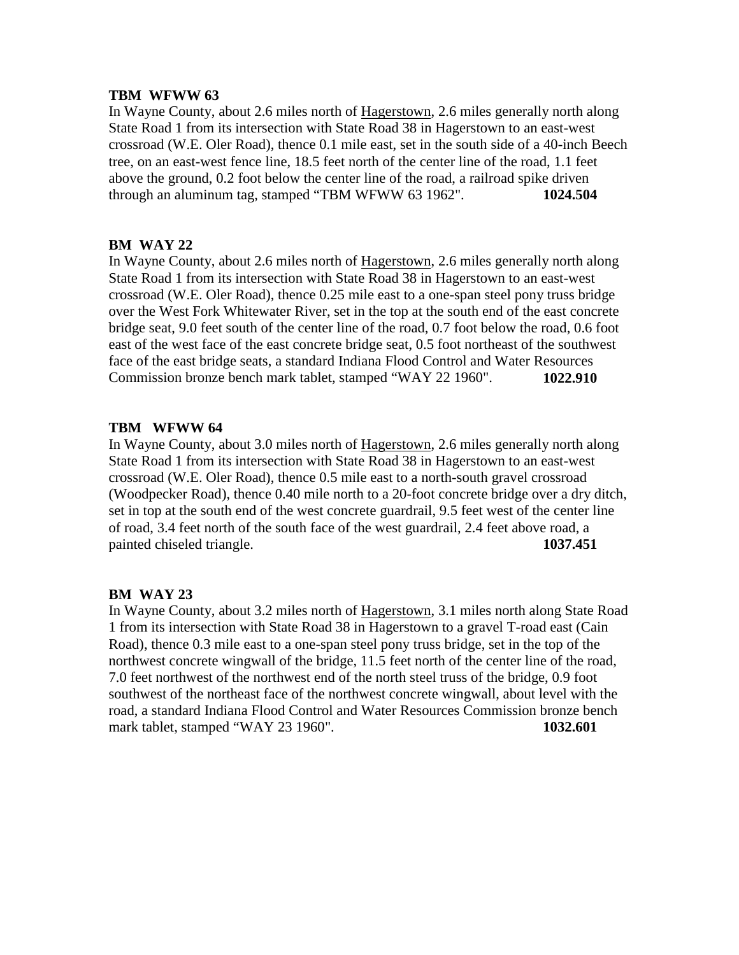In Wayne County, about 2.6 miles north of Hagerstown, 2.6 miles generally north along State Road 1 from its intersection with State Road 38 in Hagerstown to an east-west crossroad (W.E. Oler Road), thence 0.1 mile east, set in the south side of a 40-inch Beech tree, on an east-west fence line, 18.5 feet north of the center line of the road, 1.1 feet above the ground, 0.2 foot below the center line of the road, a railroad spike driven through an aluminum tag, stamped "TBM WFWW 63 1962". **1024.504**

## **BM WAY 22**

In Wayne County, about 2.6 miles north of Hagerstown, 2.6 miles generally north along State Road 1 from its intersection with State Road 38 in Hagerstown to an east-west crossroad (W.E. Oler Road), thence 0.25 mile east to a one-span steel pony truss bridge over the West Fork Whitewater River, set in the top at the south end of the east concrete bridge seat, 9.0 feet south of the center line of the road, 0.7 foot below the road, 0.6 foot east of the west face of the east concrete bridge seat, 0.5 foot northeast of the southwest face of the east bridge seats, a standard Indiana Flood Control and Water Resources Commission bronze bench mark tablet, stamped "WAY 22 1960". **1022.910**

## **TBM WFWW 64**

In Wayne County, about 3.0 miles north of Hagerstown, 2.6 miles generally north along State Road 1 from its intersection with State Road 38 in Hagerstown to an east-west crossroad (W.E. Oler Road), thence 0.5 mile east to a north-south gravel crossroad (Woodpecker Road), thence 0.40 mile north to a 20-foot concrete bridge over a dry ditch, set in top at the south end of the west concrete guardrail, 9.5 feet west of the center line of road, 3.4 feet north of the south face of the west guardrail, 2.4 feet above road, a painted chiseled triangle. **1037.451** 

## **BM WAY 23**

In Wayne County, about 3.2 miles north of Hagerstown, 3.1 miles north along State Road 1 from its intersection with State Road 38 in Hagerstown to a gravel T-road east (Cain Road), thence 0.3 mile east to a one-span steel pony truss bridge, set in the top of the northwest concrete wingwall of the bridge, 11.5 feet north of the center line of the road, 7.0 feet northwest of the northwest end of the north steel truss of the bridge, 0.9 foot southwest of the northeast face of the northwest concrete wingwall, about level with the road, a standard Indiana Flood Control and Water Resources Commission bronze bench mark tablet, stamped "WAY 23 1960". **1032.601**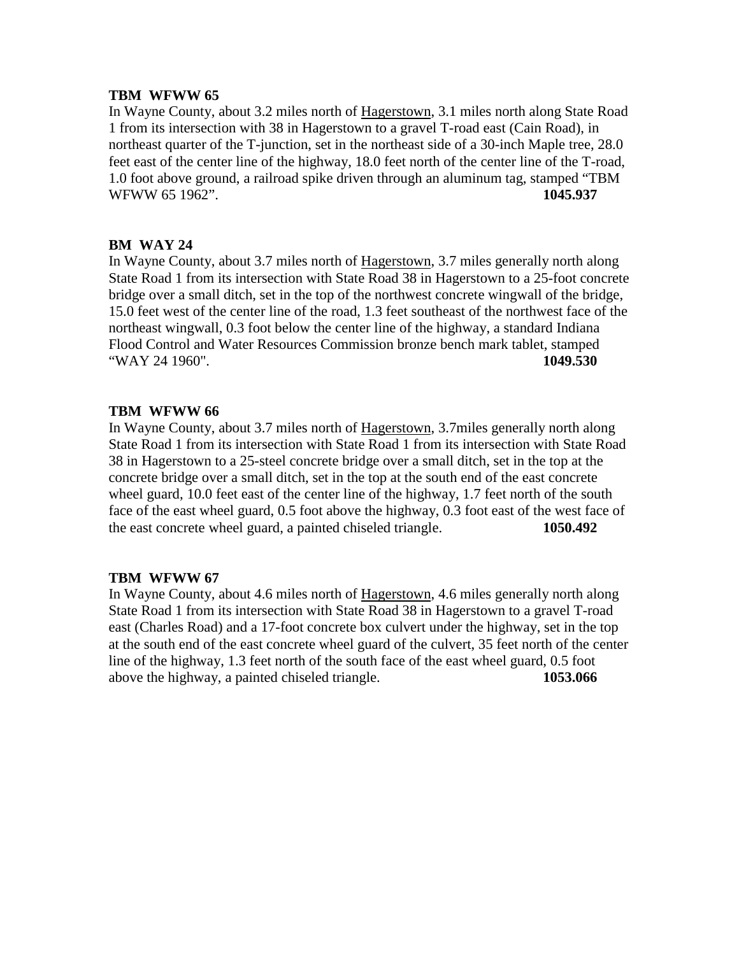In Wayne County, about 3.2 miles north of Hagerstown, 3.1 miles north along State Road 1 from its intersection with 38 in Hagerstown to a gravel T-road east (Cain Road), in northeast quarter of the T-junction, set in the northeast side of a 30-inch Maple tree, 28.0 feet east of the center line of the highway, 18.0 feet north of the center line of the T-road, 1.0 foot above ground, a railroad spike driven through an aluminum tag, stamped "TBM WFWW 65 1962". **1045.937**

## **BM WAY 24**

In Wayne County, about 3.7 miles north of Hagerstown, 3.7 miles generally north along State Road 1 from its intersection with State Road 38 in Hagerstown to a 25-foot concrete bridge over a small ditch, set in the top of the northwest concrete wingwall of the bridge, 15.0 feet west of the center line of the road, 1.3 feet southeast of the northwest face of the northeast wingwall, 0.3 foot below the center line of the highway, a standard Indiana Flood Control and Water Resources Commission bronze bench mark tablet, stamped "WAY 24 1960". **1049.530**

## **TBM WFWW 66**

In Wayne County, about 3.7 miles north of Hagerstown, 3.7miles generally north along State Road 1 from its intersection with State Road 1 from its intersection with State Road 38 in Hagerstown to a 25-steel concrete bridge over a small ditch, set in the top at the concrete bridge over a small ditch, set in the top at the south end of the east concrete wheel guard, 10.0 feet east of the center line of the highway, 1.7 feet north of the south face of the east wheel guard, 0.5 foot above the highway, 0.3 foot east of the west face of the east concrete wheel guard, a painted chiseled triangle. **1050.492**

# **TBM WFWW 67**

In Wayne County, about 4.6 miles north of Hagerstown, 4.6 miles generally north along State Road 1 from its intersection with State Road 38 in Hagerstown to a gravel T-road east (Charles Road) and a 17-foot concrete box culvert under the highway, set in the top at the south end of the east concrete wheel guard of the culvert, 35 feet north of the center line of the highway, 1.3 feet north of the south face of the east wheel guard, 0.5 foot above the highway, a painted chiseled triangle. **1053.066**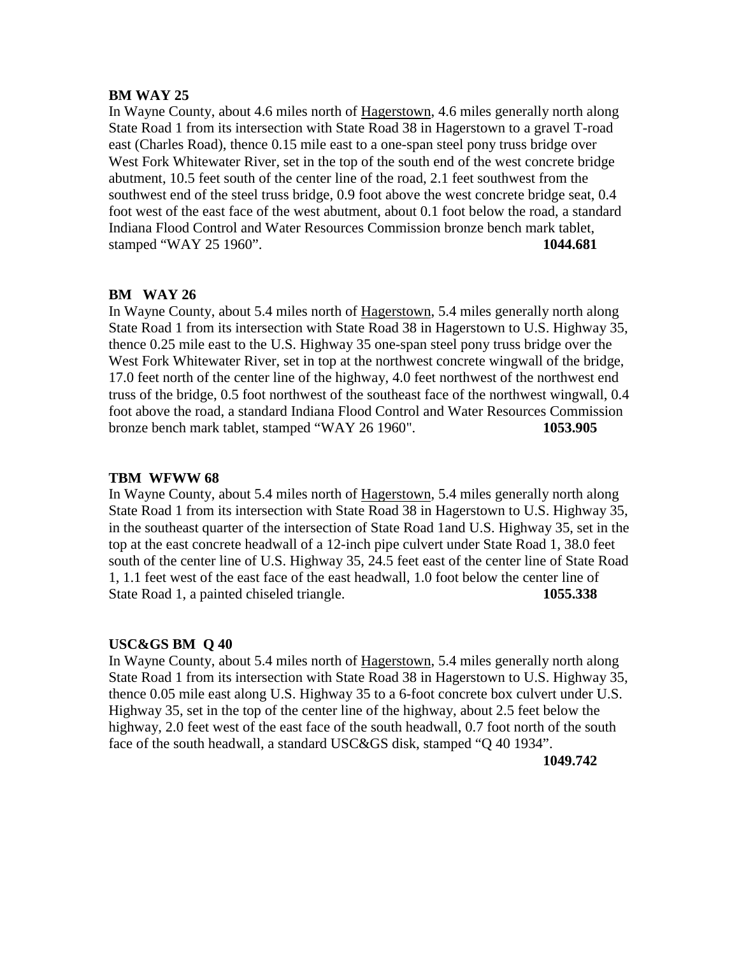#### **BM WAY 25**

In Wayne County, about 4.6 miles north of Hagerstown, 4.6 miles generally north along State Road 1 from its intersection with State Road 38 in Hagerstown to a gravel T-road east (Charles Road), thence 0.15 mile east to a one-span steel pony truss bridge over West Fork Whitewater River, set in the top of the south end of the west concrete bridge abutment, 10.5 feet south of the center line of the road, 2.1 feet southwest from the southwest end of the steel truss bridge, 0.9 foot above the west concrete bridge seat, 0.4 foot west of the east face of the west abutment, about 0.1 foot below the road, a standard Indiana Flood Control and Water Resources Commission bronze bench mark tablet, stamped "WAY 25 1960". **1044.681**

#### **BM WAY 26**

In Wayne County, about 5.4 miles north of Hagerstown, 5.4 miles generally north along State Road 1 from its intersection with State Road 38 in Hagerstown to U.S. Highway 35, thence 0.25 mile east to the U.S. Highway 35 one-span steel pony truss bridge over the West Fork Whitewater River, set in top at the northwest concrete wingwall of the bridge, 17.0 feet north of the center line of the highway, 4.0 feet northwest of the northwest end truss of the bridge, 0.5 foot northwest of the southeast face of the northwest wingwall, 0.4 foot above the road, a standard Indiana Flood Control and Water Resources Commission bronze bench mark tablet, stamped "WAY 26 1960". **1053.905**

#### **TBM WFWW 68**

In Wayne County, about 5.4 miles north of Hagerstown, 5.4 miles generally north along State Road 1 from its intersection with State Road 38 in Hagerstown to U.S. Highway 35, in the southeast quarter of the intersection of State Road 1and U.S. Highway 35, set in the top at the east concrete headwall of a 12-inch pipe culvert under State Road 1, 38.0 feet south of the center line of U.S. Highway 35, 24.5 feet east of the center line of State Road 1, 1.1 feet west of the east face of the east headwall, 1.0 foot below the center line of State Road 1, a painted chiseled triangle. **1055.338**

#### **USC&GS BM Q 40**

In Wayne County, about 5.4 miles north of Hagerstown, 5.4 miles generally north along State Road 1 from its intersection with State Road 38 in Hagerstown to U.S. Highway 35, thence 0.05 mile east along U.S. Highway 35 to a 6-foot concrete box culvert under U.S. Highway 35, set in the top of the center line of the highway, about 2.5 feet below the highway, 2.0 feet west of the east face of the south headwall, 0.7 foot north of the south face of the south headwall, a standard USC&GS disk, stamped "Q 40 1934".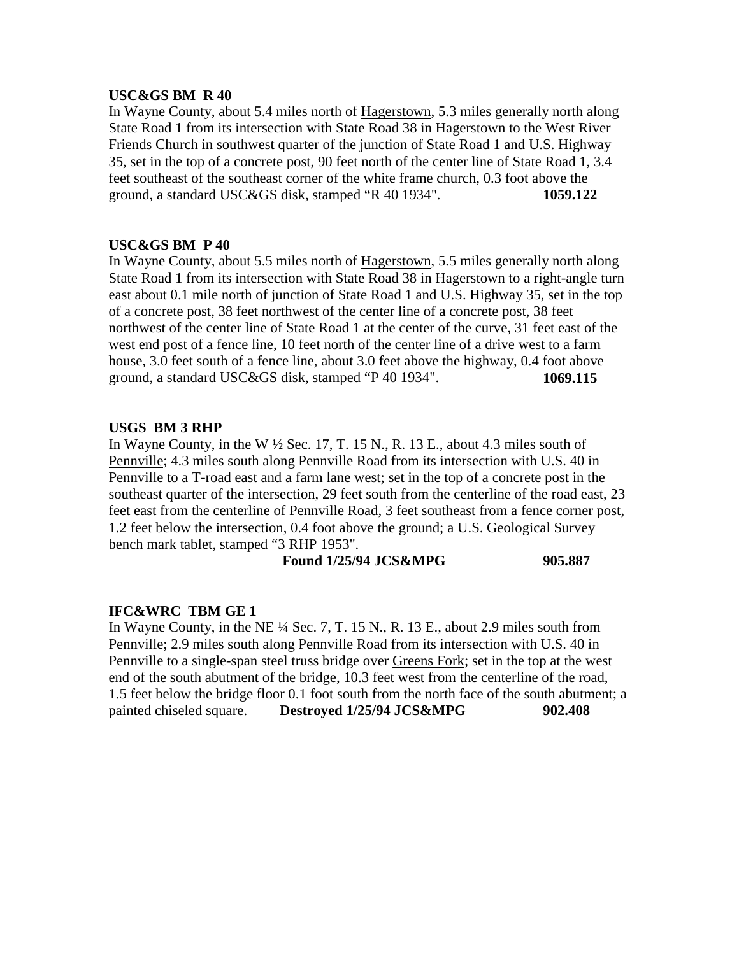#### **USC&GS BM R 40**

In Wayne County, about 5.4 miles north of Hagerstown, 5.3 miles generally north along State Road 1 from its intersection with State Road 38 in Hagerstown to the West River Friends Church in southwest quarter of the junction of State Road 1 and U.S. Highway 35, set in the top of a concrete post, 90 feet north of the center line of State Road 1, 3.4 feet southeast of the southeast corner of the white frame church, 0.3 foot above the ground, a standard USC&GS disk, stamped "R 40 1934". **1059.122**

#### **USC&GS BM P 40**

In Wayne County, about 5.5 miles north of Hagerstown, 5.5 miles generally north along State Road 1 from its intersection with State Road 38 in Hagerstown to a right-angle turn east about 0.1 mile north of junction of State Road 1 and U.S. Highway 35, set in the top of a concrete post, 38 feet northwest of the center line of a concrete post, 38 feet northwest of the center line of State Road 1 at the center of the curve, 31 feet east of the west end post of a fence line, 10 feet north of the center line of a drive west to a farm house, 3.0 feet south of a fence line, about 3.0 feet above the highway, 0.4 foot above ground, a standard USC&GS disk, stamped "P 40 1934". **1069.115**

#### **USGS BM 3 RHP**

In Wayne County, in the W  $\frac{1}{2}$  Sec. 17, T. 15 N., R. 13 E., about 4.3 miles south of Pennville; 4.3 miles south along Pennville Road from its intersection with U.S. 40 in Pennville to a T-road east and a farm lane west; set in the top of a concrete post in the southeast quarter of the intersection, 29 feet south from the centerline of the road east, 23 feet east from the centerline of Pennville Road, 3 feet southeast from a fence corner post, 1.2 feet below the intersection, 0.4 foot above the ground; a U.S. Geological Survey bench mark tablet, stamped "3 RHP 1953".

#### **Found 1/25/94 JCS&MPG** 905.887

## **IFC&WRC TBM GE 1**

In Wayne County, in the NE  $\frac{1}{4}$  Sec. 7, T. 15 N., R. 13 E., about 2.9 miles south from Pennville; 2.9 miles south along Pennville Road from its intersection with U.S. 40 in Pennville to a single-span steel truss bridge over Greens Fork; set in the top at the west end of the south abutment of the bridge, 10.3 feet west from the centerline of the road, 1.5 feet below the bridge floor 0.1 foot south from the north face of the south abutment; a painted chiseled square. **Destroyed 1/25/94 JCS&MPG** 902.408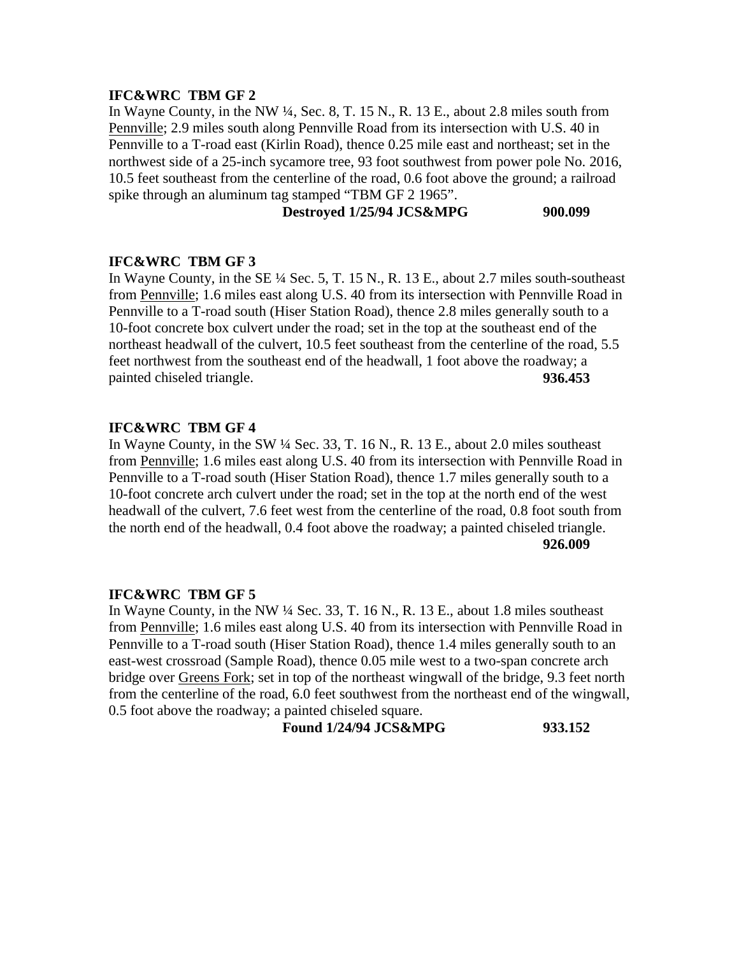In Wayne County, in the NW ¼, Sec. 8, T. 15 N., R. 13 E., about 2.8 miles south from Pennville; 2.9 miles south along Pennville Road from its intersection with U.S. 40 in Pennville to a T-road east (Kirlin Road), thence 0.25 mile east and northeast; set in the northwest side of a 25-inch sycamore tree, 93 foot southwest from power pole No. 2016, 10.5 feet southeast from the centerline of the road, 0.6 foot above the ground; a railroad spike through an aluminum tag stamped "TBM GF 2 1965".

**Destroyed 1/25/94 JCS&MPG 900.099**

## **IFC&WRC TBM GF 3**

In Wayne County, in the SE ¼ Sec. 5, T. 15 N., R. 13 E., about 2.7 miles south-southeast from Pennville; 1.6 miles east along U.S. 40 from its intersection with Pennville Road in Pennville to a T-road south (Hiser Station Road), thence 2.8 miles generally south to a 10-foot concrete box culvert under the road; set in the top at the southeast end of the northeast headwall of the culvert, 10.5 feet southeast from the centerline of the road, 5.5 feet northwest from the southeast end of the headwall, 1 foot above the roadway; a painted chiseled triangle. **936.453** 

## **IFC&WRC TBM GF 4**

In Wayne County, in the SW ¼ Sec. 33, T. 16 N., R. 13 E., about 2.0 miles southeast from Pennville; 1.6 miles east along U.S. 40 from its intersection with Pennville Road in Pennville to a T-road south (Hiser Station Road), thence 1.7 miles generally south to a 10-foot concrete arch culvert under the road; set in the top at the north end of the west headwall of the culvert, 7.6 feet west from the centerline of the road, 0.8 foot south from the north end of the headwall, 0.4 foot above the roadway; a painted chiseled triangle. **926.009**

#### **IFC&WRC TBM GF 5**

In Wayne County, in the NW ¼ Sec. 33, T. 16 N., R. 13 E., about 1.8 miles southeast from Pennville; 1.6 miles east along U.S. 40 from its intersection with Pennville Road in Pennville to a T-road south (Hiser Station Road), thence 1.4 miles generally south to an east-west crossroad (Sample Road), thence 0.05 mile west to a two-span concrete arch bridge over Greens Fork; set in top of the northeast wingwall of the bridge, 9.3 feet north from the centerline of the road, 6.0 feet southwest from the northeast end of the wingwall, 0.5 foot above the roadway; a painted chiseled square.

**Found 1/24/94 JCS&MPG 933.152**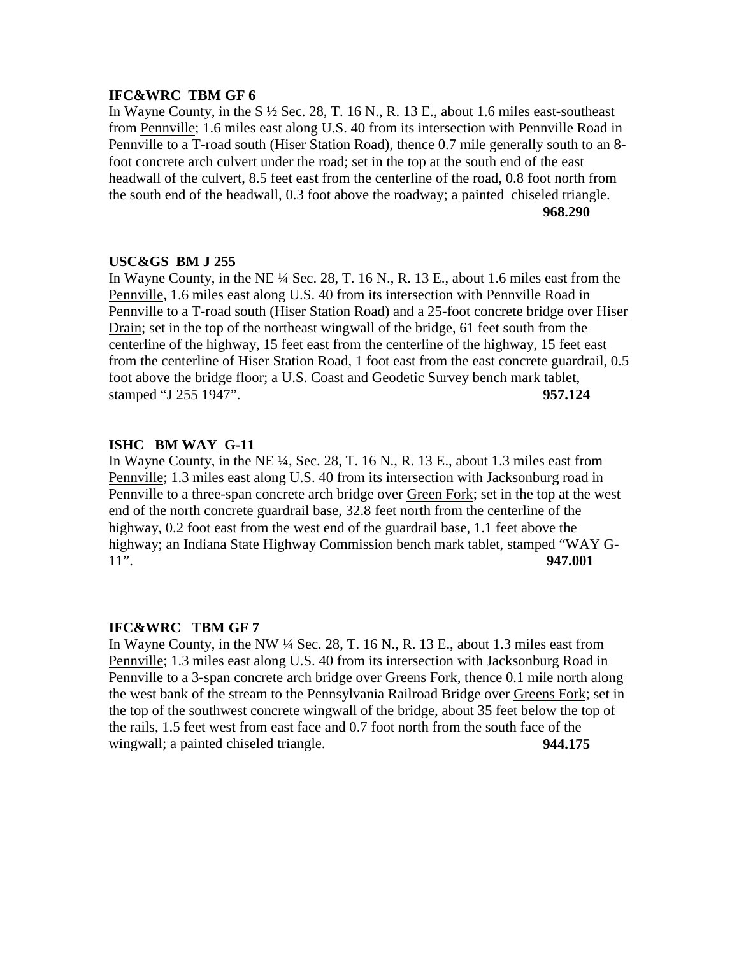In Wayne County, in the S ½ Sec. 28, T. 16 N., R. 13 E., about 1.6 miles east-southeast from Pennville; 1.6 miles east along U.S. 40 from its intersection with Pennville Road in Pennville to a T-road south (Hiser Station Road), thence 0.7 mile generally south to an 8 foot concrete arch culvert under the road; set in the top at the south end of the east headwall of the culvert, 8.5 feet east from the centerline of the road, 0.8 foot north from the south end of the headwall, 0.3 foot above the roadway; a painted chiseled triangle. **968.290**

## **USC&GS BM J 255**

In Wayne County, in the NE ¼ Sec. 28, T. 16 N., R. 13 E., about 1.6 miles east from the Pennville, 1.6 miles east along U.S. 40 from its intersection with Pennville Road in Pennville to a T-road south (Hiser Station Road) and a 25-foot concrete bridge over Hiser Drain; set in the top of the northeast wingwall of the bridge, 61 feet south from the centerline of the highway, 15 feet east from the centerline of the highway, 15 feet east from the centerline of Hiser Station Road, 1 foot east from the east concrete guardrail, 0.5 foot above the bridge floor; a U.S. Coast and Geodetic Survey bench mark tablet, stamped "J 255 1947". **957.124**

## **ISHC BM WAY G-11**

In Wayne County, in the NE  $\frac{1}{4}$ , Sec. 28, T. 16 N., R. 13 E., about 1.3 miles east from Pennville; 1.3 miles east along U.S. 40 from its intersection with Jacksonburg road in Pennville to a three-span concrete arch bridge over Green Fork; set in the top at the west end of the north concrete guardrail base, 32.8 feet north from the centerline of the highway, 0.2 foot east from the west end of the guardrail base, 1.1 feet above the highway; an Indiana State Highway Commission bench mark tablet, stamped "WAY G-11". **947.001**

## **IFC&WRC TBM GF 7**

In Wayne County, in the NW ¼ Sec. 28, T. 16 N., R. 13 E., about 1.3 miles east from Pennville; 1.3 miles east along U.S. 40 from its intersection with Jacksonburg Road in Pennville to a 3-span concrete arch bridge over Greens Fork, thence 0.1 mile north along the west bank of the stream to the Pennsylvania Railroad Bridge over Greens Fork; set in the top of the southwest concrete wingwall of the bridge, about 35 feet below the top of the rails, 1.5 feet west from east face and 0.7 foot north from the south face of the wingwall; a painted chiseled triangle. **944.175**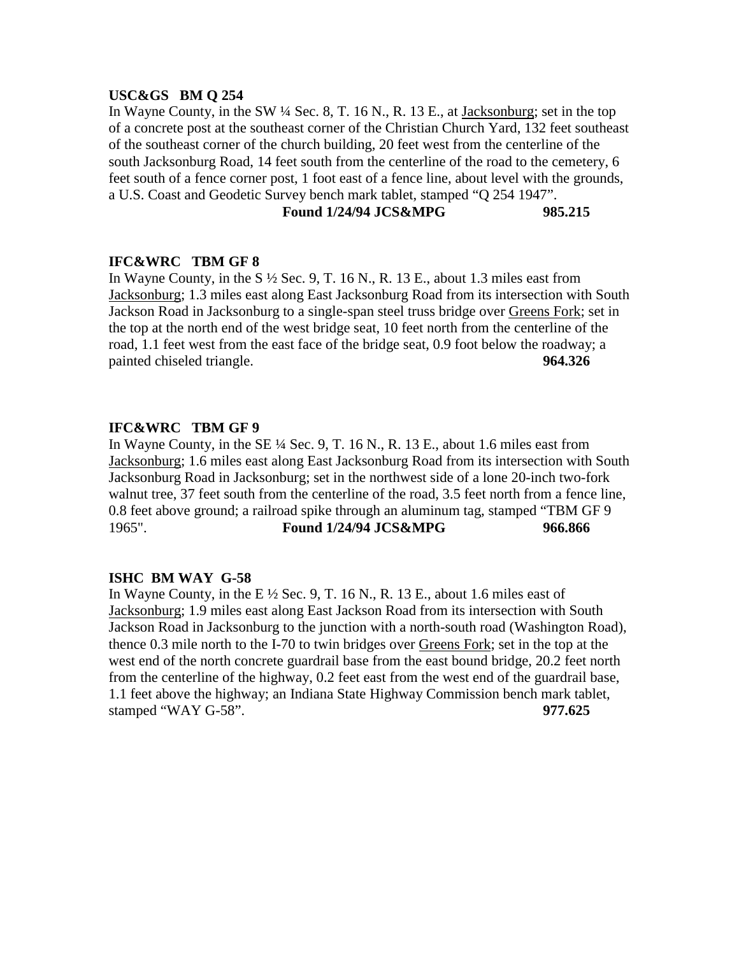#### **USC&GS BM Q 254**

In Wayne County, in the SW ¼ Sec. 8, T. 16 N., R. 13 E., at Jacksonburg; set in the top of a concrete post at the southeast corner of the Christian Church Yard, 132 feet southeast of the southeast corner of the church building, 20 feet west from the centerline of the south Jacksonburg Road, 14 feet south from the centerline of the road to the cemetery, 6 feet south of a fence corner post, 1 foot east of a fence line, about level with the grounds, a U.S. Coast and Geodetic Survey bench mark tablet, stamped "Q 254 1947".

#### **Found 1/24/94 JCS&MPG 985.215**

#### **IFC&WRC TBM GF 8**

In Wayne County, in the S  $\frac{1}{2}$  Sec. 9, T. 16 N., R. 13 E., about 1.3 miles east from Jacksonburg; 1.3 miles east along East Jacksonburg Road from its intersection with South Jackson Road in Jacksonburg to a single-span steel truss bridge over Greens Fork; set in the top at the north end of the west bridge seat, 10 feet north from the centerline of the road, 1.1 feet west from the east face of the bridge seat, 0.9 foot below the roadway; a painted chiseled triangle. **964.326** 

#### **IFC&WRC TBM GF 9**

In Wayne County, in the SE ¼ Sec. 9, T. 16 N., R. 13 E., about 1.6 miles east from Jacksonburg; 1.6 miles east along East Jacksonburg Road from its intersection with South Jacksonburg Road in Jacksonburg; set in the northwest side of a lone 20-inch two-fork walnut tree, 37 feet south from the centerline of the road, 3.5 feet north from a fence line, 0.8 feet above ground; a railroad spike through an aluminum tag, stamped "TBM GF 9 1965". **Found 1/24/94 JCS&MPG 966.866**

#### **ISHC BM WAY G-58**

In Wayne County, in the E  $\frac{1}{2}$  Sec. 9, T. 16 N., R. 13 E., about 1.6 miles east of Jacksonburg; 1.9 miles east along East Jackson Road from its intersection with South Jackson Road in Jacksonburg to the junction with a north-south road (Washington Road), thence 0.3 mile north to the I-70 to twin bridges over Greens Fork; set in the top at the west end of the north concrete guardrail base from the east bound bridge, 20.2 feet north from the centerline of the highway, 0.2 feet east from the west end of the guardrail base, 1.1 feet above the highway; an Indiana State Highway Commission bench mark tablet, stamped "WAY G-58". **977.625**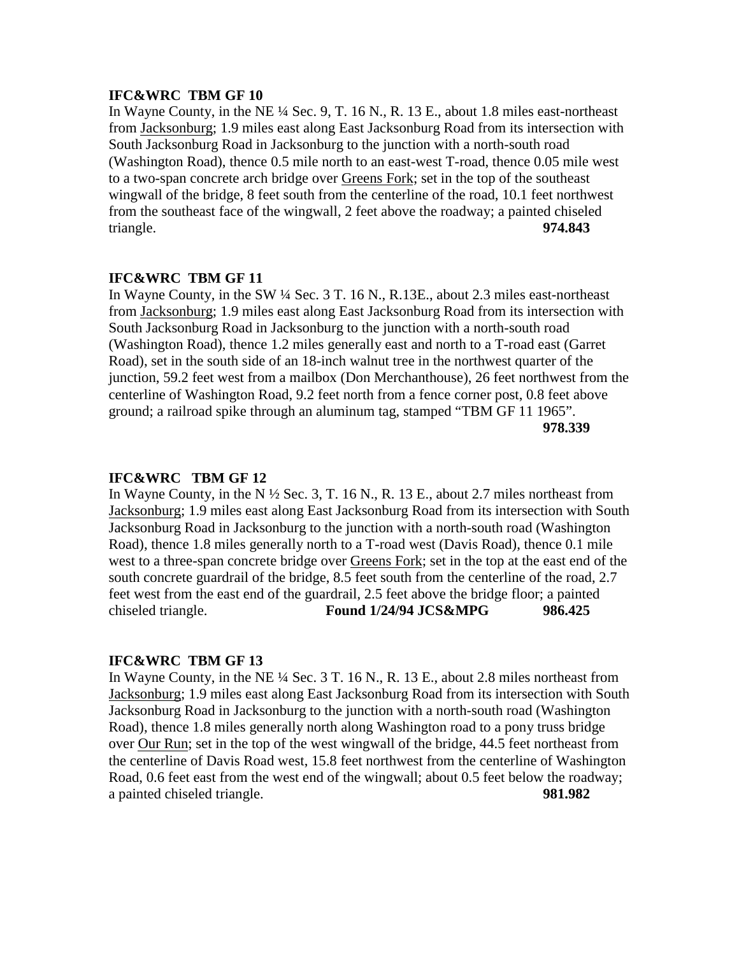In Wayne County, in the NE  $\frac{1}{4}$  Sec. 9, T. 16 N., R. 13 E., about 1.8 miles east-northeast from Jacksonburg; 1.9 miles east along East Jacksonburg Road from its intersection with South Jacksonburg Road in Jacksonburg to the junction with a north-south road (Washington Road), thence 0.5 mile north to an east-west T-road, thence 0.05 mile west to a two-span concrete arch bridge over Greens Fork; set in the top of the southeast wingwall of the bridge, 8 feet south from the centerline of the road, 10.1 feet northwest from the southeast face of the wingwall, 2 feet above the roadway; a painted chiseled triangle. **974.843**

# **IFC&WRC TBM GF 11**

In Wayne County, in the SW ¼ Sec. 3 T. 16 N., R.13E., about 2.3 miles east-northeast from Jacksonburg; 1.9 miles east along East Jacksonburg Road from its intersection with South Jacksonburg Road in Jacksonburg to the junction with a north-south road (Washington Road), thence 1.2 miles generally east and north to a T-road east (Garret Road), set in the south side of an 18-inch walnut tree in the northwest quarter of the junction, 59.2 feet west from a mailbox (Don Merchanthouse), 26 feet northwest from the centerline of Washington Road, 9.2 feet north from a fence corner post, 0.8 feet above ground; a railroad spike through an aluminum tag, stamped "TBM GF 11 1965". **978.339**

## **IFC&WRC TBM GF 12**

In Wayne County, in the N  $\frac{1}{2}$  Sec. 3, T. 16 N., R. 13 E., about 2.7 miles northeast from Jacksonburg; 1.9 miles east along East Jacksonburg Road from its intersection with South Jacksonburg Road in Jacksonburg to the junction with a north-south road (Washington Road), thence 1.8 miles generally north to a T-road west (Davis Road), thence 0.1 mile west to a three-span concrete bridge over Greens Fork; set in the top at the east end of the south concrete guardrail of the bridge, 8.5 feet south from the centerline of the road, 2.7 feet west from the east end of the guardrail, 2.5 feet above the bridge floor; a painted chiseled triangle. **Found 1/24/94 JCS&MPG 986.425**

#### **IFC&WRC TBM GF 13**

In Wayne County, in the NE  $\frac{1}{4}$  Sec. 3 T. 16 N., R. 13 E., about 2.8 miles northeast from Jacksonburg; 1.9 miles east along East Jacksonburg Road from its intersection with South Jacksonburg Road in Jacksonburg to the junction with a north-south road (Washington Road), thence 1.8 miles generally north along Washington road to a pony truss bridge over Our Run; set in the top of the west wingwall of the bridge, 44.5 feet northeast from the centerline of Davis Road west, 15.8 feet northwest from the centerline of Washington Road, 0.6 feet east from the west end of the wingwall; about 0.5 feet below the roadway; a painted chiseled triangle. **981.982**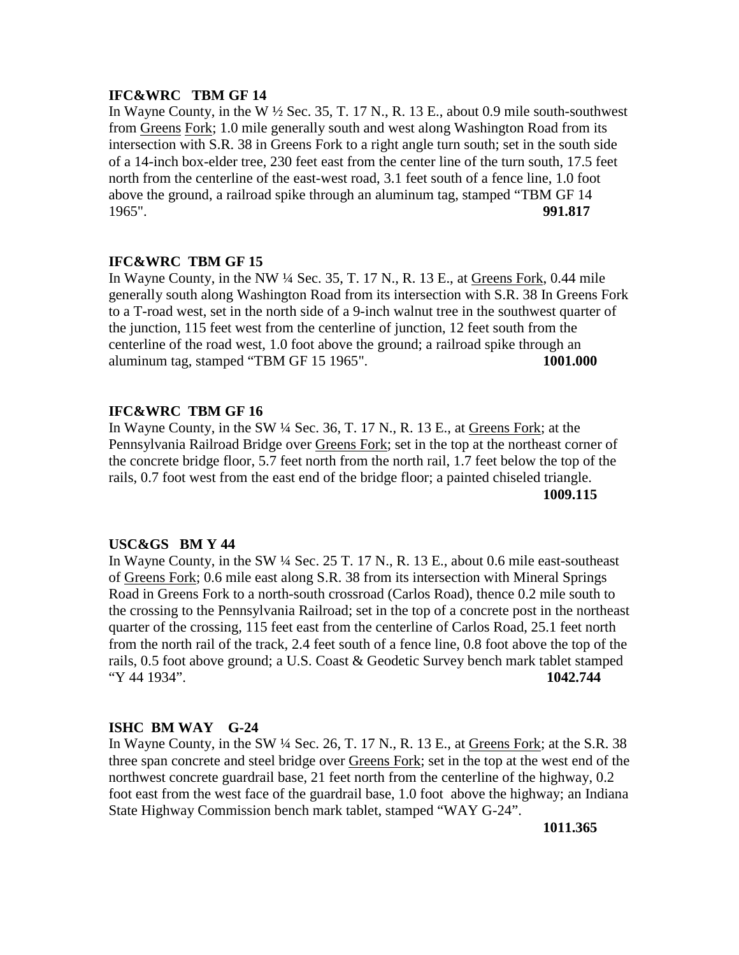In Wayne County, in the W  $\frac{1}{2}$  Sec. 35, T. 17 N., R. 13 E., about 0.9 mile south-southwest from Greens Fork; 1.0 mile generally south and west along Washington Road from its intersection with S.R. 38 in Greens Fork to a right angle turn south; set in the south side of a 14-inch box-elder tree, 230 feet east from the center line of the turn south, 17.5 feet north from the centerline of the east-west road, 3.1 feet south of a fence line, 1.0 foot above the ground, a railroad spike through an aluminum tag, stamped "TBM GF 14 1965". 1965". **991.817**

#### **IFC&WRC TBM GF 15**

In Wayne County, in the NW ¼ Sec. 35, T. 17 N., R. 13 E., at Greens Fork, 0.44 mile generally south along Washington Road from its intersection with S.R. 38 In Greens Fork to a T-road west, set in the north side of a 9-inch walnut tree in the southwest quarter of the junction, 115 feet west from the centerline of junction, 12 feet south from the centerline of the road west, 1.0 foot above the ground; a railroad spike through an aluminum tag, stamped "TBM GF 15 1965". **1001.000**

## **IFC&WRC TBM GF 16**

In Wayne County, in the SW ¼ Sec. 36, T. 17 N., R. 13 E., at Greens Fork; at the Pennsylvania Railroad Bridge over Greens Fork; set in the top at the northeast corner of the concrete bridge floor, 5.7 feet north from the north rail, 1.7 feet below the top of the rails, 0.7 foot west from the east end of the bridge floor; a painted chiseled triangle. **1009.115**

#### **USC&GS BM Y 44**

In Wayne County, in the SW ¼ Sec. 25 T. 17 N., R. 13 E., about 0.6 mile east-southeast of Greens Fork; 0.6 mile east along S.R. 38 from its intersection with Mineral Springs Road in Greens Fork to a north-south crossroad (Carlos Road), thence 0.2 mile south to the crossing to the Pennsylvania Railroad; set in the top of a concrete post in the northeast quarter of the crossing, 115 feet east from the centerline of Carlos Road, 25.1 feet north from the north rail of the track, 2.4 feet south of a fence line, 0.8 foot above the top of the rails, 0.5 foot above ground; a U.S. Coast & Geodetic Survey bench mark tablet stamped "Y 44 1934". **1042.744**

#### **ISHC BM WAY G-24**

In Wayne County, in the SW ¼ Sec. 26, T. 17 N., R. 13 E., at Greens Fork; at the S.R. 38 three span concrete and steel bridge over Greens Fork; set in the top at the west end of the northwest concrete guardrail base, 21 feet north from the centerline of the highway, 0.2 foot east from the west face of the guardrail base, 1.0 foot above the highway; an Indiana State Highway Commission bench mark tablet, stamped "WAY G-24".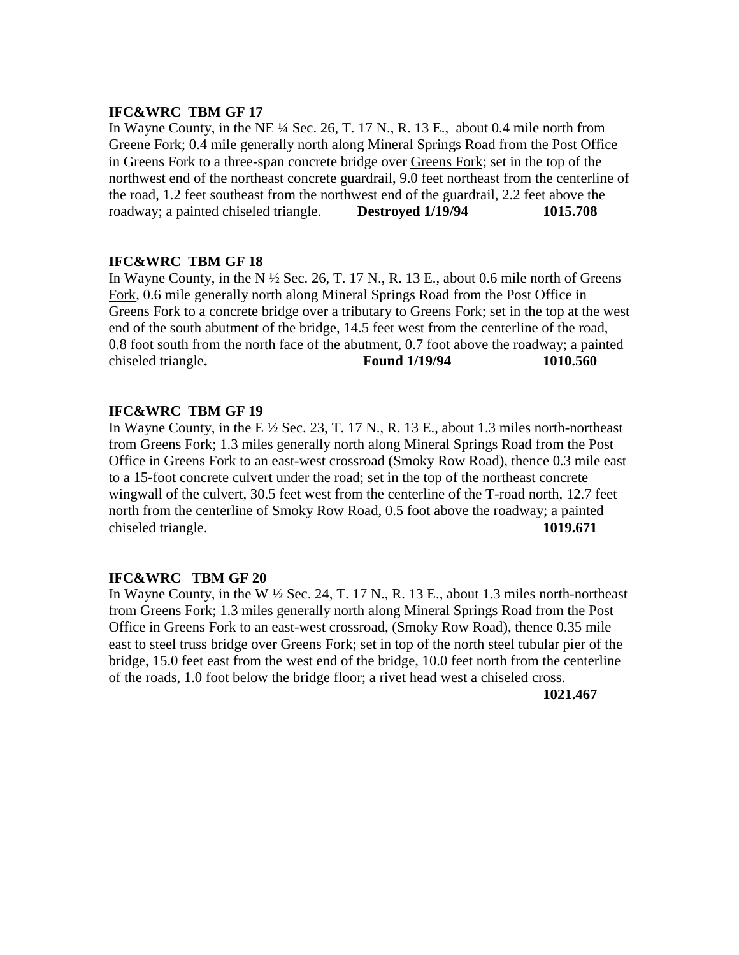In Wayne County, in the NE ¼ Sec. 26, T. 17 N., R. 13 E., about 0.4 mile north from Greene Fork; 0.4 mile generally north along Mineral Springs Road from the Post Office in Greens Fork to a three-span concrete bridge over Greens Fork; set in the top of the northwest end of the northeast concrete guardrail, 9.0 feet northeast from the centerline of the road, 1.2 feet southeast from the northwest end of the guardrail, 2.2 feet above the roadway; a painted chiseled triangle. **Destroyed 1/19/94 1015.708**

## **IFC&WRC TBM GF 18**

In Wayne County, in the N  $\frac{1}{2}$  Sec. 26, T. 17 N., R. 13 E., about 0.6 mile north of Greens Fork, 0.6 mile generally north along Mineral Springs Road from the Post Office in Greens Fork to a concrete bridge over a tributary to Greens Fork; set in the top at the west end of the south abutment of the bridge, 14.5 feet west from the centerline of the road, 0.8 foot south from the north face of the abutment, 0.7 foot above the roadway; a painted chiseled triangle**. Found 1/19/94 1010.560**

## **IFC&WRC TBM GF 19**

In Wayne County, in the E  $\frac{1}{2}$  Sec. 23, T. 17 N., R. 13 E., about 1.3 miles north-northeast from Greens Fork; 1.3 miles generally north along Mineral Springs Road from the Post Office in Greens Fork to an east-west crossroad (Smoky Row Road), thence 0.3 mile east to a 15-foot concrete culvert under the road; set in the top of the northeast concrete wingwall of the culvert, 30.5 feet west from the centerline of the T-road north, 12.7 feet north from the centerline of Smoky Row Road, 0.5 foot above the roadway; a painted chiseled triangle. **1019.671**

## **IFC&WRC TBM GF 20**

In Wayne County, in the W ½ Sec. 24, T. 17 N., R. 13 E., about 1.3 miles north-northeast from Greens Fork; 1.3 miles generally north along Mineral Springs Road from the Post Office in Greens Fork to an east-west crossroad, (Smoky Row Road), thence 0.35 mile east to steel truss bridge over Greens Fork; set in top of the north steel tubular pier of the bridge, 15.0 feet east from the west end of the bridge, 10.0 feet north from the centerline of the roads, 1.0 foot below the bridge floor; a rivet head west a chiseled cross.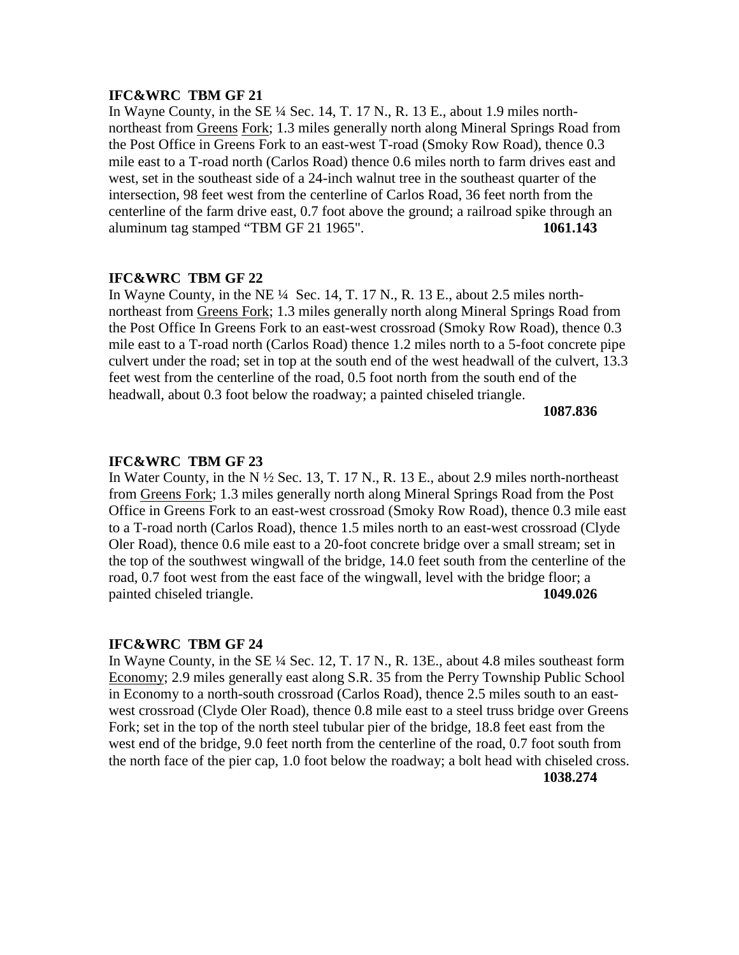In Wayne County, in the SE ¼ Sec. 14, T. 17 N., R. 13 E., about 1.9 miles northnortheast from Greens Fork; 1.3 miles generally north along Mineral Springs Road from the Post Office in Greens Fork to an east-west T-road (Smoky Row Road), thence 0.3 mile east to a T-road north (Carlos Road) thence 0.6 miles north to farm drives east and west, set in the southeast side of a 24-inch walnut tree in the southeast quarter of the intersection, 98 feet west from the centerline of Carlos Road, 36 feet north from the centerline of the farm drive east, 0.7 foot above the ground; a railroad spike through an aluminum tag stamped "TBM GF 21 1965". **1061.143**

# **IFC&WRC TBM GF 22**

In Wayne County, in the NE  $\frac{1}{4}$  Sec. 14, T. 17 N., R. 13 E., about 2.5 miles northnortheast from Greens Fork; 1.3 miles generally north along Mineral Springs Road from the Post Office In Greens Fork to an east-west crossroad (Smoky Row Road), thence 0.3 mile east to a T-road north (Carlos Road) thence 1.2 miles north to a 5-foot concrete pipe culvert under the road; set in top at the south end of the west headwall of the culvert, 13.3 feet west from the centerline of the road, 0.5 foot north from the south end of the headwall, about 0.3 foot below the roadway; a painted chiseled triangle.

**1087.836**

#### **IFC&WRC TBM GF 23**

In Water County, in the N  $\frac{1}{2}$  Sec. 13, T. 17 N., R. 13 E., about 2.9 miles north-northeast from Greens Fork; 1.3 miles generally north along Mineral Springs Road from the Post Office in Greens Fork to an east-west crossroad (Smoky Row Road), thence 0.3 mile east to a T-road north (Carlos Road), thence 1.5 miles north to an east-west crossroad (Clyde Oler Road), thence 0.6 mile east to a 20-foot concrete bridge over a small stream; set in the top of the southwest wingwall of the bridge, 14.0 feet south from the centerline of the road, 0.7 foot west from the east face of the wingwall, level with the bridge floor; a painted chiseled triangle. **1049.026**

## **IFC&WRC TBM GF 24**

In Wayne County, in the SE ¼ Sec. 12, T. 17 N., R. 13E., about 4.8 miles southeast form Economy; 2.9 miles generally east along S.R. 35 from the Perry Township Public School in Economy to a north-south crossroad (Carlos Road), thence 2.5 miles south to an eastwest crossroad (Clyde Oler Road), thence 0.8 mile east to a steel truss bridge over Greens Fork; set in the top of the north steel tubular pier of the bridge, 18.8 feet east from the west end of the bridge, 9.0 feet north from the centerline of the road, 0.7 foot south from the north face of the pier cap, 1.0 foot below the roadway; a bolt head with chiseled cross.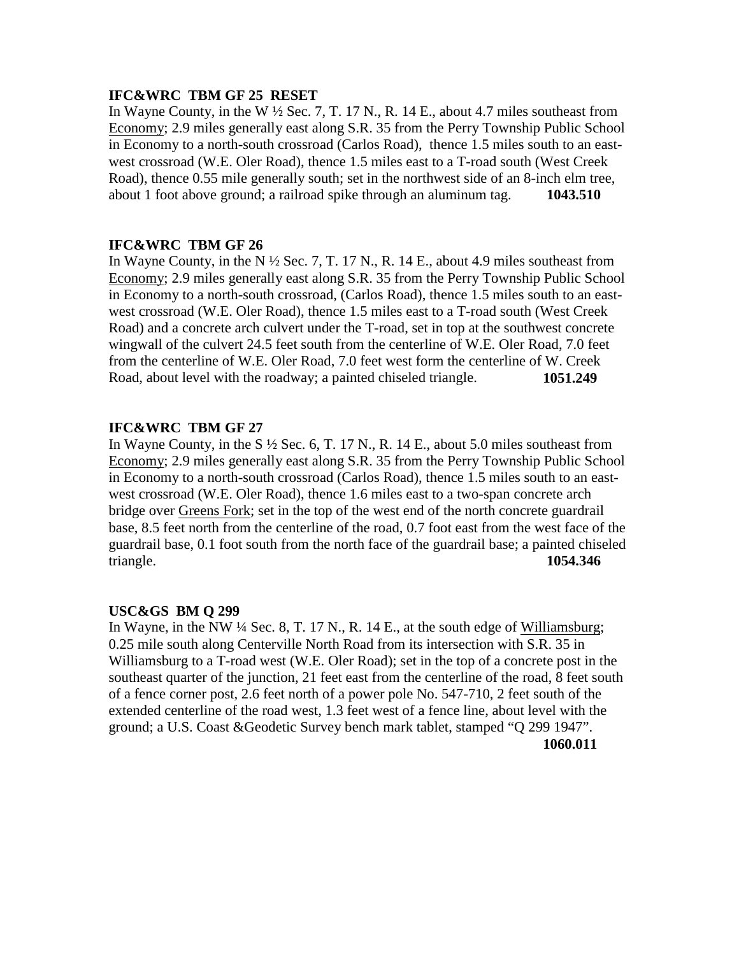## **IFC&WRC TBM GF 25 RESET**

In Wayne County, in the W  $\frac{1}{2}$  Sec. 7, T. 17 N., R. 14 E., about 4.7 miles southeast from Economy; 2.9 miles generally east along S.R. 35 from the Perry Township Public School in Economy to a north-south crossroad (Carlos Road), thence 1.5 miles south to an eastwest crossroad (W.E. Oler Road), thence 1.5 miles east to a T-road south (West Creek Road), thence 0.55 mile generally south; set in the northwest side of an 8-inch elm tree, about 1 foot above ground; a railroad spike through an aluminum tag. **1043.510**

## **IFC&WRC TBM GF 26**

In Wayne County, in the N  $\frac{1}{2}$  Sec. 7, T. 17 N., R. 14 E., about 4.9 miles southeast from Economy; 2.9 miles generally east along S.R. 35 from the Perry Township Public School in Economy to a north-south crossroad, (Carlos Road), thence 1.5 miles south to an eastwest crossroad (W.E. Oler Road), thence 1.5 miles east to a T-road south (West Creek Road) and a concrete arch culvert under the T-road, set in top at the southwest concrete wingwall of the culvert 24.5 feet south from the centerline of W.E. Oler Road, 7.0 feet from the centerline of W.E. Oler Road, 7.0 feet west form the centerline of W. Creek Road, about level with the roadway; a painted chiseled triangle. **1051.249**

# **IFC&WRC TBM GF 27**

In Wayne County, in the S  $\frac{1}{2}$  Sec. 6, T. 17 N., R. 14 E., about 5.0 miles southeast from Economy; 2.9 miles generally east along S.R. 35 from the Perry Township Public School in Economy to a north-south crossroad (Carlos Road), thence 1.5 miles south to an eastwest crossroad (W.E. Oler Road), thence 1.6 miles east to a two-span concrete arch bridge over Greens Fork; set in the top of the west end of the north concrete guardrail base, 8.5 feet north from the centerline of the road, 0.7 foot east from the west face of the guardrail base, 0.1 foot south from the north face of the guardrail base; a painted chiseled triangle. **1054.346**

## **USC&GS BM Q 299**

In Wayne, in the NW  $\frac{1}{4}$  Sec. 8, T. 17 N., R. 14 E., at the south edge of Williamsburg; 0.25 mile south along Centerville North Road from its intersection with S.R. 35 in Williamsburg to a T-road west (W.E. Oler Road); set in the top of a concrete post in the southeast quarter of the junction, 21 feet east from the centerline of the road, 8 feet south of a fence corner post, 2.6 feet north of a power pole No. 547-710, 2 feet south of the extended centerline of the road west, 1.3 feet west of a fence line, about level with the ground; a U.S. Coast &Geodetic Survey bench mark tablet, stamped "Q 299 1947".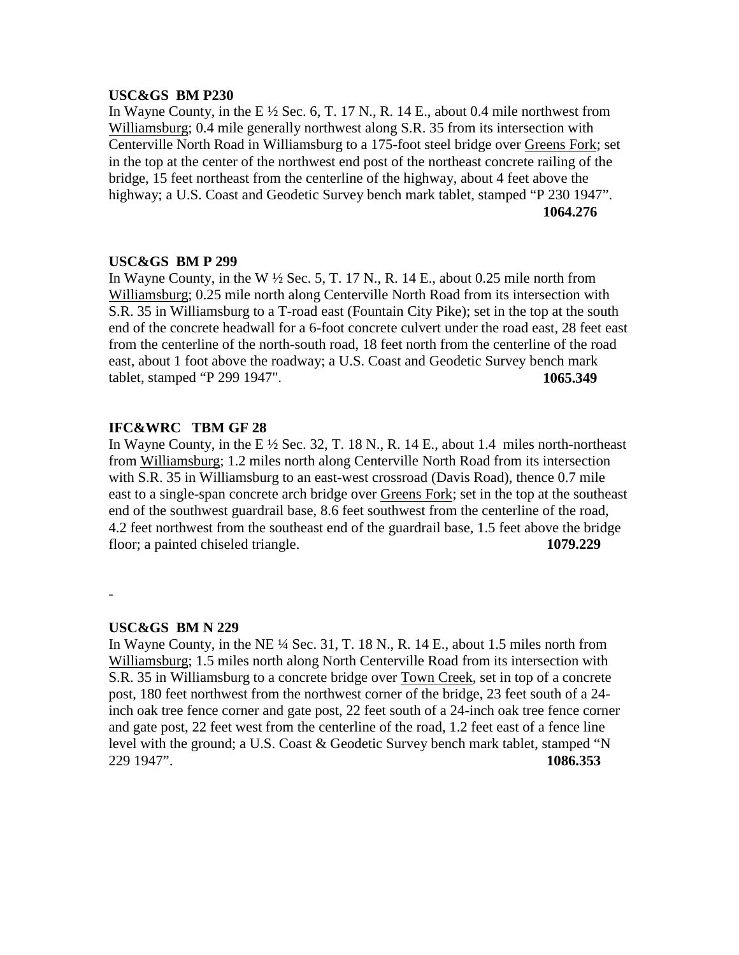#### **USC&GS BM P230**

In Wayne County, in the E  $\frac{1}{2}$  Sec. 6, T. 17 N., R. 14 E., about 0.4 mile northwest from Williamsburg; 0.4 mile generally northwest along S.R. 35 from its intersection with Centerville North Road in Williamsburg to a 175-foot steel bridge over Greens Fork; set in the top at the center of the northwest end post of the northeast concrete railing of the bridge, 15 feet northeast from the centerline of the highway, about 4 feet above the highway; a U.S. Coast and Geodetic Survey bench mark tablet, stamped "P 230 1947". **1064.276**

#### **USC&GS BM P 299**

In Wayne County, in the W  $\frac{1}{2}$  Sec. 5, T. 17 N., R. 14 E., about 0.25 mile north from Williamsburg; 0.25 mile north along Centerville North Road from its intersection with S.R. 35 in Williamsburg to a T-road east (Fountain City Pike); set in the top at the south end of the concrete headwall for a 6-foot concrete culvert under the road east, 28 feet east from the centerline of the north-south road, 18 feet north from the centerline of the road east, about 1 foot above the roadway; a U.S. Coast and Geodetic Survey bench mark tablet, stamped "P 299 1947". **1065.349**

## **IFC&WRC TBM GF 28**

In Wayne County, in the E  $\frac{1}{2}$  Sec. 32, T. 18 N., R. 14 E., about 1.4 miles north-northeast from Williamsburg; 1.2 miles north along Centerville North Road from its intersection with S.R. 35 in Williamsburg to an east-west crossroad (Davis Road), thence 0.7 mile east to a single-span concrete arch bridge over Greens Fork; set in the top at the southeast end of the southwest guardrail base, 8.6 feet southwest from the centerline of the road, 4.2 feet northwest from the southeast end of the guardrail base, 1.5 feet above the bridge floor; a painted chiseled triangle. **1079.229**

-

#### **USC&GS BM N 229**

In Wayne County, in the NE  $\frac{1}{4}$  Sec. 31, T. 18 N., R. 14 E., about 1.5 miles north from Williamsburg; 1.5 miles north along North Centerville Road from its intersection with S.R. 35 in Williamsburg to a concrete bridge over Town Creek, set in top of a concrete post, 180 feet northwest from the northwest corner of the bridge, 23 feet south of a 24 inch oak tree fence corner and gate post, 22 feet south of a 24-inch oak tree fence corner and gate post, 22 feet west from the centerline of the road, 1.2 feet east of a fence line level with the ground; a U.S. Coast & Geodetic Survey bench mark tablet, stamped "N 229 1947". **1086.353**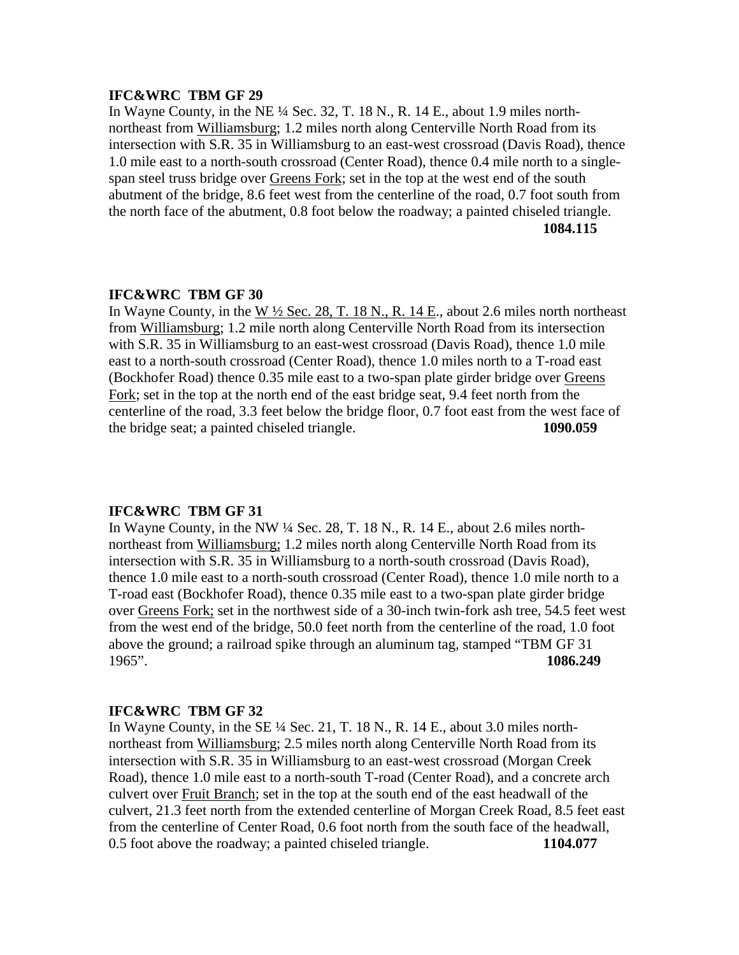In Wayne County, in the NE ¼ Sec. 32, T. 18 N., R. 14 E., about 1.9 miles northnortheast from Williamsburg; 1.2 miles north along Centerville North Road from its intersection with S.R. 35 in Williamsburg to an east-west crossroad (Davis Road), thence 1.0 mile east to a north-south crossroad (Center Road), thence 0.4 mile north to a singlespan steel truss bridge over Greens Fork; set in the top at the west end of the south abutment of the bridge, 8.6 feet west from the centerline of the road, 0.7 foot south from the north face of the abutment, 0.8 foot below the roadway; a painted chiseled triangle. **1084.115**

#### **IFC&WRC TBM GF 30**

In Wayne County, in the W  $\frac{1}{2}$  Sec. 28, T. 18 N., R. 14 E., about 2.6 miles north northeast from Williamsburg; 1.2 mile north along Centerville North Road from its intersection with S.R. 35 in Williamsburg to an east-west crossroad (Davis Road), thence 1.0 mile east to a north-south crossroad (Center Road), thence 1.0 miles north to a T-road east (Bockhofer Road) thence 0.35 mile east to a two-span plate girder bridge over Greens Fork; set in the top at the north end of the east bridge seat, 9.4 feet north from the centerline of the road, 3.3 feet below the bridge floor, 0.7 foot east from the west face of the bridge seat; a painted chiseled triangle. **1090.059**

## **IFC&WRC TBM GF 31**

In Wayne County, in the NW ¼ Sec. 28, T. 18 N., R. 14 E., about 2.6 miles northnortheast from Williamsburg; 1.2 miles north along Centerville North Road from its intersection with S.R. 35 in Williamsburg to a north-south crossroad (Davis Road), thence 1.0 mile east to a north-south crossroad (Center Road), thence 1.0 mile north to a T-road east (Bockhofer Road), thence 0.35 mile east to a two-span plate girder bridge over Greens Fork; set in the northwest side of a 30-inch twin-fork ash tree, 54.5 feet west from the west end of the bridge, 50.0 feet north from the centerline of the road, 1.0 foot above the ground; a railroad spike through an aluminum tag, stamped "TBM GF 31 1965". **1086.249**

#### **IFC&WRC TBM GF 32**

In Wayne County, in the SE ¼ Sec. 21, T. 18 N., R. 14 E., about 3.0 miles northnortheast from Williamsburg; 2.5 miles north along Centerville North Road from its intersection with S.R. 35 in Williamsburg to an east-west crossroad (Morgan Creek Road), thence 1.0 mile east to a north-south T-road (Center Road), and a concrete arch culvert over Fruit Branch; set in the top at the south end of the east headwall of the culvert, 21.3 feet north from the extended centerline of Morgan Creek Road, 8.5 feet east from the centerline of Center Road, 0.6 foot north from the south face of the headwall, 0.5 foot above the roadway; a painted chiseled triangle. **1104.077**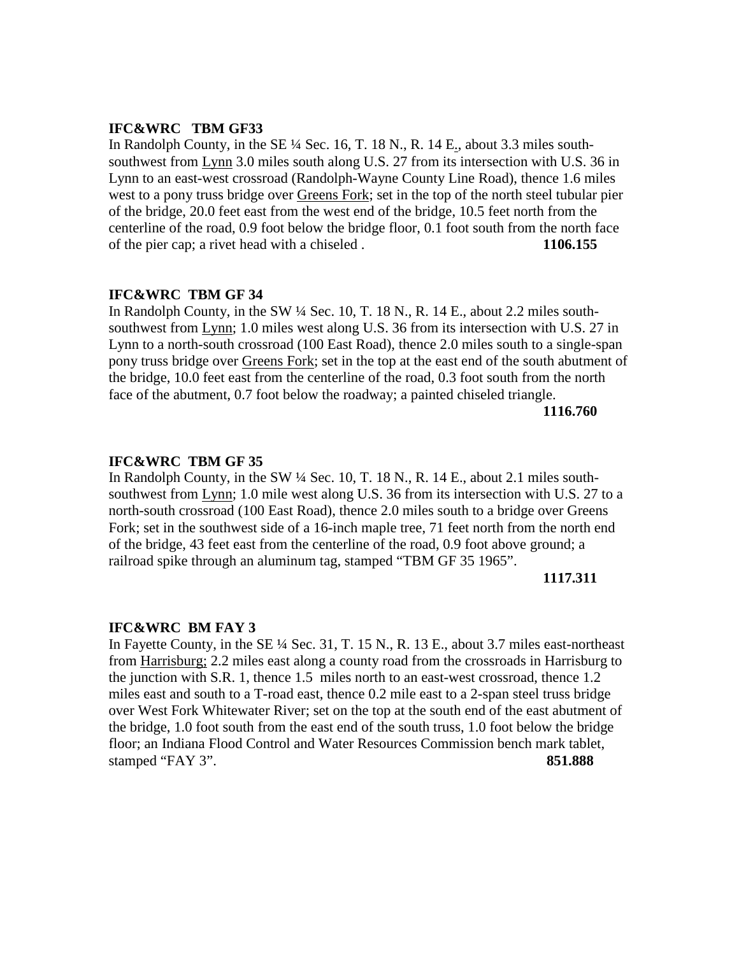In Randolph County, in the SE ¼ Sec. 16, T. 18 N., R. 14 E., about 3.3 miles southsouthwest from Lynn 3.0 miles south along U.S. 27 from its intersection with U.S. 36 in Lynn to an east-west crossroad (Randolph-Wayne County Line Road), thence 1.6 miles west to a pony truss bridge over Greens Fork; set in the top of the north steel tubular pier of the bridge, 20.0 feet east from the west end of the bridge, 10.5 feet north from the centerline of the road, 0.9 foot below the bridge floor, 0.1 foot south from the north face of the pier cap; a rivet head with a chiseled . **1106.155**

#### **IFC&WRC TBM GF 34**

In Randolph County, in the SW ¼ Sec. 10, T. 18 N., R. 14 E., about 2.2 miles southsouthwest from Lynn; 1.0 miles west along U.S. 36 from its intersection with U.S. 27 in Lynn to a north-south crossroad (100 East Road), thence 2.0 miles south to a single-span pony truss bridge over Greens Fork; set in the top at the east end of the south abutment of the bridge, 10.0 feet east from the centerline of the road, 0.3 foot south from the north face of the abutment, 0.7 foot below the roadway; a painted chiseled triangle.

## **1116.760**

#### **IFC&WRC TBM GF 35**

In Randolph County, in the SW ¼ Sec. 10, T. 18 N., R. 14 E., about 2.1 miles southsouthwest from Lynn; 1.0 mile west along U.S. 36 from its intersection with U.S. 27 to a north-south crossroad (100 East Road), thence 2.0 miles south to a bridge over Greens Fork; set in the southwest side of a 16-inch maple tree, 71 feet north from the north end of the bridge, 43 feet east from the centerline of the road, 0.9 foot above ground; a railroad spike through an aluminum tag, stamped "TBM GF 35 1965".

#### **1117.311**

#### **IFC&WRC BM FAY 3**

In Fayette County, in the SE  $\frac{1}{4}$  Sec. 31, T. 15 N., R. 13 E., about 3.7 miles east-northeast from Harrisburg; 2.2 miles east along a county road from the crossroads in Harrisburg to the junction with S.R. 1, thence 1.5 miles north to an east-west crossroad, thence 1.2 miles east and south to a T-road east, thence 0.2 mile east to a 2-span steel truss bridge over West Fork Whitewater River; set on the top at the south end of the east abutment of the bridge, 1.0 foot south from the east end of the south truss, 1.0 foot below the bridge floor; an Indiana Flood Control and Water Resources Commission bench mark tablet, stamped "FAY 3". **851.888**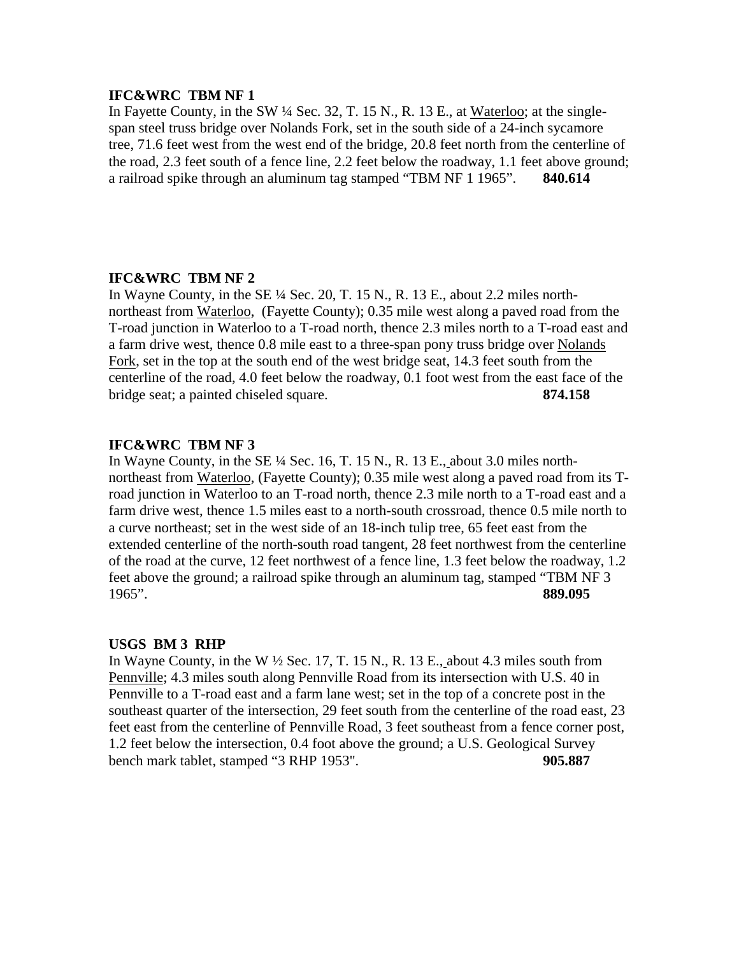In Fayette County, in the SW ¼ Sec. 32, T. 15 N., R. 13 E., at Waterloo; at the singlespan steel truss bridge over Nolands Fork, set in the south side of a 24-inch sycamore tree, 71.6 feet west from the west end of the bridge, 20.8 feet north from the centerline of the road, 2.3 feet south of a fence line, 2.2 feet below the roadway, 1.1 feet above ground; a railroad spike through an aluminum tag stamped "TBM NF 1 1965". **840.614**

## **IFC&WRC TBM NF 2**

In Wayne County, in the SE  $\frac{1}{4}$  Sec. 20, T. 15 N., R. 13 E., about 2.2 miles northnortheast from Waterloo, (Fayette County); 0.35 mile west along a paved road from the T-road junction in Waterloo to a T-road north, thence 2.3 miles north to a T-road east and a farm drive west, thence 0.8 mile east to a three-span pony truss bridge over Nolands Fork, set in the top at the south end of the west bridge seat, 14.3 feet south from the centerline of the road, 4.0 feet below the roadway, 0.1 foot west from the east face of the bridge seat; a painted chiseled square. **874.158**

## **IFC&WRC TBM NF 3**

In Wayne County, in the SE  $\frac{1}{4}$  Sec. 16, T. 15 N., R. 13 E., about 3.0 miles northnortheast from Waterloo, (Fayette County); 0.35 mile west along a paved road from its Troad junction in Waterloo to an T-road north, thence 2.3 mile north to a T-road east and a farm drive west, thence 1.5 miles east to a north-south crossroad, thence 0.5 mile north to a curve northeast; set in the west side of an 18-inch tulip tree, 65 feet east from the extended centerline of the north-south road tangent, 28 feet northwest from the centerline of the road at the curve, 12 feet northwest of a fence line, 1.3 feet below the roadway, 1.2 feet above the ground; a railroad spike through an aluminum tag, stamped "TBM NF 3 1965". **889.095**

#### **USGS BM 3 RHP**

In Wayne County, in the W  $\frac{1}{2}$  Sec. 17, T. 15 N., R. 13 E., about 4.3 miles south from Pennville; 4.3 miles south along Pennville Road from its intersection with U.S. 40 in Pennville to a T-road east and a farm lane west; set in the top of a concrete post in the southeast quarter of the intersection, 29 feet south from the centerline of the road east, 23 feet east from the centerline of Pennville Road, 3 feet southeast from a fence corner post, 1.2 feet below the intersection, 0.4 foot above the ground; a U.S. Geological Survey bench mark tablet, stamped "3 RHP 1953". **905.887**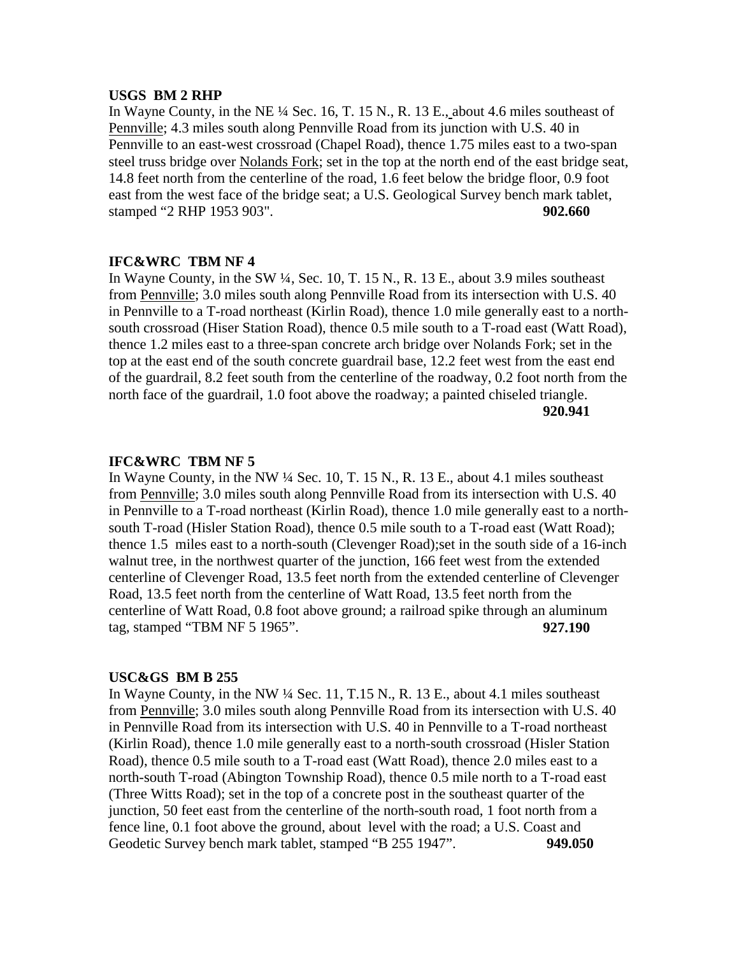#### **USGS BM 2 RHP**

In Wayne County, in the NE ¼ Sec. 16, T. 15 N., R. 13 E., about 4.6 miles southeast of Pennville; 4.3 miles south along Pennville Road from its junction with U.S. 40 in Pennville to an east-west crossroad (Chapel Road), thence 1.75 miles east to a two-span steel truss bridge over Nolands Fork; set in the top at the north end of the east bridge seat, 14.8 feet north from the centerline of the road, 1.6 feet below the bridge floor, 0.9 foot east from the west face of the bridge seat; a U.S. Geological Survey bench mark tablet, stamped "2 RHP 1953 903". **902.660**

#### **IFC&WRC TBM NF 4**

In Wayne County, in the SW ¼, Sec. 10, T. 15 N., R. 13 E., about 3.9 miles southeast from Pennville; 3.0 miles south along Pennville Road from its intersection with U.S. 40 in Pennville to a T-road northeast (Kirlin Road), thence 1.0 mile generally east to a northsouth crossroad (Hiser Station Road), thence 0.5 mile south to a T-road east (Watt Road), thence 1.2 miles east to a three-span concrete arch bridge over Nolands Fork; set in the top at the east end of the south concrete guardrail base, 12.2 feet west from the east end of the guardrail, 8.2 feet south from the centerline of the roadway, 0.2 foot north from the north face of the guardrail, 1.0 foot above the roadway; a painted chiseled triangle. **920.941**

#### **IFC&WRC TBM NF 5**

In Wayne County, in the NW ¼ Sec. 10, T. 15 N., R. 13 E., about 4.1 miles southeast from Pennville; 3.0 miles south along Pennville Road from its intersection with U.S. 40 in Pennville to a T-road northeast (Kirlin Road), thence 1.0 mile generally east to a northsouth T-road (Hisler Station Road), thence 0.5 mile south to a T-road east (Watt Road); thence 1.5 miles east to a north-south (Clevenger Road);set in the south side of a 16-inch walnut tree, in the northwest quarter of the junction, 166 feet west from the extended centerline of Clevenger Road, 13.5 feet north from the extended centerline of Clevenger Road, 13.5 feet north from the centerline of Watt Road, 13.5 feet north from the centerline of Watt Road, 0.8 foot above ground; a railroad spike through an aluminum tag, stamped "TBM NF 5 1965". **927.190**

#### **USC&GS BM B 255**

In Wayne County, in the NW ¼ Sec. 11, T.15 N., R. 13 E., about 4.1 miles southeast from Pennville; 3.0 miles south along Pennville Road from its intersection with U.S. 40 in Pennville Road from its intersection with U.S. 40 in Pennville to a T-road northeast (Kirlin Road), thence 1.0 mile generally east to a north-south crossroad (Hisler Station Road), thence 0.5 mile south to a T-road east (Watt Road), thence 2.0 miles east to a north-south T-road (Abington Township Road), thence 0.5 mile north to a T-road east (Three Witts Road); set in the top of a concrete post in the southeast quarter of the junction, 50 feet east from the centerline of the north-south road, 1 foot north from a fence line, 0.1 foot above the ground, about level with the road; a U.S. Coast and Geodetic Survey bench mark tablet, stamped "B 255 1947". **949.050**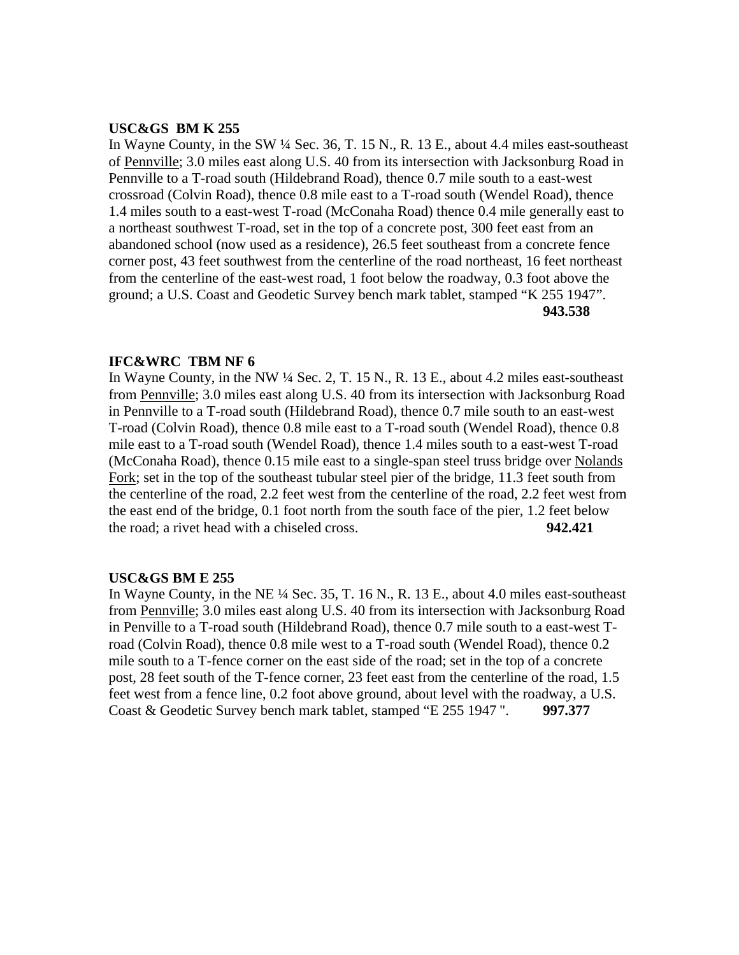#### **USC&GS BM K 255**

In Wayne County, in the SW ¼ Sec. 36, T. 15 N., R. 13 E., about 4.4 miles east-southeast of Pennville; 3.0 miles east along U.S. 40 from its intersection with Jacksonburg Road in Pennville to a T-road south (Hildebrand Road), thence 0.7 mile south to a east-west crossroad (Colvin Road), thence 0.8 mile east to a T-road south (Wendel Road), thence 1.4 miles south to a east-west T-road (McConaha Road) thence 0.4 mile generally east to a northeast southwest T-road, set in the top of a concrete post, 300 feet east from an abandoned school (now used as a residence), 26.5 feet southeast from a concrete fence corner post, 43 feet southwest from the centerline of the road northeast, 16 feet northeast from the centerline of the east-west road, 1 foot below the roadway, 0.3 foot above the ground; a U.S. Coast and Geodetic Survey bench mark tablet, stamped "K 255 1947". **943.538**

## **IFC&WRC TBM NF 6**

In Wayne County, in the NW ¼ Sec. 2, T. 15 N., R. 13 E., about 4.2 miles east-southeast from Pennville; 3.0 miles east along U.S. 40 from its intersection with Jacksonburg Road in Pennville to a T-road south (Hildebrand Road), thence 0.7 mile south to an east-west T-road (Colvin Road), thence 0.8 mile east to a T-road south (Wendel Road), thence 0.8 mile east to a T-road south (Wendel Road), thence 1.4 miles south to a east-west T-road (McConaha Road), thence 0.15 mile east to a single-span steel truss bridge over Nolands Fork; set in the top of the southeast tubular steel pier of the bridge, 11.3 feet south from the centerline of the road, 2.2 feet west from the centerline of the road, 2.2 feet west from the east end of the bridge, 0.1 foot north from the south face of the pier, 1.2 feet below the road; a rivet head with a chiseled cross. **942.421**

#### **USC&GS BM E 255**

In Wayne County, in the NE ¼ Sec. 35, T. 16 N., R. 13 E., about 4.0 miles east-southeast from Pennville; 3.0 miles east along U.S. 40 from its intersection with Jacksonburg Road in Penville to a T-road south (Hildebrand Road), thence 0.7 mile south to a east-west Troad (Colvin Road), thence 0.8 mile west to a T-road south (Wendel Road), thence 0.2 mile south to a T-fence corner on the east side of the road; set in the top of a concrete post, 28 feet south of the T-fence corner, 23 feet east from the centerline of the road, 1.5 feet west from a fence line, 0.2 foot above ground, about level with the roadway, a U.S. Coast & Geodetic Survey bench mark tablet, stamped "E 255 1947 ". **997.377**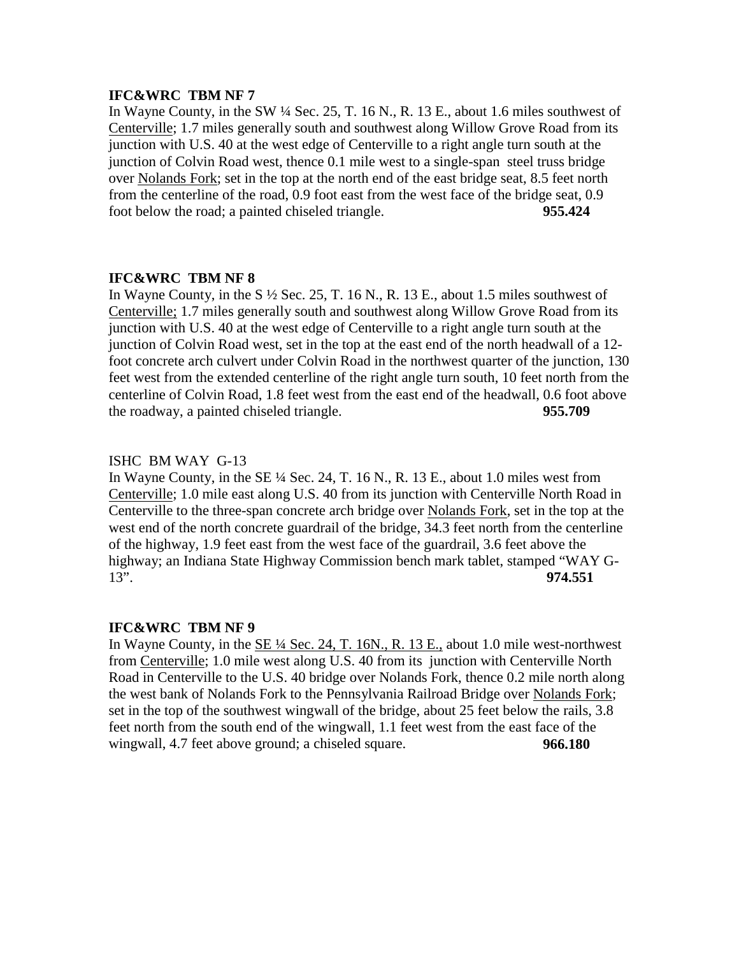In Wayne County, in the SW  $\frac{1}{4}$  Sec. 25, T. 16 N., R. 13 E., about 1.6 miles southwest of Centerville; 1.7 miles generally south and southwest along Willow Grove Road from its junction with U.S. 40 at the west edge of Centerville to a right angle turn south at the junction of Colvin Road west, thence 0.1 mile west to a single-span steel truss bridge over Nolands Fork; set in the top at the north end of the east bridge seat, 8.5 feet north from the centerline of the road, 0.9 foot east from the west face of the bridge seat, 0.9 foot below the road; a painted chiseled triangle. **955.424**

## **IFC&WRC TBM NF 8**

In Wayne County, in the S  $\frac{1}{2}$  Sec. 25, T. 16 N., R. 13 E., about 1.5 miles southwest of Centerville; 1.7 miles generally south and southwest along Willow Grove Road from its junction with U.S. 40 at the west edge of Centerville to a right angle turn south at the junction of Colvin Road west, set in the top at the east end of the north headwall of a 12 foot concrete arch culvert under Colvin Road in the northwest quarter of the junction, 130 feet west from the extended centerline of the right angle turn south, 10 feet north from the centerline of Colvin Road, 1.8 feet west from the east end of the headwall, 0.6 foot above the roadway, a painted chiseled triangle. **955.709**

## ISHC BM WAY G-13

In Wayne County, in the SE ¼ Sec. 24, T. 16 N., R. 13 E., about 1.0 miles west from Centerville; 1.0 mile east along U.S. 40 from its junction with Centerville North Road in Centerville to the three-span concrete arch bridge over Nolands Fork, set in the top at the west end of the north concrete guardrail of the bridge, 34.3 feet north from the centerline of the highway, 1.9 feet east from the west face of the guardrail, 3.6 feet above the highway; an Indiana State Highway Commission bench mark tablet, stamped "WAY G-13". **974.551**

## **IFC&WRC TBM NF 9**

In Wayne County, in the SE ¼ Sec. 24, T. 16N., R. 13 E., about 1.0 mile west-northwest from Centerville; 1.0 mile west along U.S. 40 from its junction with Centerville North Road in Centerville to the U.S. 40 bridge over Nolands Fork, thence 0.2 mile north along the west bank of Nolands Fork to the Pennsylvania Railroad Bridge over Nolands Fork; set in the top of the southwest wingwall of the bridge, about 25 feet below the rails, 3.8 feet north from the south end of the wingwall, 1.1 feet west from the east face of the wingwall, 4.7 feet above ground; a chiseled square. **966.180**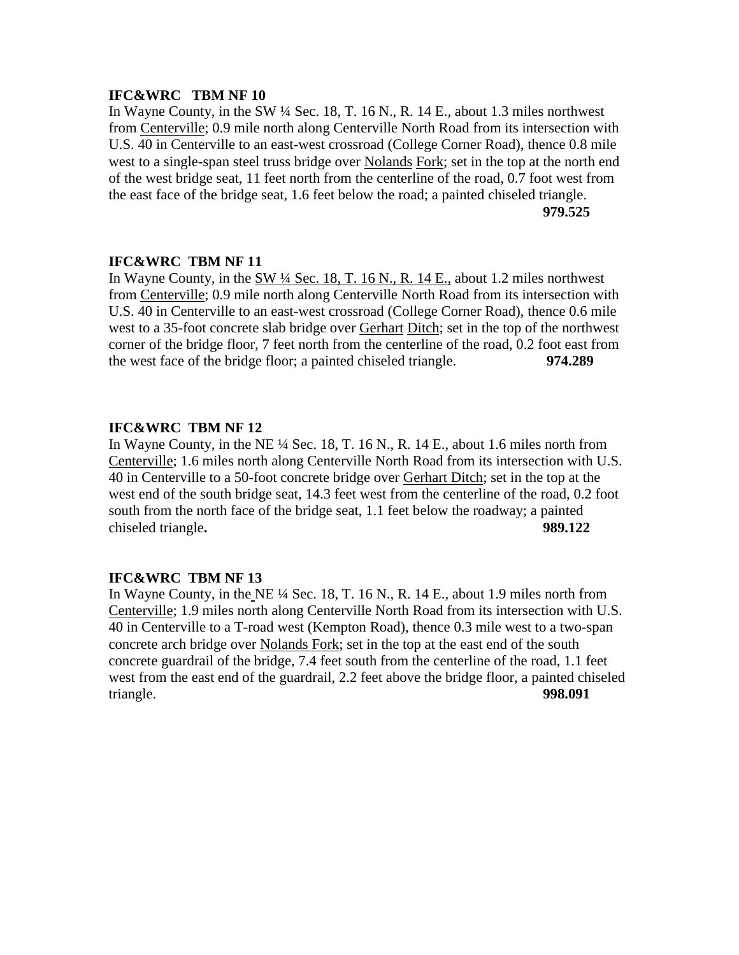In Wayne County, in the SW ¼ Sec. 18, T. 16 N., R. 14 E., about 1.3 miles northwest from Centerville; 0.9 mile north along Centerville North Road from its intersection with U.S. 40 in Centerville to an east-west crossroad (College Corner Road), thence 0.8 mile west to a single-span steel truss bridge over Nolands Fork; set in the top at the north end of the west bridge seat, 11 feet north from the centerline of the road, 0.7 foot west from the east face of the bridge seat, 1.6 feet below the road; a painted chiseled triangle. **979.525**

## **IFC&WRC TBM NF 11**

In Wayne County, in the SW  $\frac{1}{4}$  Sec. 18, T. 16 N., R. 14 E., about 1.2 miles northwest from Centerville; 0.9 mile north along Centerville North Road from its intersection with U.S. 40 in Centerville to an east-west crossroad (College Corner Road), thence 0.6 mile west to a 35-foot concrete slab bridge over Gerhart Ditch; set in the top of the northwest corner of the bridge floor, 7 feet north from the centerline of the road, 0.2 foot east from the west face of the bridge floor; a painted chiseled triangle. **974.289**

## **IFC&WRC TBM NF 12**

In Wayne County, in the NE ¼ Sec. 18, T. 16 N., R. 14 E., about 1.6 miles north from Centerville; 1.6 miles north along Centerville North Road from its intersection with U.S. 40 in Centerville to a 50-foot concrete bridge over Gerhart Ditch; set in the top at the west end of the south bridge seat, 14.3 feet west from the centerline of the road, 0.2 foot south from the north face of the bridge seat, 1.1 feet below the roadway; a painted chiseled triangle**. 989.122**

## **IFC&WRC TBM NF 13**

In Wayne County, in the NE ¼ Sec. 18, T. 16 N., R. 14 E., about 1.9 miles north from Centerville; 1.9 miles north along Centerville North Road from its intersection with U.S. 40 in Centerville to a T-road west (Kempton Road), thence 0.3 mile west to a two-span concrete arch bridge over Nolands Fork; set in the top at the east end of the south concrete guardrail of the bridge, 7.4 feet south from the centerline of the road, 1.1 feet west from the east end of the guardrail, 2.2 feet above the bridge floor, a painted chiseled triangle. **998.091**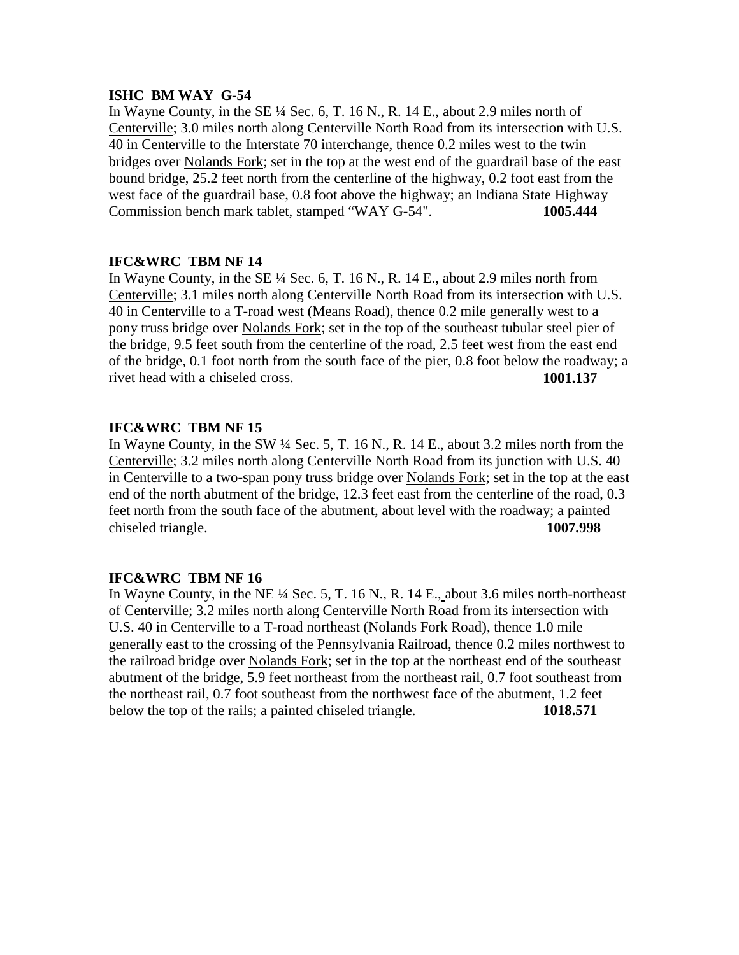## **ISHC BM WAY G-54**

In Wayne County, in the SE  $\frac{1}{4}$  Sec. 6, T. 16 N., R. 14 E., about 2.9 miles north of Centerville; 3.0 miles north along Centerville North Road from its intersection with U.S. 40 in Centerville to the Interstate 70 interchange, thence 0.2 miles west to the twin bridges over Nolands Fork; set in the top at the west end of the guardrail base of the east bound bridge, 25.2 feet north from the centerline of the highway, 0.2 foot east from the west face of the guardrail base, 0.8 foot above the highway; an Indiana State Highway Commission bench mark tablet, stamped "WAY G-54". **1005.444**

## **IFC&WRC TBM NF 14**

In Wayne County, in the SE ¼ Sec. 6, T. 16 N., R. 14 E., about 2.9 miles north from Centerville; 3.1 miles north along Centerville North Road from its intersection with U.S. 40 in Centerville to a T-road west (Means Road), thence 0.2 mile generally west to a pony truss bridge over Nolands Fork; set in the top of the southeast tubular steel pier of the bridge, 9.5 feet south from the centerline of the road, 2.5 feet west from the east end of the bridge, 0.1 foot north from the south face of the pier, 0.8 foot below the roadway; a rivet head with a chiseled cross. **1001.137**

# **IFC&WRC TBM NF 15**

In Wayne County, in the SW ¼ Sec. 5, T. 16 N., R. 14 E., about 3.2 miles north from the Centerville; 3.2 miles north along Centerville North Road from its junction with U.S. 40 in Centerville to a two-span pony truss bridge over Nolands Fork; set in the top at the east end of the north abutment of the bridge, 12.3 feet east from the centerline of the road, 0.3 feet north from the south face of the abutment, about level with the roadway; a painted chiseled triangle. **1007.998**

## **IFC&WRC TBM NF 16**

In Wayne County, in the NE ¼ Sec. 5, T. 16 N., R. 14 E., about 3.6 miles north-northeast of Centerville; 3.2 miles north along Centerville North Road from its intersection with U.S. 40 in Centerville to a T-road northeast (Nolands Fork Road), thence 1.0 mile generally east to the crossing of the Pennsylvania Railroad, thence 0.2 miles northwest to the railroad bridge over Nolands Fork; set in the top at the northeast end of the southeast abutment of the bridge, 5.9 feet northeast from the northeast rail, 0.7 foot southeast from the northeast rail, 0.7 foot southeast from the northwest face of the abutment, 1.2 feet below the top of the rails; a painted chiseled triangle. **1018.571**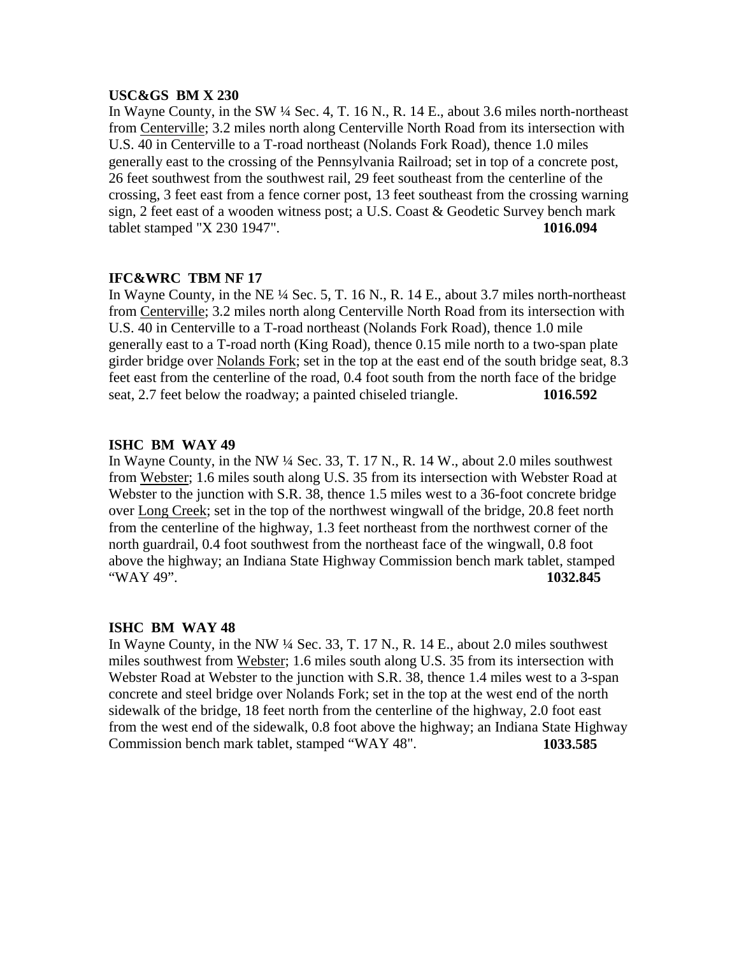#### **USC&GS BM X 230**

In Wayne County, in the SW ¼ Sec. 4, T. 16 N., R. 14 E., about 3.6 miles north-northeast from Centerville; 3.2 miles north along Centerville North Road from its intersection with U.S. 40 in Centerville to a T-road northeast (Nolands Fork Road), thence 1.0 miles generally east to the crossing of the Pennsylvania Railroad; set in top of a concrete post, 26 feet southwest from the southwest rail, 29 feet southeast from the centerline of the crossing, 3 feet east from a fence corner post, 13 feet southeast from the crossing warning sign, 2 feet east of a wooden witness post; a U.S. Coast & Geodetic Survey bench mark tablet stamped "X 230 1947". **1016.094**

## **IFC&WRC TBM NF 17**

In Wayne County, in the NE  $\frac{1}{4}$  Sec. 5, T. 16 N., R. 14 E., about 3.7 miles north-northeast from Centerville; 3.2 miles north along Centerville North Road from its intersection with U.S. 40 in Centerville to a T-road northeast (Nolands Fork Road), thence 1.0 mile generally east to a T-road north (King Road), thence 0.15 mile north to a two-span plate girder bridge over Nolands Fork; set in the top at the east end of the south bridge seat, 8.3 feet east from the centerline of the road, 0.4 foot south from the north face of the bridge seat, 2.7 feet below the roadway; a painted chiseled triangle. **1016.592**

### **ISHC BM WAY 49**

In Wayne County, in the NW ¼ Sec. 33, T. 17 N., R. 14 W., about 2.0 miles southwest from Webster; 1.6 miles south along U.S. 35 from its intersection with Webster Road at Webster to the junction with S.R. 38, thence 1.5 miles west to a 36-foot concrete bridge over Long Creek; set in the top of the northwest wingwall of the bridge, 20.8 feet north from the centerline of the highway, 1.3 feet northeast from the northwest corner of the north guardrail, 0.4 foot southwest from the northeast face of the wingwall, 0.8 foot above the highway; an Indiana State Highway Commission bench mark tablet, stamped "WAY 49". **1032.845**

#### **ISHC BM WAY 48**

In Wayne County, in the NW ¼ Sec. 33, T. 17 N., R. 14 E., about 2.0 miles southwest miles southwest from Webster; 1.6 miles south along U.S. 35 from its intersection with Webster Road at Webster to the junction with S.R. 38, thence 1.4 miles west to a 3-span concrete and steel bridge over Nolands Fork; set in the top at the west end of the north sidewalk of the bridge, 18 feet north from the centerline of the highway, 2.0 foot east from the west end of the sidewalk, 0.8 foot above the highway; an Indiana State Highway Commission bench mark tablet, stamped "WAY 48". **1033.585**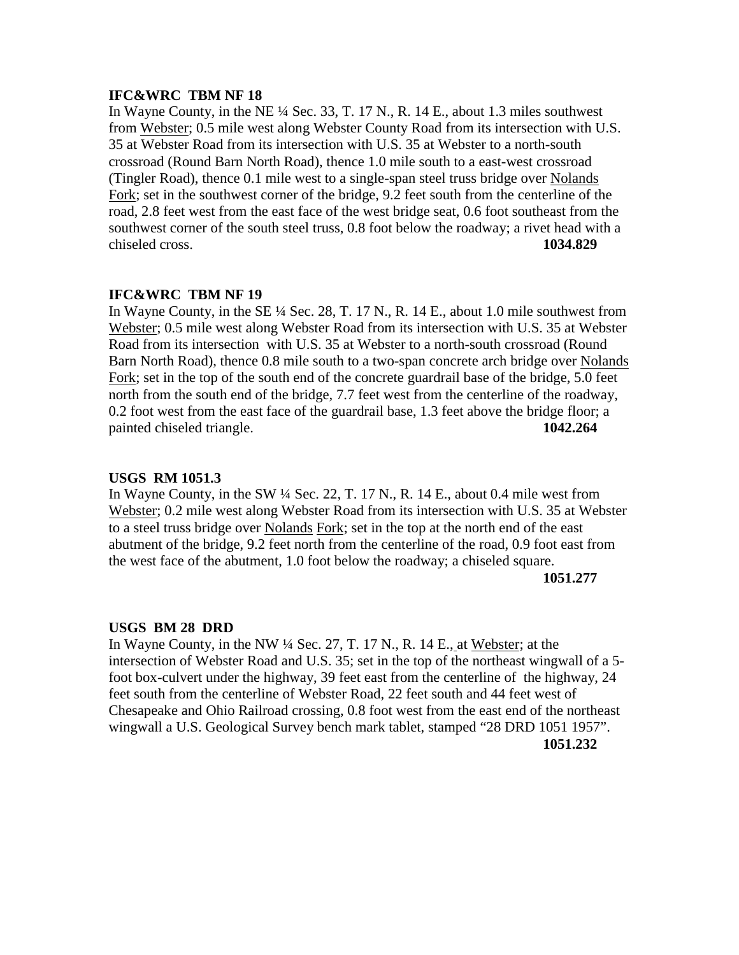In Wayne County, in the NE ¼ Sec. 33, T. 17 N., R. 14 E., about 1.3 miles southwest from Webster; 0.5 mile west along Webster County Road from its intersection with U.S. 35 at Webster Road from its intersection with U.S. 35 at Webster to a north-south crossroad (Round Barn North Road), thence 1.0 mile south to a east-west crossroad (Tingler Road), thence 0.1 mile west to a single-span steel truss bridge over Nolands Fork; set in the southwest corner of the bridge, 9.2 feet south from the centerline of the road, 2.8 feet west from the east face of the west bridge seat, 0.6 foot southeast from the southwest corner of the south steel truss, 0.8 foot below the roadway; a rivet head with a chiseled cross. **1034.829**

#### **IFC&WRC TBM NF 19**

In Wayne County, in the SE ¼ Sec. 28, T. 17 N., R. 14 E., about 1.0 mile southwest from Webster; 0.5 mile west along Webster Road from its intersection with U.S. 35 at Webster Road from its intersection with U.S. 35 at Webster to a north-south crossroad (Round Barn North Road), thence 0.8 mile south to a two-span concrete arch bridge over Nolands Fork; set in the top of the south end of the concrete guardrail base of the bridge, 5.0 feet north from the south end of the bridge, 7.7 feet west from the centerline of the roadway, 0.2 foot west from the east face of the guardrail base, 1.3 feet above the bridge floor; a painted chiseled triangle. **1042.264**

#### **USGS RM 1051.3**

In Wayne County, in the SW  $\frac{1}{4}$  Sec. 22, T. 17 N., R. 14 E., about 0.4 mile west from Webster; 0.2 mile west along Webster Road from its intersection with U.S. 35 at Webster to a steel truss bridge over Nolands Fork; set in the top at the north end of the east abutment of the bridge, 9.2 feet north from the centerline of the road, 0.9 foot east from the west face of the abutment, 1.0 foot below the roadway; a chiseled square.

#### **1051.277**

#### **USGS BM 28 DRD**

In Wayne County, in the NW ¼ Sec. 27, T. 17 N., R. 14 E., at Webster; at the intersection of Webster Road and U.S. 35; set in the top of the northeast wingwall of a 5 foot box-culvert under the highway, 39 feet east from the centerline of the highway, 24 feet south from the centerline of Webster Road, 22 feet south and 44 feet west of Chesapeake and Ohio Railroad crossing, 0.8 foot west from the east end of the northeast wingwall a U.S. Geological Survey bench mark tablet, stamped "28 DRD 1051 1957". **1051.232**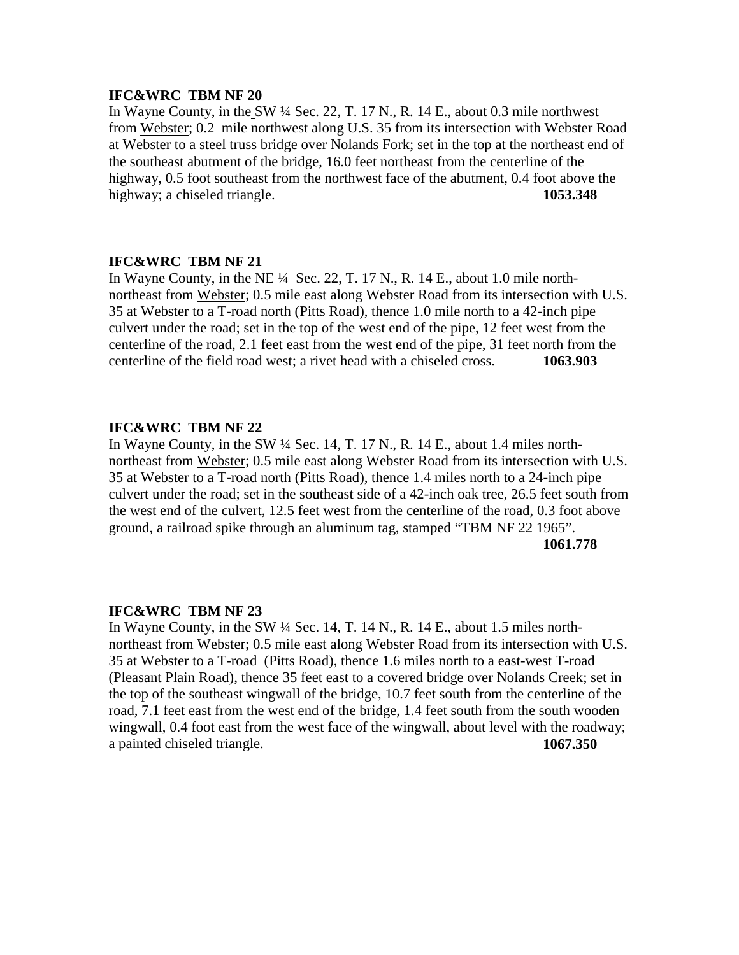In Wayne County, in the SW ¼ Sec. 22, T. 17 N., R. 14 E., about 0.3 mile northwest from Webster; 0.2 mile northwest along U.S. 35 from its intersection with Webster Road at Webster to a steel truss bridge over Nolands Fork; set in the top at the northeast end of the southeast abutment of the bridge, 16.0 feet northeast from the centerline of the highway, 0.5 foot southeast from the northwest face of the abutment, 0.4 foot above the highway; a chiseled triangle. **1053.348** 

#### **IFC&WRC TBM NF 21**

In Wayne County, in the NE ¼ Sec. 22, T. 17 N., R. 14 E., about 1.0 mile northnortheast from Webster; 0.5 mile east along Webster Road from its intersection with U.S. 35 at Webster to a T-road north (Pitts Road), thence 1.0 mile north to a 42-inch pipe culvert under the road; set in the top of the west end of the pipe, 12 feet west from the centerline of the road, 2.1 feet east from the west end of the pipe, 31 feet north from the centerline of the field road west; a rivet head with a chiseled cross. **1063.903**

#### **IFC&WRC TBM NF 22**

In Wayne County, in the SW ¼ Sec. 14, T. 17 N., R. 14 E., about 1.4 miles northnortheast from Webster; 0.5 mile east along Webster Road from its intersection with U.S. 35 at Webster to a T-road north (Pitts Road), thence 1.4 miles north to a 24-inch pipe culvert under the road; set in the southeast side of a 42-inch oak tree, 26.5 feet south from the west end of the culvert, 12.5 feet west from the centerline of the road, 0.3 foot above ground, a railroad spike through an aluminum tag, stamped "TBM NF 22 1965".

**1061.778**

## **IFC&WRC TBM NF 23**

In Wayne County, in the SW ¼ Sec. 14, T. 14 N., R. 14 E., about 1.5 miles northnortheast from Webster; 0.5 mile east along Webster Road from its intersection with U.S. 35 at Webster to a T-road (Pitts Road), thence 1.6 miles north to a east-west T-road (Pleasant Plain Road), thence 35 feet east to a covered bridge over Nolands Creek; set in the top of the southeast wingwall of the bridge, 10.7 feet south from the centerline of the road, 7.1 feet east from the west end of the bridge, 1.4 feet south from the south wooden wingwall, 0.4 foot east from the west face of the wingwall, about level with the roadway; a painted chiseled triangle. **1067.350**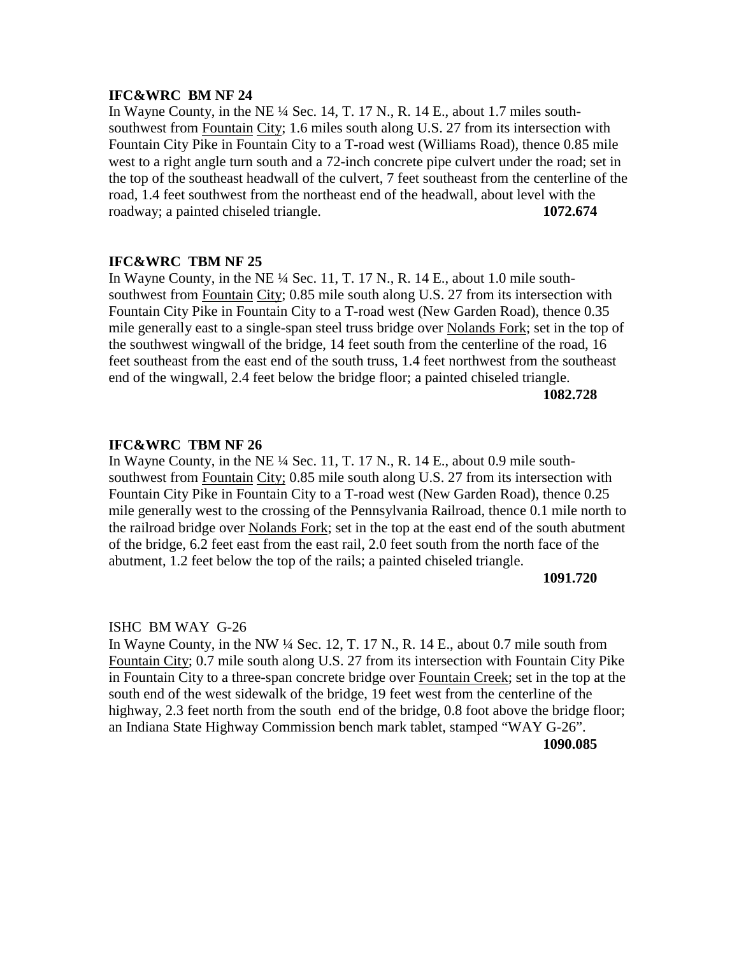In Wayne County, in the NE  $\frac{1}{4}$  Sec. 14, T. 17 N., R. 14 E., about 1.7 miles southsouthwest from Fountain City; 1.6 miles south along U.S. 27 from its intersection with Fountain City Pike in Fountain City to a T-road west (Williams Road), thence 0.85 mile west to a right angle turn south and a 72-inch concrete pipe culvert under the road; set in the top of the southeast headwall of the culvert, 7 feet southeast from the centerline of the road, 1.4 feet southwest from the northeast end of the headwall, about level with the roadway; a painted chiseled triangle. **1072.674**

#### **IFC&WRC TBM NF 25**

In Wayne County, in the NE ¼ Sec. 11, T. 17 N., R. 14 E., about 1.0 mile southsouthwest from Fountain City; 0.85 mile south along U.S. 27 from its intersection with Fountain City Pike in Fountain City to a T-road west (New Garden Road), thence 0.35 mile generally east to a single-span steel truss bridge over Nolands Fork; set in the top of the southwest wingwall of the bridge, 14 feet south from the centerline of the road, 16 feet southeast from the east end of the south truss, 1.4 feet northwest from the southeast end of the wingwall, 2.4 feet below the bridge floor; a painted chiseled triangle.

**1082.728**

## **IFC&WRC TBM NF 26**

In Wayne County, in the NE  $\frac{1}{4}$  Sec. 11, T. 17 N., R. 14 E., about 0.9 mile southsouthwest from Fountain City; 0.85 mile south along U.S. 27 from its intersection with Fountain City Pike in Fountain City to a T-road west (New Garden Road), thence 0.25 mile generally west to the crossing of the Pennsylvania Railroad, thence 0.1 mile north to the railroad bridge over Nolands Fork; set in the top at the east end of the south abutment of the bridge, 6.2 feet east from the east rail, 2.0 feet south from the north face of the abutment, 1.2 feet below the top of the rails; a painted chiseled triangle.

#### **1091.720**

#### ISHC BM WAY G-26

In Wayne County, in the NW  $\frac{1}{4}$  Sec. 12, T. 17 N., R. 14 E., about 0.7 mile south from Fountain City; 0.7 mile south along U.S. 27 from its intersection with Fountain City Pike in Fountain City to a three-span concrete bridge over Fountain Creek; set in the top at the south end of the west sidewalk of the bridge, 19 feet west from the centerline of the highway, 2.3 feet north from the south end of the bridge, 0.8 foot above the bridge floor; an Indiana State Highway Commission bench mark tablet, stamped "WAY G-26".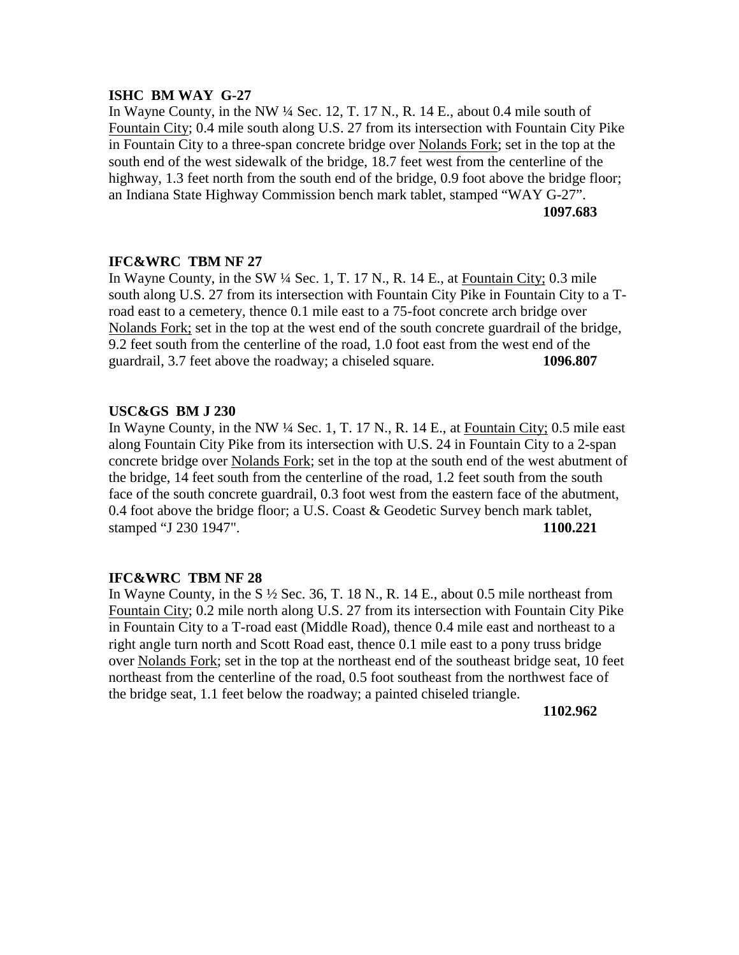## **ISHC BM WAY G-27**

In Wayne County, in the NW ¼ Sec. 12, T. 17 N., R. 14 E., about 0.4 mile south of Fountain City; 0.4 mile south along U.S. 27 from its intersection with Fountain City Pike in Fountain City to a three-span concrete bridge over Nolands Fork; set in the top at the south end of the west sidewalk of the bridge, 18.7 feet west from the centerline of the highway, 1.3 feet north from the south end of the bridge, 0.9 foot above the bridge floor; an Indiana State Highway Commission bench mark tablet, stamped "WAY G-27". **1097.683**

## **IFC&WRC TBM NF 27**

In Wayne County, in the SW ¼ Sec. 1, T. 17 N., R. 14 E., at Fountain City; 0.3 mile south along U.S. 27 from its intersection with Fountain City Pike in Fountain City to a Troad east to a cemetery, thence 0.1 mile east to a 75-foot concrete arch bridge over Nolands Fork; set in the top at the west end of the south concrete guardrail of the bridge, 9.2 feet south from the centerline of the road, 1.0 foot east from the west end of the guardrail, 3.7 feet above the roadway; a chiseled square. **1096.807**

## **USC&GS BM J 230**

In Wayne County, in the NW ¼ Sec. 1, T. 17 N., R. 14 E., at Fountain City; 0.5 mile east along Fountain City Pike from its intersection with U.S. 24 in Fountain City to a 2-span concrete bridge over Nolands Fork; set in the top at the south end of the west abutment of the bridge, 14 feet south from the centerline of the road, 1.2 feet south from the south face of the south concrete guardrail, 0.3 foot west from the eastern face of the abutment, 0.4 foot above the bridge floor; a U.S. Coast & Geodetic Survey bench mark tablet, stamped "J 230 1947". **1100.221**

## **IFC&WRC TBM NF 28**

In Wayne County, in the S  $\frac{1}{2}$  Sec. 36, T. 18 N., R. 14 E., about 0.5 mile northeast from Fountain City; 0.2 mile north along U.S. 27 from its intersection with Fountain City Pike in Fountain City to a T-road east (Middle Road), thence 0.4 mile east and northeast to a right angle turn north and Scott Road east, thence 0.1 mile east to a pony truss bridge over Nolands Fork; set in the top at the northeast end of the southeast bridge seat, 10 feet northeast from the centerline of the road, 0.5 foot southeast from the northwest face of the bridge seat, 1.1 feet below the roadway; a painted chiseled triangle.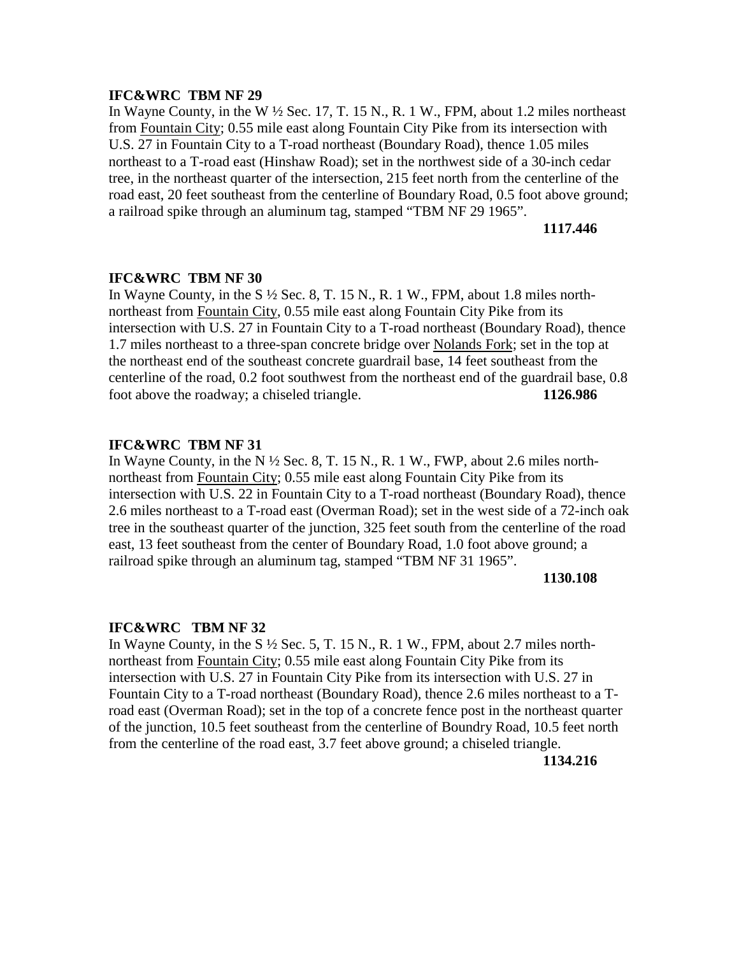In Wayne County, in the W ½ Sec. 17, T. 15 N., R. 1 W., FPM, about 1.2 miles northeast from Fountain City; 0.55 mile east along Fountain City Pike from its intersection with U.S. 27 in Fountain City to a T-road northeast (Boundary Road), thence 1.05 miles northeast to a T-road east (Hinshaw Road); set in the northwest side of a 30-inch cedar tree, in the northeast quarter of the intersection, 215 feet north from the centerline of the road east, 20 feet southeast from the centerline of Boundary Road, 0.5 foot above ground; a railroad spike through an aluminum tag, stamped "TBM NF 29 1965".

#### **1117.446**

## **IFC&WRC TBM NF 30**

In Wayne County, in the  $S\frac{1}{2}$  Sec. 8, T. 15 N., R. 1 W., FPM, about 1.8 miles northnortheast from Fountain City, 0.55 mile east along Fountain City Pike from its intersection with U.S. 27 in Fountain City to a T-road northeast (Boundary Road), thence 1.7 miles northeast to a three-span concrete bridge over Nolands Fork; set in the top at the northeast end of the southeast concrete guardrail base, 14 feet southeast from the centerline of the road, 0.2 foot southwest from the northeast end of the guardrail base, 0.8 foot above the roadway; a chiseled triangle. **1126.986**

## **IFC&WRC TBM NF 31**

In Wayne County, in the N  $\frac{1}{2}$  Sec. 8, T. 15 N., R. 1 W., FWP, about 2.6 miles northnortheast from Fountain City; 0.55 mile east along Fountain City Pike from its intersection with U.S. 22 in Fountain City to a T-road northeast (Boundary Road), thence 2.6 miles northeast to a T-road east (Overman Road); set in the west side of a 72-inch oak tree in the southeast quarter of the junction, 325 feet south from the centerline of the road east, 13 feet southeast from the center of Boundary Road, 1.0 foot above ground; a railroad spike through an aluminum tag, stamped "TBM NF 31 1965".

#### **1130.108**

#### **IFC&WRC TBM NF 32**

In Wayne County, in the  $S\frac{1}{2}$  Sec. 5, T. 15 N., R. 1 W., FPM, about 2.7 miles northnortheast from Fountain City; 0.55 mile east along Fountain City Pike from its intersection with U.S. 27 in Fountain City Pike from its intersection with U.S. 27 in Fountain City to a T-road northeast (Boundary Road), thence 2.6 miles northeast to a Troad east (Overman Road); set in the top of a concrete fence post in the northeast quarter of the junction, 10.5 feet southeast from the centerline of Boundry Road, 10.5 feet north from the centerline of the road east, 3.7 feet above ground; a chiseled triangle.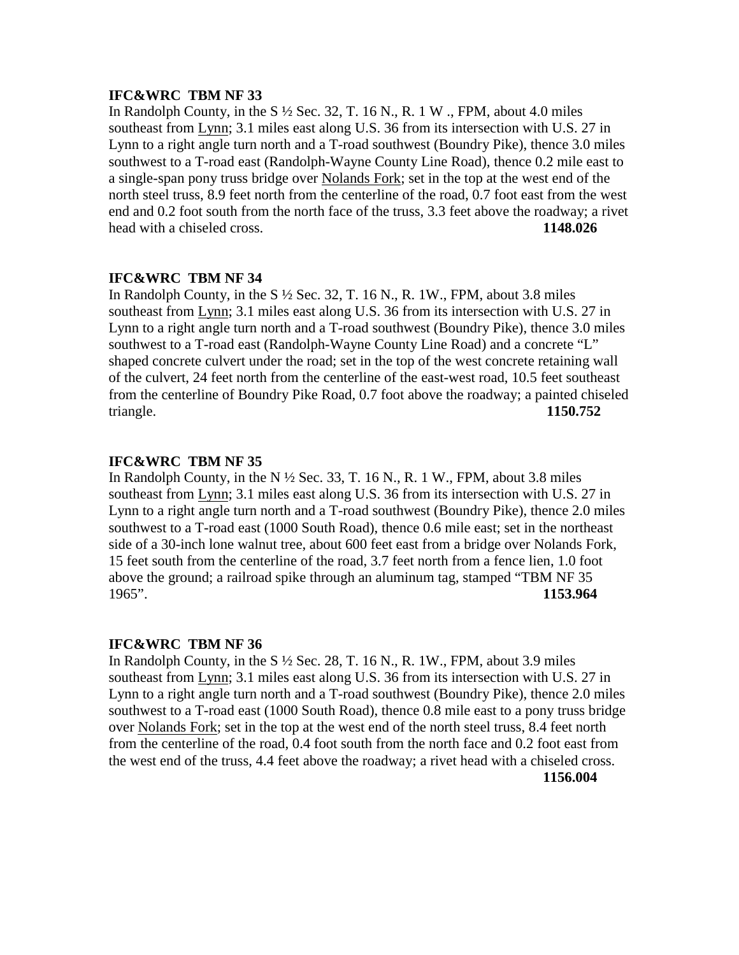In Randolph County, in the S  $\frac{1}{2}$  Sec. 32, T. 16 N., R. 1 W., FPM, about 4.0 miles southeast from Lynn; 3.1 miles east along U.S. 36 from its intersection with U.S. 27 in Lynn to a right angle turn north and a T-road southwest (Boundry Pike), thence 3.0 miles southwest to a T-road east (Randolph-Wayne County Line Road), thence 0.2 mile east to a single-span pony truss bridge over Nolands Fork; set in the top at the west end of the north steel truss, 8.9 feet north from the centerline of the road, 0.7 foot east from the west end and 0.2 foot south from the north face of the truss, 3.3 feet above the roadway; a rivet head with a chiseled cross. **1148.026**

# **IFC&WRC TBM NF 34**

In Randolph County, in the S  $\frac{1}{2}$  Sec. 32, T. 16 N., R. 1W., FPM, about 3.8 miles southeast from Lynn; 3.1 miles east along U.S. 36 from its intersection with U.S. 27 in Lynn to a right angle turn north and a T-road southwest (Boundry Pike), thence 3.0 miles southwest to a T-road east (Randolph-Wayne County Line Road) and a concrete "L" shaped concrete culvert under the road; set in the top of the west concrete retaining wall of the culvert, 24 feet north from the centerline of the east-west road, 10.5 feet southeast from the centerline of Boundry Pike Road, 0.7 foot above the roadway; a painted chiseled triangle. **1150.752**

#### **IFC&WRC TBM NF 35**

In Randolph County, in the N  $\frac{1}{2}$  Sec. 33, T. 16 N., R. 1 W., FPM, about 3.8 miles southeast from Lynn; 3.1 miles east along U.S. 36 from its intersection with U.S. 27 in Lynn to a right angle turn north and a T-road southwest (Boundry Pike), thence 2.0 miles southwest to a T-road east (1000 South Road), thence 0.6 mile east; set in the northeast side of a 30-inch lone walnut tree, about 600 feet east from a bridge over Nolands Fork, 15 feet south from the centerline of the road, 3.7 feet north from a fence lien, 1.0 foot above the ground; a railroad spike through an aluminum tag, stamped "TBM NF 35 1965". **1153.964**

#### **IFC&WRC TBM NF 36**

In Randolph County, in the  $S\frac{1}{2}$  Sec. 28, T. 16 N., R. 1W., FPM, about 3.9 miles southeast from Lynn; 3.1 miles east along U.S. 36 from its intersection with U.S. 27 in Lynn to a right angle turn north and a T-road southwest (Boundry Pike), thence 2.0 miles southwest to a T-road east (1000 South Road), thence 0.8 mile east to a pony truss bridge over Nolands Fork; set in the top at the west end of the north steel truss, 8.4 feet north from the centerline of the road, 0.4 foot south from the north face and 0.2 foot east from the west end of the truss, 4.4 feet above the roadway; a rivet head with a chiseled cross. **1156.004**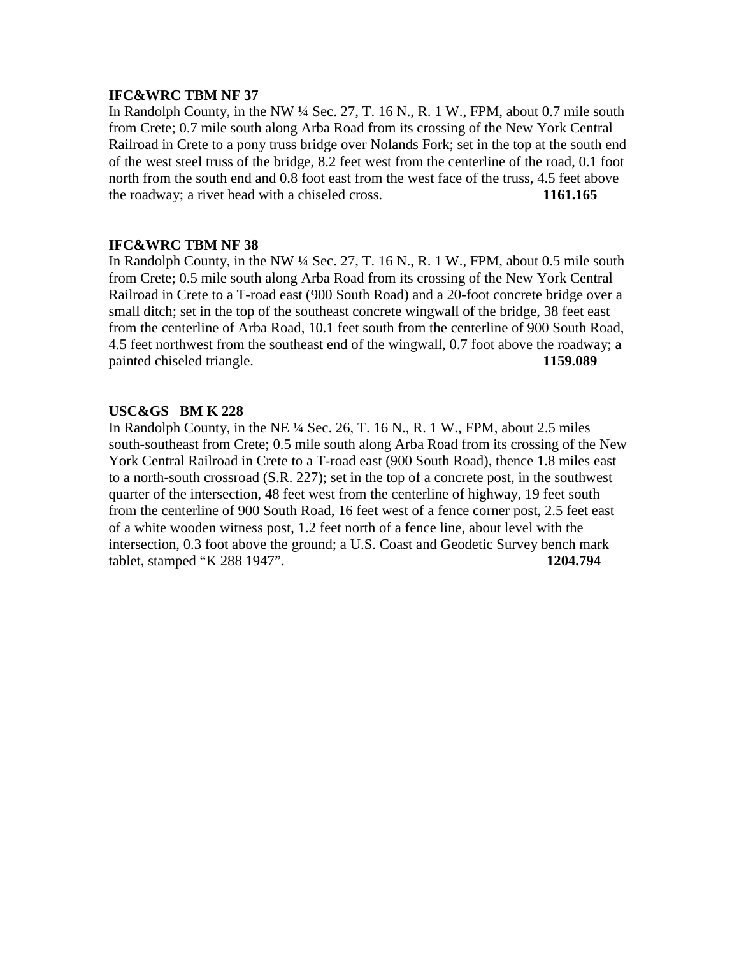In Randolph County, in the NW ¼ Sec. 27, T. 16 N., R. 1 W., FPM, about 0.7 mile south from Crete; 0.7 mile south along Arba Road from its crossing of the New York Central Railroad in Crete to a pony truss bridge over Nolands Fork; set in the top at the south end of the west steel truss of the bridge, 8.2 feet west from the centerline of the road, 0.1 foot north from the south end and 0.8 foot east from the west face of the truss, 4.5 feet above the roadway; a rivet head with a chiseled cross. **1161.165**

## **IFC&WRC TBM NF 38**

In Randolph County, in the NW ¼ Sec. 27, T. 16 N., R. 1 W., FPM, about 0.5 mile south from Crete; 0.5 mile south along Arba Road from its crossing of the New York Central Railroad in Crete to a T-road east (900 South Road) and a 20-foot concrete bridge over a small ditch; set in the top of the southeast concrete wingwall of the bridge, 38 feet east from the centerline of Arba Road, 10.1 feet south from the centerline of 900 South Road, 4.5 feet northwest from the southeast end of the wingwall, 0.7 foot above the roadway; a painted chiseled triangle. **1159.089**

## **USC&GS BM K 228**

In Randolph County, in the NE ¼ Sec. 26, T. 16 N., R. 1 W., FPM, about 2.5 miles south-southeast from Crete; 0.5 mile south along Arba Road from its crossing of the New York Central Railroad in Crete to a T-road east (900 South Road), thence 1.8 miles east to a north-south crossroad (S.R. 227); set in the top of a concrete post, in the southwest quarter of the intersection, 48 feet west from the centerline of highway, 19 feet south from the centerline of 900 South Road, 16 feet west of a fence corner post, 2.5 feet east of a white wooden witness post, 1.2 feet north of a fence line, about level with the intersection, 0.3 foot above the ground; a U.S. Coast and Geodetic Survey bench mark tablet, stamped "K 288 1947". **1204.794**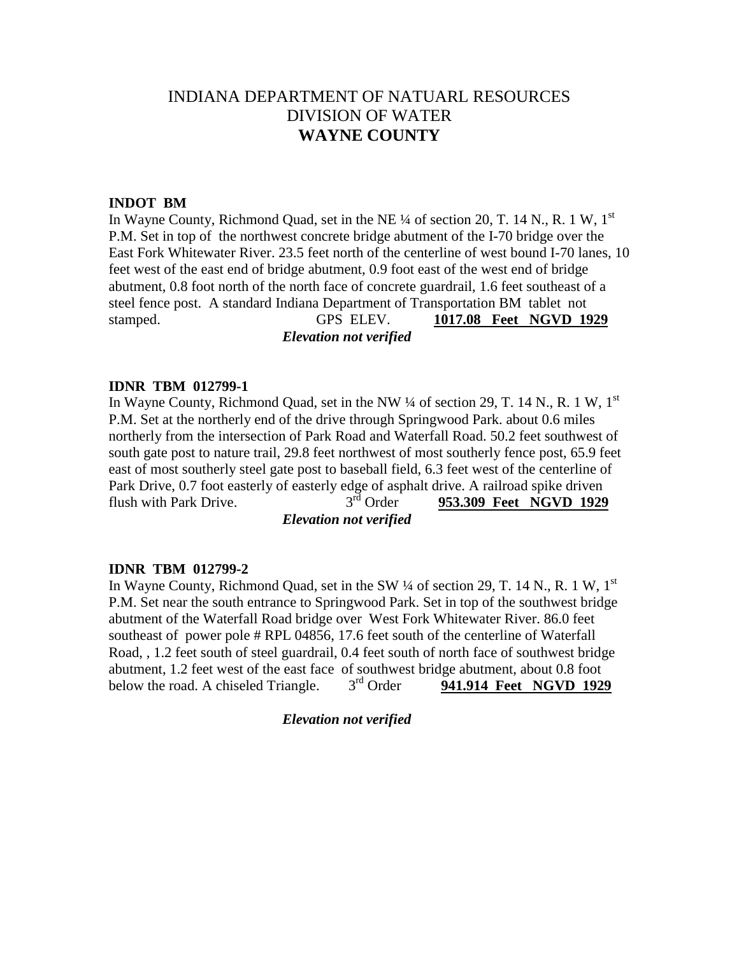# INDIANA DEPARTMENT OF NATUARL RESOURCES DIVISION OF WATER **WAYNE COUNTY**

#### **INDOT BM**

In Wayne County, Richmond Quad, set in the NE  $\frac{1}{4}$  of section 20, T. 14 N., R. 1 W, 1<sup>st</sup> P.M. Set in top of the northwest concrete bridge abutment of the I-70 bridge over the East Fork Whitewater River. 23.5 feet north of the centerline of west bound I-70 lanes, 10 feet west of the east end of bridge abutment, 0.9 foot east of the west end of bridge abutment, 0.8 foot north of the north face of concrete guardrail, 1.6 feet southeast of a steel fence post. A standard Indiana Department of Transportation BM tablet not stamped. GPS ELEV. **1017.08 Feet NGVD 1929**

## *Elevation not verified*

## **IDNR TBM 012799-1**

In Wayne County, Richmond Quad, set in the NW  $\frac{1}{4}$  of section 29, T. 14 N., R. 1 W, 1<sup>st</sup> P.M. Set at the northerly end of the drive through Springwood Park. about 0.6 miles northerly from the intersection of Park Road and Waterfall Road. 50.2 feet southwest of south gate post to nature trail, 29.8 feet northwest of most southerly fence post, 65.9 feet east of most southerly steel gate post to baseball field, 6.3 feet west of the centerline of Park Drive,  $0.7$  foot easterly of easterly edge of asphalt drive. A railroad spike driven<br>flush with Park Drive.  $3<sup>rd</sup>$  Order 953.309 Feet NGVD 1929 flush with Park Drive.  $3^{rd}$  Order **953.309 Feet NGVD 1929** *Elevation not verified*

# **IDNR TBM 012799-2**

In Wayne County, Richmond Quad, set in the SW  $\frac{1}{4}$  of section 29, T. 14 N., R. 1 W, 1<sup>st</sup> P.M. Set near the south entrance to Springwood Park. Set in top of the southwest bridge abutment of the Waterfall Road bridge over West Fork Whitewater River. 86.0 feet southeast of power pole # RPL 04856, 17.6 feet south of the centerline of Waterfall Road, , 1.2 feet south of steel guardrail, 0.4 feet south of north face of southwest bridge abutment, 1.2 feet west of the east face of southwest bridge abutment, about 0.8 foot below the road. A chiseled Triangle  $3<sup>rd</sup>$  Order **941.914 Feet NGVD 192** below the road. A chiseled Triangle. 3rd Order **941.914 Feet NGVD 1929**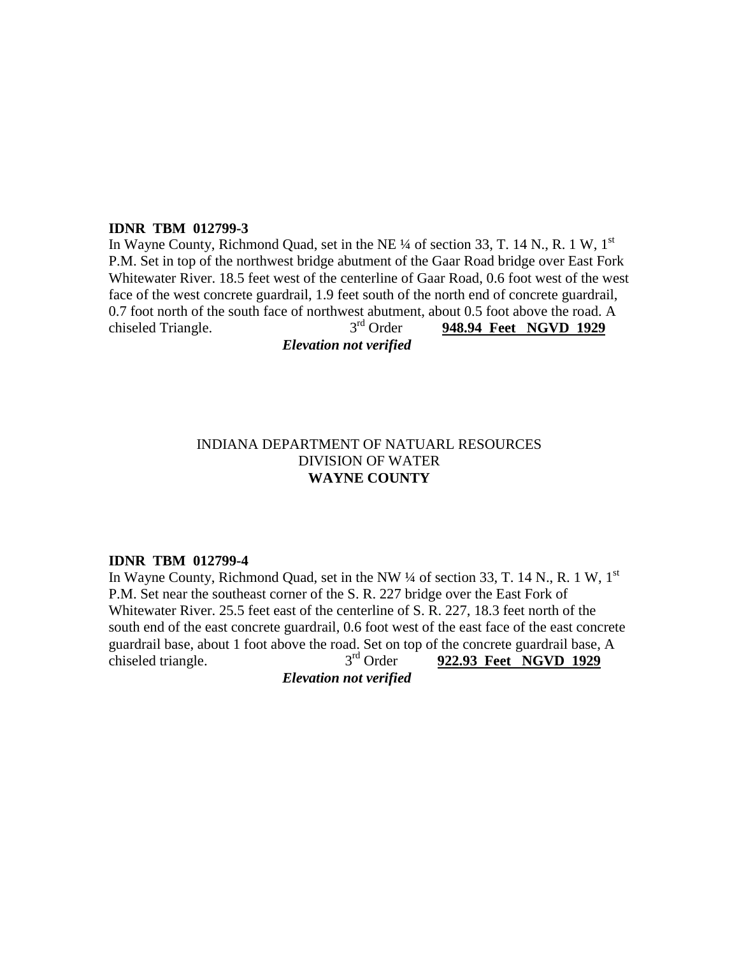#### **IDNR TBM 012799-3**

In Wayne County, Richmond Quad, set in the NE  $\frac{1}{4}$  of section 33, T. 14 N., R. 1 W, 1<sup>st</sup> P.M. Set in top of the northwest bridge abutment of the Gaar Road bridge over East Fork Whitewater River. 18.5 feet west of the centerline of Gaar Road, 0.6 foot west of the west face of the west concrete guardrail, 1.9 feet south of the north end of concrete guardrail, 0.7 foot north of the south face of northwest abutment, about 0.5 foot above the road. A<br> $3<sup>rd</sup>$  Order **948.94 Feet NGVD 1929** chiseled Triangle.  $3<sup>rd</sup>$  Order **948.94 Feet NGVD 1929** 

*Elevation not verified*

# INDIANA DEPARTMENT OF NATUARL RESOURCES DIVISION OF WATER **WAYNE COUNTY**

#### **IDNR TBM 012799-4**

In Wayne County, Richmond Quad, set in the NW  $\frac{1}{4}$  of section 33, T. 14 N., R. 1 W, 1<sup>st</sup> P.M. Set near the southeast corner of the S. R. 227 bridge over the East Fork of Whitewater River. 25.5 feet east of the centerline of S. R. 227, 18.3 feet north of the south end of the east concrete guardrail, 0.6 foot west of the east face of the east concrete guardrail base, about 1 foot above the road. Set on top of the concrete guardrail base, A<br>chiseled triangle.  $3<sup>rd</sup>$  Order 922.93 Feet NGVD 1929 chiseled triangle.  $3^{rd}$  Order  $922.93$  Feet NGVD 1929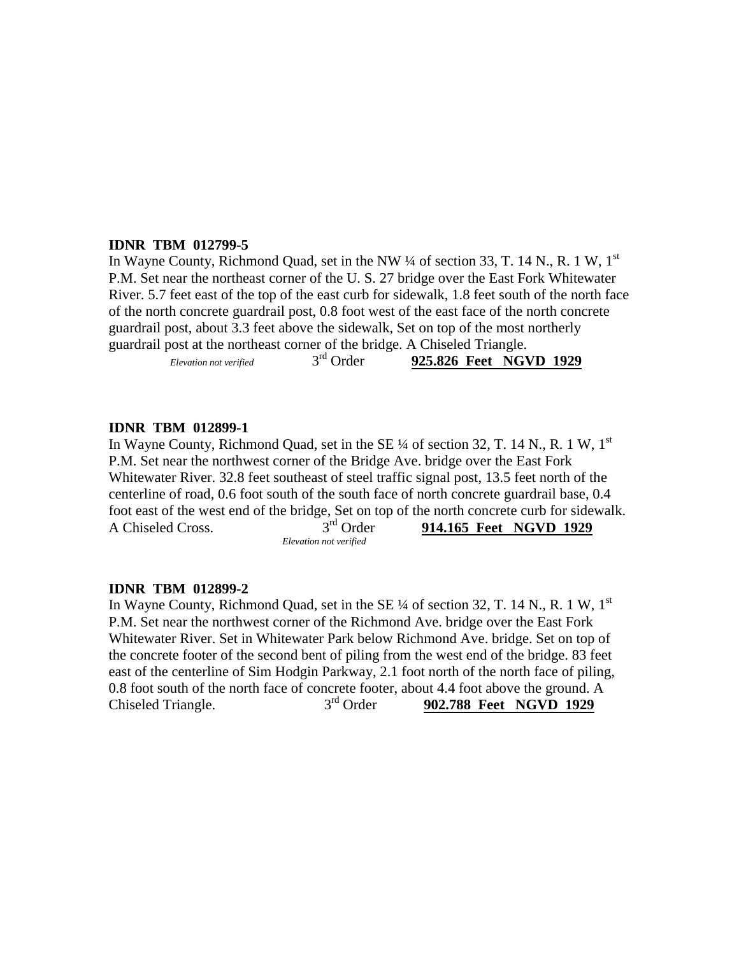## **IDNR TBM 012799-5**

In Wayne County, Richmond Quad, set in the NW  $\frac{1}{4}$  of section 33, T. 14 N., R. 1 W, 1<sup>st</sup> P.M. Set near the northeast corner of the U. S. 27 bridge over the East Fork Whitewater River. 5.7 feet east of the top of the east curb for sidewalk, 1.8 feet south of the north face of the north concrete guardrail post, 0.8 foot west of the east face of the north concrete guardrail post, about 3.3 feet above the sidewalk, Set on top of the most northerly guardrail post at the northeast corner of the bridge. A Chiseled Triangle.

| Elevation not verified | $3rd$ Order | 925.826 Feet NGVD 1929 |  |
|------------------------|-------------|------------------------|--|
|                        |             |                        |  |

## **IDNR TBM 012899-1**

In Wayne County, Richmond Quad, set in the SE 1/4 of section 32, T. 14 N., R. 1 W, 1<sup>st</sup> P.M. Set near the northwest corner of the Bridge Ave. bridge over the East Fork Whitewater River. 32.8 feet southeast of steel traffic signal post, 13.5 feet north of the centerline of road, 0.6 foot south of the south face of north concrete guardrail base, 0.4 foot east of the west end of the bridge, Set on top of the north concrete curb for sidewalk. A Chiseled Cross. 3rd Order **914.165 Feet NGVD 1929** *Elevation not verified*

#### **IDNR TBM 012899-2**

In Wayne County, Richmond Quad, set in the SE  $\frac{1}{4}$  of section 32, T, 14 N, R, 1 W, 1<sup>st</sup> P.M. Set near the northwest corner of the Richmond Ave. bridge over the East Fork Whitewater River. Set in Whitewater Park below Richmond Ave. bridge. Set on top of the concrete footer of the second bent of piling from the west end of the bridge. 83 feet east of the centerline of Sim Hodgin Parkway, 2.1 foot north of the north face of piling, 0.8 foot south of the north face of concrete footer, about 4.4 foot above the ground. A<br>Chiseled Triangle.  $3<sup>rd</sup>$  Order 902.788 Feet NGVD 1929  $\frac{3^{rd}}{3^{rd}}$  Order **902.788 Feet NGVD 1929**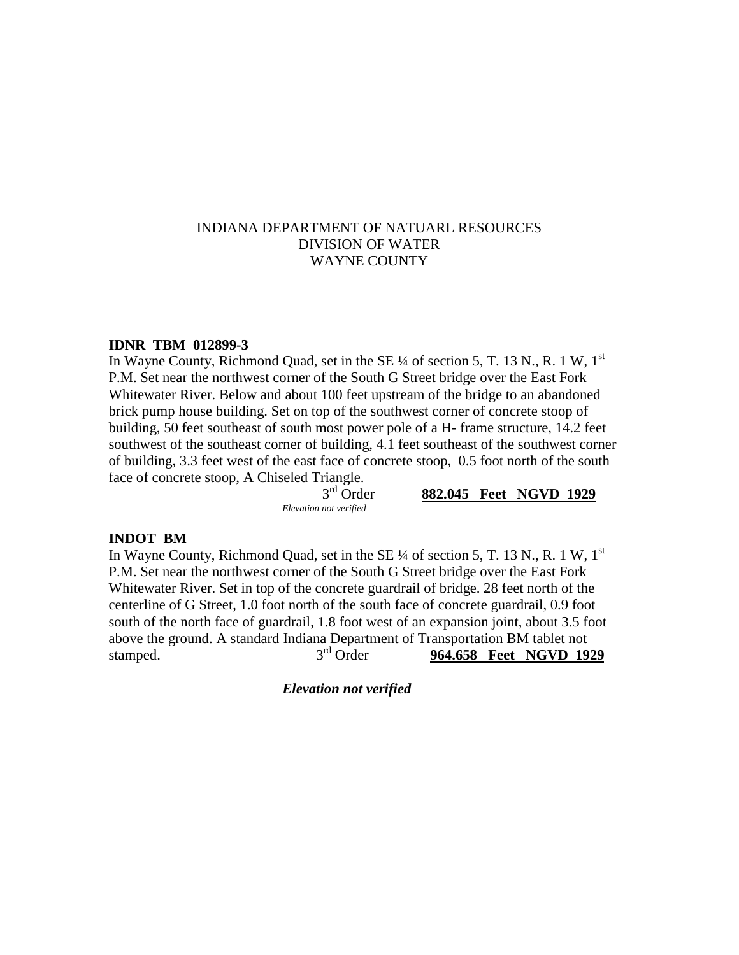## INDIANA DEPARTMENT OF NATUARL RESOURCES DIVISION OF WATER WAYNE COUNTY

#### **IDNR TBM 012899-3**

In Wayne County, Richmond Quad, set in the SE  $\frac{1}{4}$  of section 5, T. 13 N., R. 1 W, 1<sup>st</sup> P.M. Set near the northwest corner of the South G Street bridge over the East Fork Whitewater River. Below and about 100 feet upstream of the bridge to an abandoned brick pump house building. Set on top of the southwest corner of concrete stoop of building, 50 feet southeast of south most power pole of a H- frame structure, 14.2 feet southwest of the southeast corner of building, 4.1 feet southeast of the southwest corner of building, 3.3 feet west of the east face of concrete stoop, 0.5 foot north of the south face of concrete stoop, A Chiseled Triangle.<br>3<sup>rd</sup> Order

*Elevation not verified*

882.045 Feet NGVD 1929

#### **INDOT BM**

In Wayne County, Richmond Quad, set in the SE  $\frac{1}{4}$  of section 5, T. 13 N., R. 1 W, 1<sup>st</sup> P.M. Set near the northwest corner of the South G Street bridge over the East Fork Whitewater River. Set in top of the concrete guardrail of bridge. 28 feet north of the centerline of G Street, 1.0 foot north of the south face of concrete guardrail, 0.9 foot south of the north face of guardrail, 1.8 foot west of an expansion joint, about 3.5 foot above the ground. A standard Indiana Department of Transportation BM tablet not stamped. 3<sup>rd</sup> Order **964.658 Feet NGVD 1929**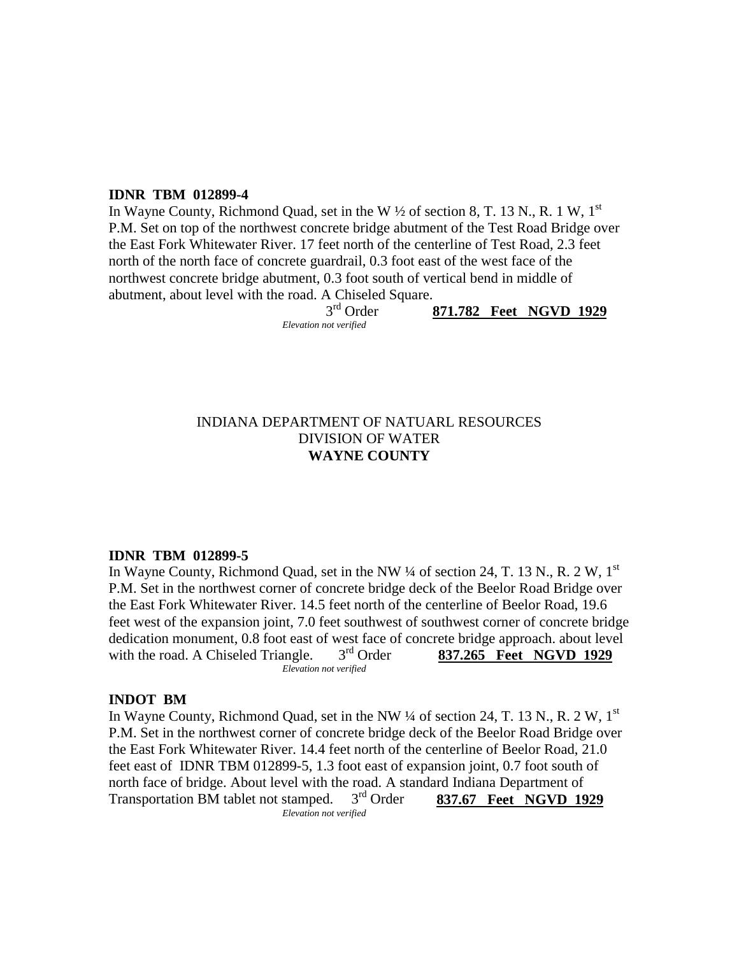## **IDNR TBM 012899-4**

In Wayne County, Richmond Quad, set in the W  $\frac{1}{2}$  of section 8, T. 13 N., R. 1 W, 1<sup>st</sup> P.M. Set on top of the northwest concrete bridge abutment of the Test Road Bridge over the East Fork Whitewater River. 17 feet north of the centerline of Test Road, 2.3 feet north of the north face of concrete guardrail, 0.3 foot east of the west face of the northwest concrete bridge abutment, 0.3 foot south of vertical bend in middle of abutment, about level with the road. A Chiseled Square.

 3rd Order **871.782 Feet NGVD 1929** *Elevation not verified*

## INDIANA DEPARTMENT OF NATUARL RESOURCES DIVISION OF WATER **WAYNE COUNTY**

#### **IDNR TBM 012899-5**

In Wayne County, Richmond Quad, set in the NW  $\frac{1}{4}$  of section 24, T. 13 N., R. 2 W, 1<sup>st</sup> P.M. Set in the northwest corner of concrete bridge deck of the Beelor Road Bridge over the East Fork Whitewater River. 14.5 feet north of the centerline of Beelor Road, 19.6 feet west of the expansion joint, 7.0 feet southwest of southwest corner of concrete bridge dedication monument, 0.8 foot east of west face of concrete bridge approach. about level with the road. A Chiseled Triangle.  $3<sup>rd</sup>$  Order **837.265** Feet NGVD 1929 *Elevation not verified*

#### **INDOT BM**

In Wayne County, Richmond Quad, set in the NW  $\frac{1}{4}$  of section 24, T. 13 N., R. 2 W, 1<sup>st</sup> P.M. Set in the northwest corner of concrete bridge deck of the Beelor Road Bridge over the East Fork Whitewater River. 14.4 feet north of the centerline of Beelor Road, 21.0 feet east of IDNR TBM 012899-5, 1.3 foot east of expansion joint, 0.7 foot south of north face of bridge. About level with the road. A standard Indiana Department of Transportation BM tablet not stamped. 3rd Order **837.67 Feet NGVD 1929** *Elevation not verified*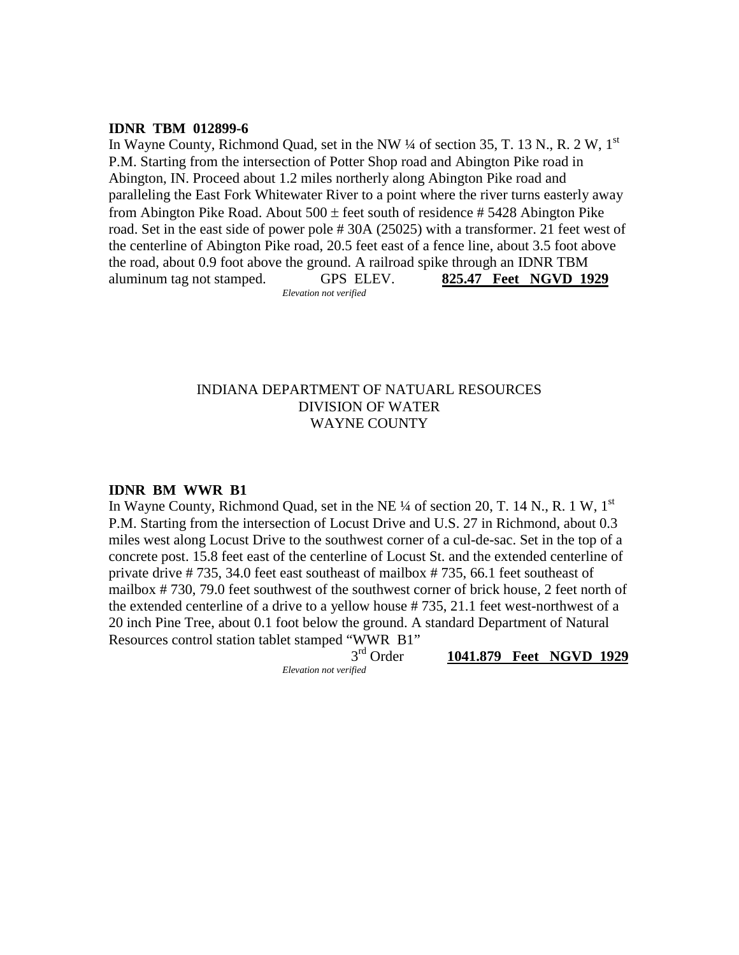#### **IDNR TBM 012899-6**

In Wayne County, Richmond Quad, set in the NW  $\frac{1}{4}$  of section 35, T. 13 N., R. 2 W, 1<sup>st</sup> P.M. Starting from the intersection of Potter Shop road and Abington Pike road in Abington, IN. Proceed about 1.2 miles northerly along Abington Pike road and paralleling the East Fork Whitewater River to a point where the river turns easterly away from Abington Pike Road. About  $500 \pm$  feet south of residence # 5428 Abington Pike road. Set in the east side of power pole # 30A (25025) with a transformer. 21 feet west of the centerline of Abington Pike road, 20.5 feet east of a fence line, about 3.5 foot above the road, about 0.9 foot above the ground. A railroad spike through an IDNR TBM aluminum tag not stamped. GPS ELEV. **825.47 Feet NGVD 1929** *Elevation not verified*

## INDIANA DEPARTMENT OF NATUARL RESOURCES DIVISION OF WATER WAYNE COUNTY

#### **IDNR BM WWR B1**

In Wayne County, Richmond Quad, set in the NE  $\frac{1}{4}$  of section 20, T. 14 N., R. 1 W, 1<sup>st</sup> P.M. Starting from the intersection of Locust Drive and U.S. 27 in Richmond, about 0.3 miles west along Locust Drive to the southwest corner of a cul-de-sac. Set in the top of a concrete post. 15.8 feet east of the centerline of Locust St. and the extended centerline of private drive # 735, 34.0 feet east southeast of mailbox # 735, 66.1 feet southeast of mailbox # 730, 79.0 feet southwest of the southwest corner of brick house, 2 feet north of the extended centerline of a drive to a yellow house # 735, 21.1 feet west-northwest of a 20 inch Pine Tree, about 0.1 foot below the ground. A standard Department of Natural Resources control station tablet stamped "WWR B1"

*Elevation not verified*

3rd Order **1041.879 Feet NGVD 1929**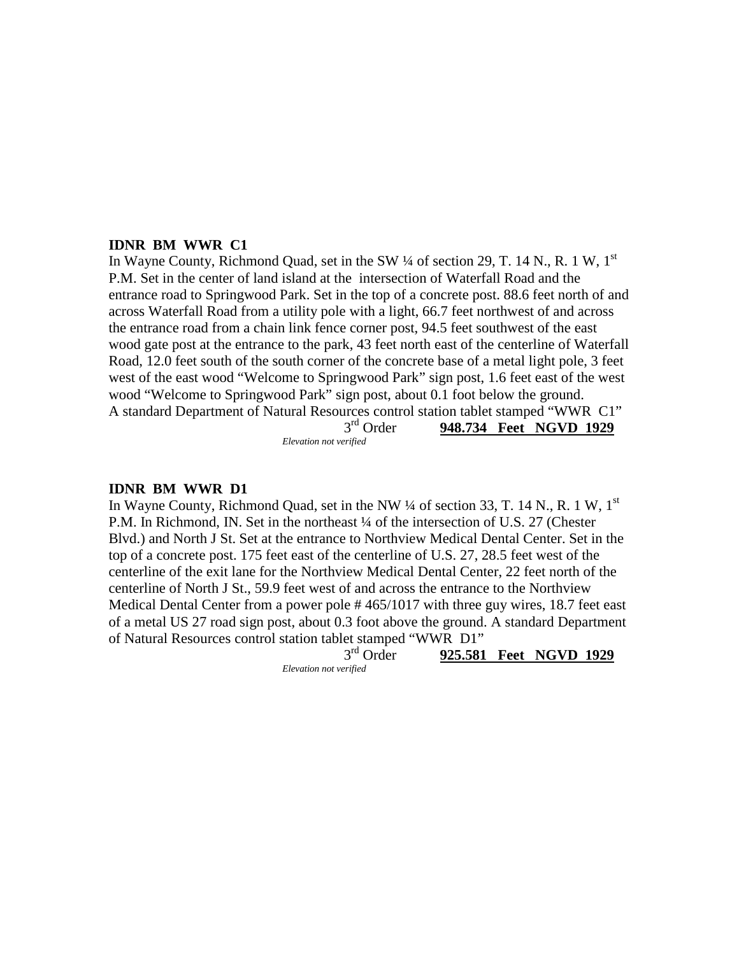#### **IDNR BM WWR C1**

In Wayne County, Richmond Quad, set in the SW  $\frac{1}{4}$  of section 29, T. 14 N., R. 1 W, 1<sup>st</sup> P.M. Set in the center of land island at the intersection of Waterfall Road and the entrance road to Springwood Park. Set in the top of a concrete post. 88.6 feet north of and across Waterfall Road from a utility pole with a light, 66.7 feet northwest of and across the entrance road from a chain link fence corner post, 94.5 feet southwest of the east wood gate post at the entrance to the park, 43 feet north east of the centerline of Waterfall Road, 12.0 feet south of the south corner of the concrete base of a metal light pole, 3 feet west of the east wood "Welcome to Springwood Park" sign post, 1.6 feet east of the west wood "Welcome to Springwood Park" sign post, about 0.1 foot below the ground. A standard Department of Natural Resources control station tablet stamped "WWR C1"<br>3<sup>rd</sup> Order **948.734** Feet NGVD 1929

 3rd Order **948.734 Feet NGVD 1929** *Elevation not verified*

#### **IDNR BM WWR D1**

In Wayne County, Richmond Quad, set in the NW  $\frac{1}{4}$  of section 33, T. 14 N., R. 1 W, 1<sup>st</sup> P.M. In Richmond, IN. Set in the northeast ¼ of the intersection of U.S. 27 (Chester Blvd.) and North J St. Set at the entrance to Northview Medical Dental Center. Set in the top of a concrete post. 175 feet east of the centerline of U.S. 27, 28.5 feet west of the centerline of the exit lane for the Northview Medical Dental Center, 22 feet north of the centerline of North J St., 59.9 feet west of and across the entrance to the Northview Medical Dental Center from a power pole # 465/1017 with three guy wires, 18.7 feet east of a metal US 27 road sign post, about 0.3 foot above the ground. A standard Department of Natural Resources control station tablet stamped "WWR D1"

3rd Order **925.581 Feet NGVD 1929**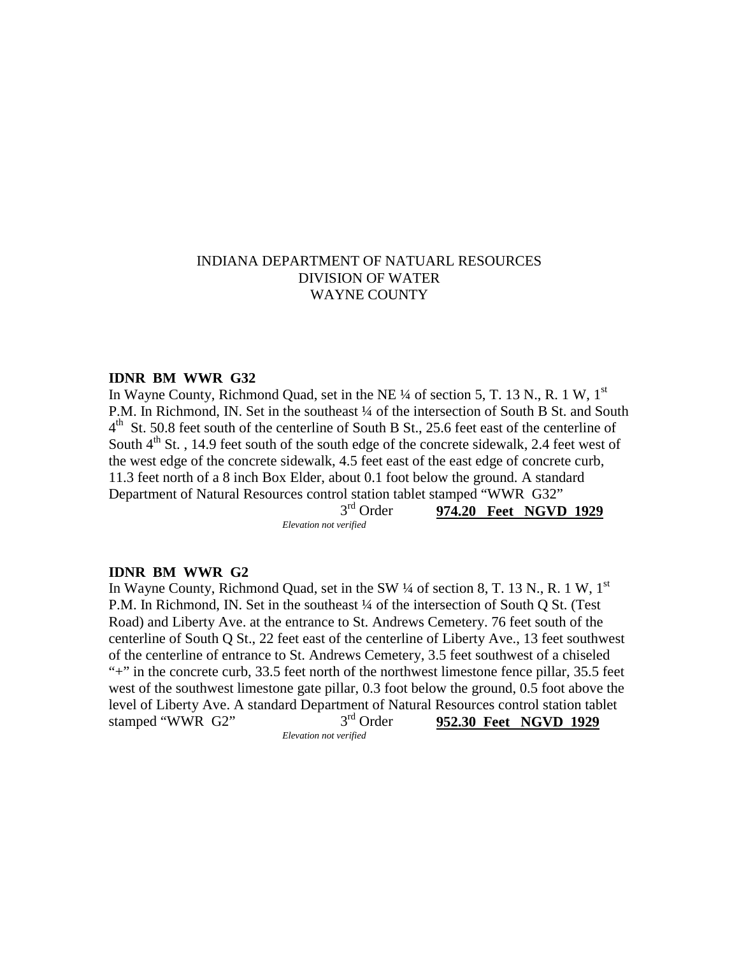## INDIANA DEPARTMENT OF NATUARL RESOURCES DIVISION OF WATER WAYNE COUNTY

#### **IDNR BM WWR G32**

In Wayne County, Richmond Quad, set in the NE  $\frac{1}{4}$  of section 5, T, 13 N, R, 1 W, 1<sup>st</sup> P.M. In Richmond, IN. Set in the southeast  $\frac{1}{4}$  of the intersection of South B St. and South  $4<sup>th</sup>$  St. 50.8 feet south of the centerline of South B St., 25.6 feet east of the centerline of South  $4<sup>th</sup>$  St., 14.9 feet south of the south edge of the concrete sidewalk, 2.4 feet west of the west edge of the concrete sidewalk, 4.5 feet east of the east edge of concrete curb, 11.3 feet north of a 8 inch Box Elder, about 0.1 foot below the ground. A standard Department of Natural Resources control station tablet stamped "WWR G32"<br> $3<sup>rd</sup> Order$  974.20 Feet NGVD 3rd Order **974.20 Feet NGVD 1929**

*Elevation not verified*

#### **IDNR BM WWR G2**

In Wayne County, Richmond Quad, set in the SW  $\frac{1}{4}$  of section 8, T. 13 N., R. 1 W, 1<sup>st</sup> P.M. In Richmond, IN. Set in the southeast ¼ of the intersection of South Q St. (Test Road) and Liberty Ave. at the entrance to St. Andrews Cemetery. 76 feet south of the centerline of South Q St., 22 feet east of the centerline of Liberty Ave., 13 feet southwest of the centerline of entrance to St. Andrews Cemetery, 3.5 feet southwest of a chiseled "+" in the concrete curb, 33.5 feet north of the northwest limestone fence pillar, 35.5 feet west of the southwest limestone gate pillar, 0.3 foot below the ground, 0.5 foot above the level of Liberty Ave. A standard Department of Natural Resources control station tablet<br>stamped "WWR G2" 3<sup>rd</sup> Order 952.30 Feet NGVD 1929 stamped "WWR G2" 3rd Order **952.30 Feet NGVD 1929**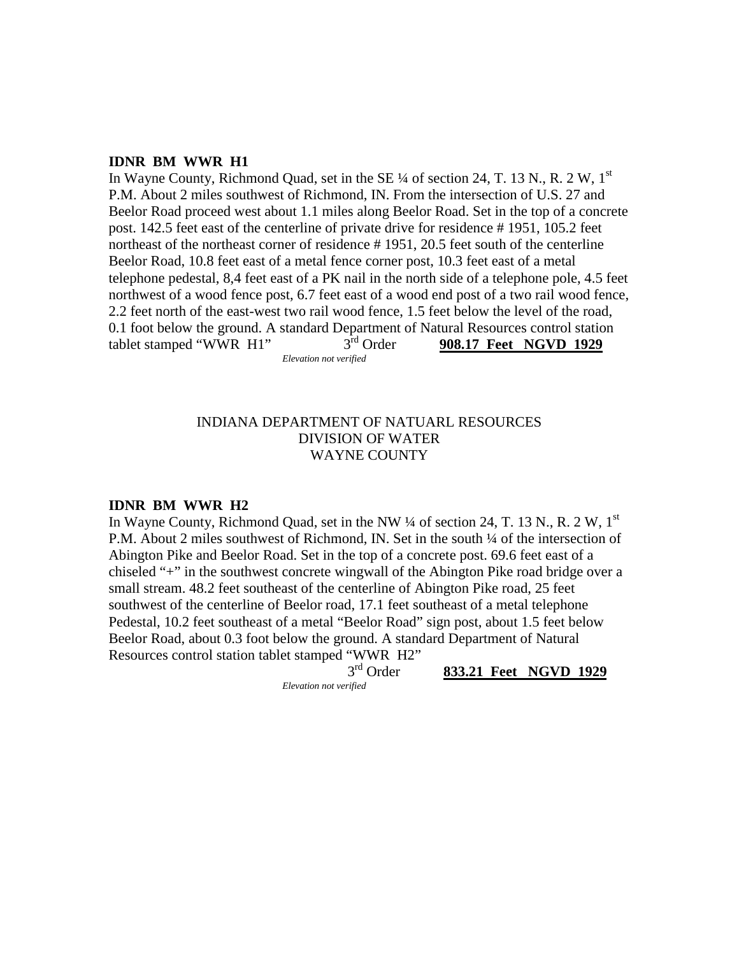#### **IDNR BM WWR H1**

In Wayne County, Richmond Quad, set in the SE  $\frac{1}{4}$  of section 24, T. 13 N., R. 2 W, 1<sup>st</sup> P.M. About 2 miles southwest of Richmond, IN. From the intersection of U.S. 27 and Beelor Road proceed west about 1.1 miles along Beelor Road. Set in the top of a concrete post. 142.5 feet east of the centerline of private drive for residence # 1951, 105.2 feet northeast of the northeast corner of residence # 1951, 20.5 feet south of the centerline Beelor Road, 10.8 feet east of a metal fence corner post, 10.3 feet east of a metal telephone pedestal, 8,4 feet east of a PK nail in the north side of a telephone pole, 4.5 feet northwest of a wood fence post, 6.7 feet east of a wood end post of a two rail wood fence, 2.2 feet north of the east-west two rail wood fence, 1.5 feet below the level of the road, 0.1 foot below the ground. A standard Department of Natural Resources control station<br>tablet stamped "WWR  $H1$ "  $3<sup>rd</sup>$  Order 908.17 Feet NGVD 1929 tablet stamped "WWR H1" 3rd Order **908.17 Feet NGVD 1929** *Elevation not verified*

## INDIANA DEPARTMENT OF NATUARL RESOURCES DIVISION OF WATER WAYNE COUNTY

#### **IDNR BM WWR H2**

In Wayne County, Richmond Quad, set in the NW  $\frac{1}{4}$  of section 24, T. 13 N., R. 2 W, 1<sup>st</sup> P.M. About 2 miles southwest of Richmond, IN. Set in the south ¼ of the intersection of Abington Pike and Beelor Road. Set in the top of a concrete post. 69.6 feet east of a chiseled "+" in the southwest concrete wingwall of the Abington Pike road bridge over a small stream. 48.2 feet southeast of the centerline of Abington Pike road, 25 feet southwest of the centerline of Beelor road, 17.1 feet southeast of a metal telephone Pedestal, 10.2 feet southeast of a metal "Beelor Road" sign post, about 1.5 feet below Beelor Road, about 0.3 foot below the ground. A standard Department of Natural Resources control station tablet stamped "WWR  $H2$ "<br> $3<sup>rd</sup> Order$ 

833.21 Feet NGVD 1929